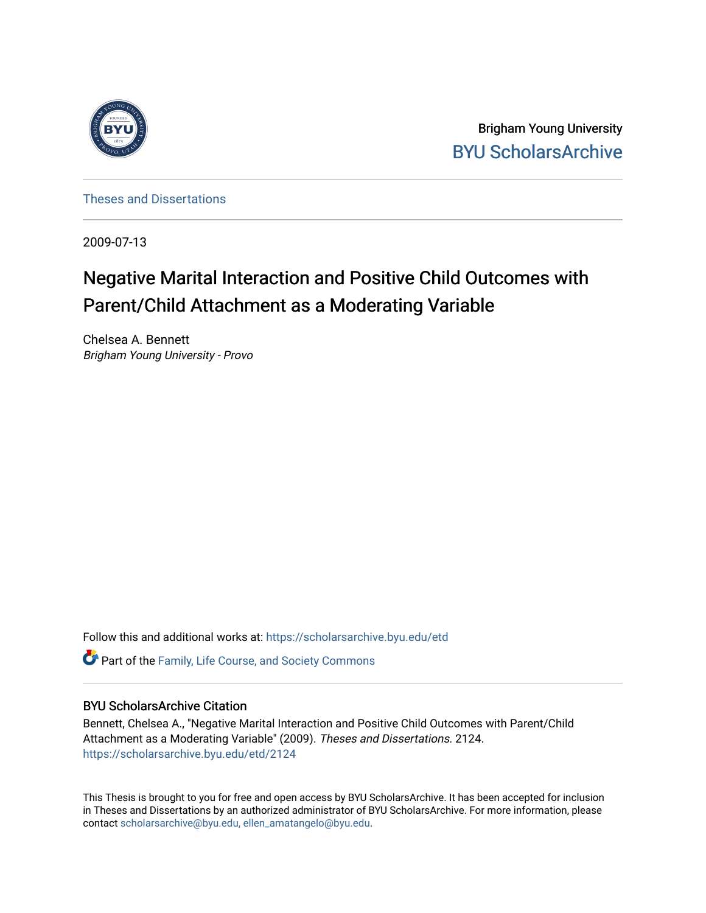

Brigham Young University [BYU ScholarsArchive](https://scholarsarchive.byu.edu/) 

[Theses and Dissertations](https://scholarsarchive.byu.edu/etd)

2009-07-13

# Negative Marital Interaction and Positive Child Outcomes with Parent/Child Attachment as a Moderating Variable

Chelsea A. Bennett Brigham Young University - Provo

Follow this and additional works at: [https://scholarsarchive.byu.edu/etd](https://scholarsarchive.byu.edu/etd?utm_source=scholarsarchive.byu.edu%2Fetd%2F2124&utm_medium=PDF&utm_campaign=PDFCoverPages)

**C** Part of the Family, Life Course, and Society Commons

#### BYU ScholarsArchive Citation

Bennett, Chelsea A., "Negative Marital Interaction and Positive Child Outcomes with Parent/Child Attachment as a Moderating Variable" (2009). Theses and Dissertations. 2124. [https://scholarsarchive.byu.edu/etd/2124](https://scholarsarchive.byu.edu/etd/2124?utm_source=scholarsarchive.byu.edu%2Fetd%2F2124&utm_medium=PDF&utm_campaign=PDFCoverPages) 

This Thesis is brought to you for free and open access by BYU ScholarsArchive. It has been accepted for inclusion in Theses and Dissertations by an authorized administrator of BYU ScholarsArchive. For more information, please contact [scholarsarchive@byu.edu, ellen\\_amatangelo@byu.edu](mailto:scholarsarchive@byu.edu,%20ellen_amatangelo@byu.edu).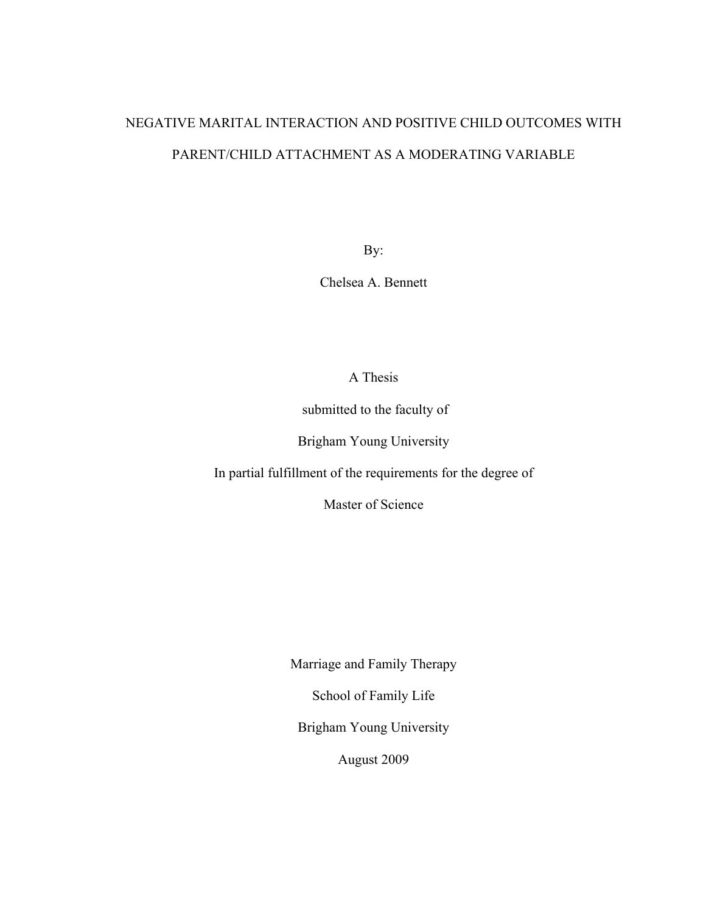# NEGATIVE MARITAL INTERACTION AND POSITIVE CHILD OUTCOMES WITH PARENT/CHILD ATTACHMENT AS A MODERATING VARIABLE

By:

Chelsea A. Bennett

A Thesis

submitted to the faculty of

Brigham Young University

In partial fulfillment of the requirements for the degree of

Master of Science

Marriage and Family Therapy

School of Family Life

Brigham Young University

August 2009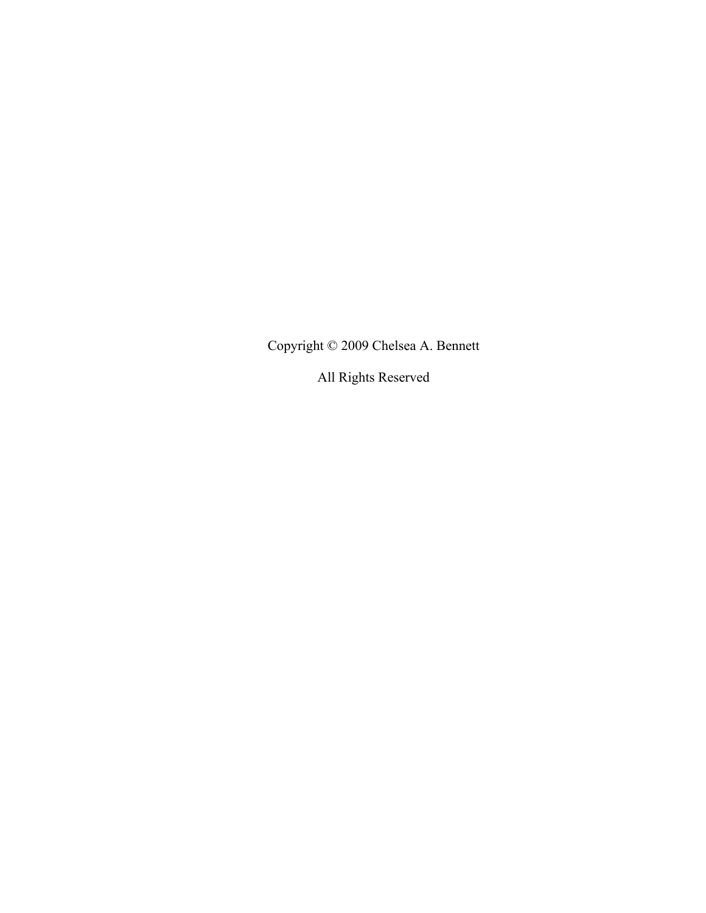Copyright © 2009 Chelsea A. Bennett

All Rights Reserved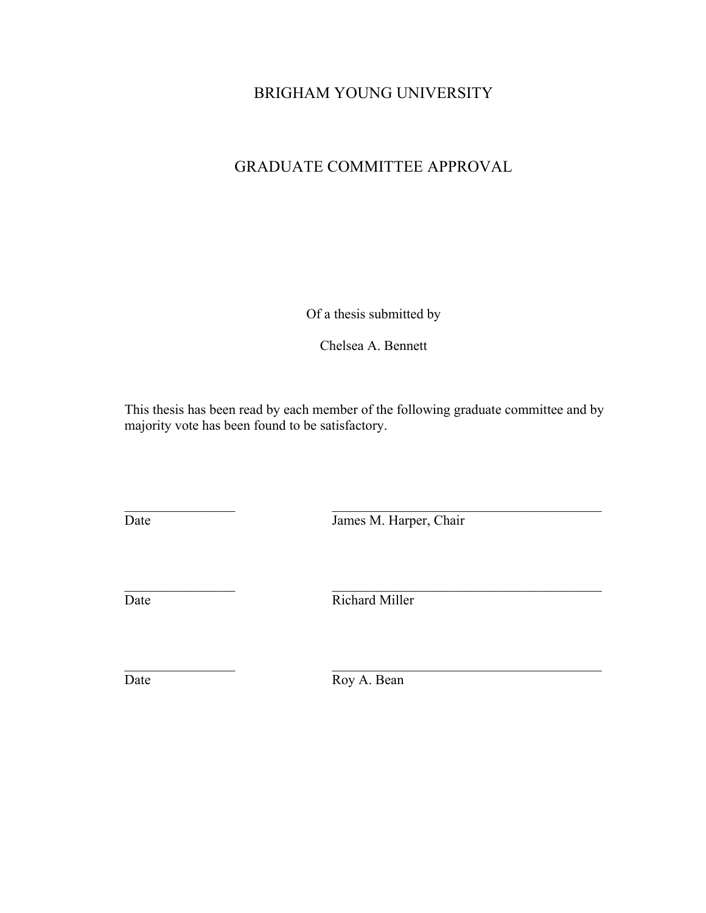### BRIGHAM YOUNG UNIVERSITY

## GRADUATE COMMITTEE APPROVAL

Of a thesis submitted by

Chelsea A. Bennett

This thesis has been read by each member of the following graduate committee and by majority vote has been found to be satisfactory.

 $\overline{\phantom{a}}$  ,  $\overline{\phantom{a}}$  ,  $\overline{\phantom{a}}$  ,  $\overline{\phantom{a}}$  ,  $\overline{\phantom{a}}$  ,  $\overline{\phantom{a}}$  ,  $\overline{\phantom{a}}$  ,  $\overline{\phantom{a}}$  ,  $\overline{\phantom{a}}$  ,  $\overline{\phantom{a}}$  ,  $\overline{\phantom{a}}$  ,  $\overline{\phantom{a}}$  ,  $\overline{\phantom{a}}$  ,  $\overline{\phantom{a}}$  ,  $\overline{\phantom{a}}$  ,  $\overline{\phantom{a}}$ Date James M. Harper, Chair

Date Richard Miller

 $\overline{\phantom{a}}$  ,  $\overline{\phantom{a}}$  ,  $\overline{\phantom{a}}$  ,  $\overline{\phantom{a}}$  ,  $\overline{\phantom{a}}$  ,  $\overline{\phantom{a}}$  ,  $\overline{\phantom{a}}$  ,  $\overline{\phantom{a}}$  ,  $\overline{\phantom{a}}$  ,  $\overline{\phantom{a}}$  ,  $\overline{\phantom{a}}$  ,  $\overline{\phantom{a}}$  ,  $\overline{\phantom{a}}$  ,  $\overline{\phantom{a}}$  ,  $\overline{\phantom{a}}$  ,  $\overline{\phantom{a}}$ 

 $\overline{\phantom{a}}$  ,  $\overline{\phantom{a}}$  ,  $\overline{\phantom{a}}$  ,  $\overline{\phantom{a}}$  ,  $\overline{\phantom{a}}$  ,  $\overline{\phantom{a}}$  ,  $\overline{\phantom{a}}$  ,  $\overline{\phantom{a}}$  ,  $\overline{\phantom{a}}$  ,  $\overline{\phantom{a}}$  ,  $\overline{\phantom{a}}$  ,  $\overline{\phantom{a}}$  ,  $\overline{\phantom{a}}$  ,  $\overline{\phantom{a}}$  ,  $\overline{\phantom{a}}$  ,  $\overline{\phantom{a}}$ Date Roy A. Bean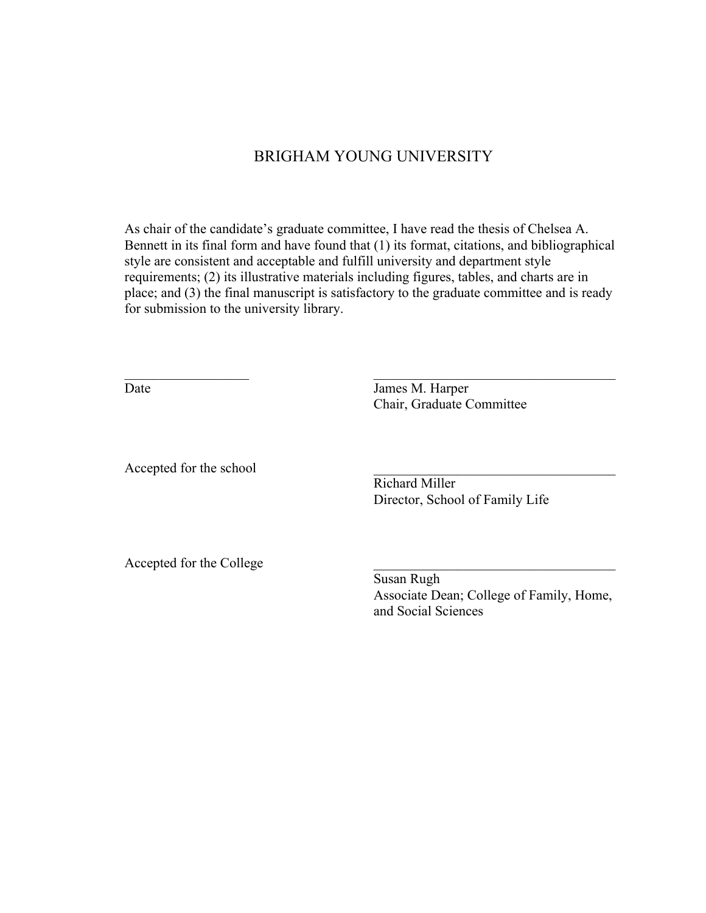### BRIGHAM YOUNG UNIVERSITY

As chair of the candidate's graduate committee, I have read the thesis of Chelsea A. Bennett in its final form and have found that (1) its format, citations, and bibliographical style are consistent and acceptable and fulfill university and department style requirements; (2) its illustrative materials including figures, tables, and charts are in place; and (3) the final manuscript is satisfactory to the graduate committee and is ready for submission to the university library.

 $\mathcal{L}_\text{max}$  , and the contract of the contract of the contract of the contract of the contract of the contract of

Date James M. Harper Chair, Graduate Committee

Accepted for the school

Richard Miller Director, School of Family Life

Accepted for the College

Susan Rugh Associate Dean; College of Family, Home, and Social Sciences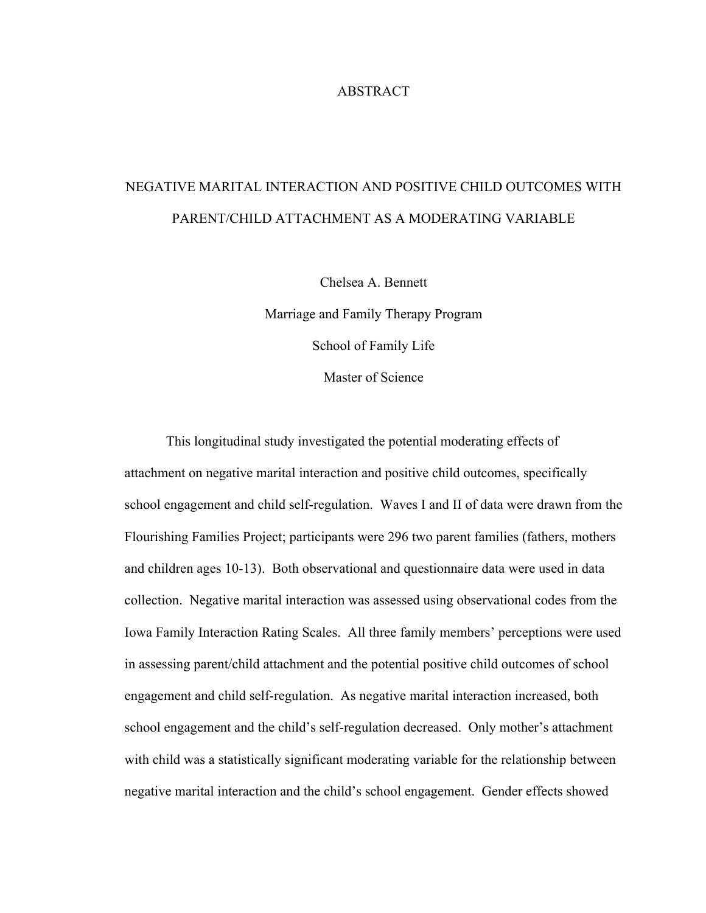#### **ABSTRACT**

# NEGATIVE MARITAL INTERACTION AND POSITIVE CHILD OUTCOMES WITH PARENT/CHILD ATTACHMENT AS A MODERATING VARIABLE

Chelsea A. Bennett Marriage and Family Therapy Program School of Family Life Master of Science

This longitudinal study investigated the potential moderating effects of attachment on negative marital interaction and positive child outcomes, specifically school engagement and child self-regulation. Waves I and II of data were drawn from the Flourishing Families Project; participants were 296 two parent families (fathers, mothers and children ages 10-13). Both observational and questionnaire data were used in data collection. Negative marital interaction was assessed using observational codes from the Iowa Family Interaction Rating Scales. All three family members' perceptions were used in assessing parent/child attachment and the potential positive child outcomes of school engagement and child self-regulation. As negative marital interaction increased, both school engagement and the child's self-regulation decreased. Only mother's attachment with child was a statistically significant moderating variable for the relationship between negative marital interaction and the child's school engagement. Gender effects showed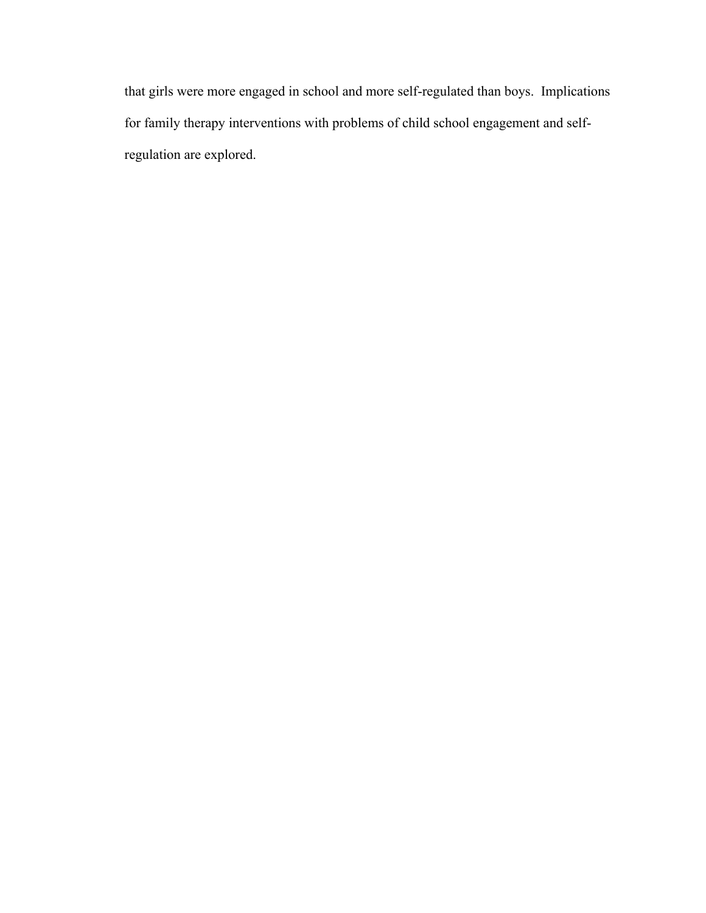that girls were more engaged in school and more self-regulated than boys. Implications for family therapy interventions with problems of child school engagement and selfregulation are explored.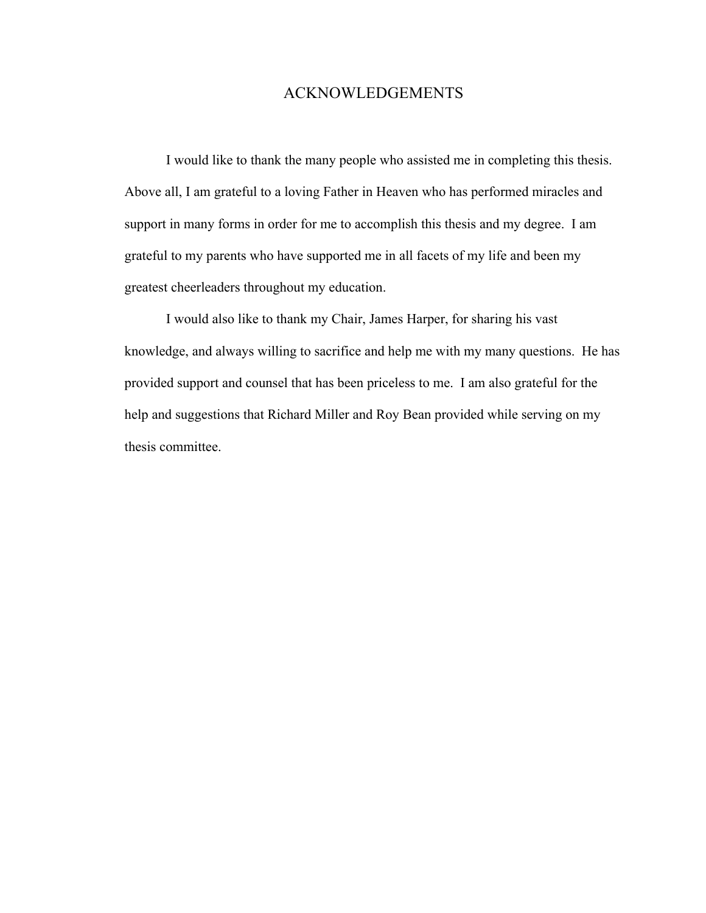### ACKNOWLEDGEMENTS

I would like to thank the many people who assisted me in completing this thesis. Above all, I am grateful to a loving Father in Heaven who has performed miracles and support in many forms in order for me to accomplish this thesis and my degree. I am grateful to my parents who have supported me in all facets of my life and been my greatest cheerleaders throughout my education.

I would also like to thank my Chair, James Harper, for sharing his vast knowledge, and always willing to sacrifice and help me with my many questions. He has provided support and counsel that has been priceless to me. I am also grateful for the help and suggestions that Richard Miller and Roy Bean provided while serving on my thesis committee.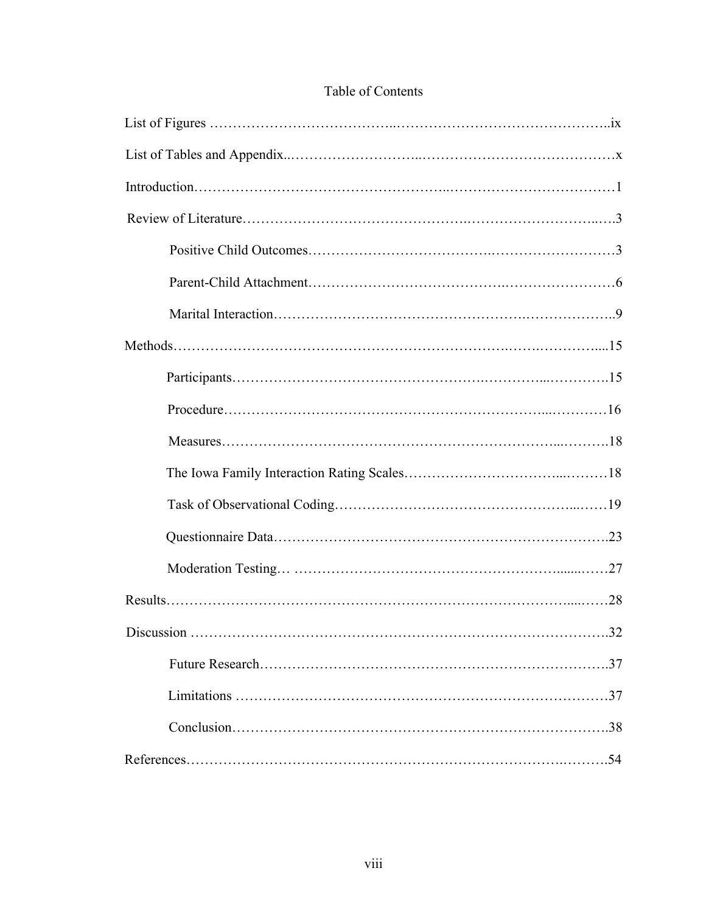| Discussion<br>32 |
|------------------|
|                  |
| .37              |
|                  |
| -54              |

### Table of Contents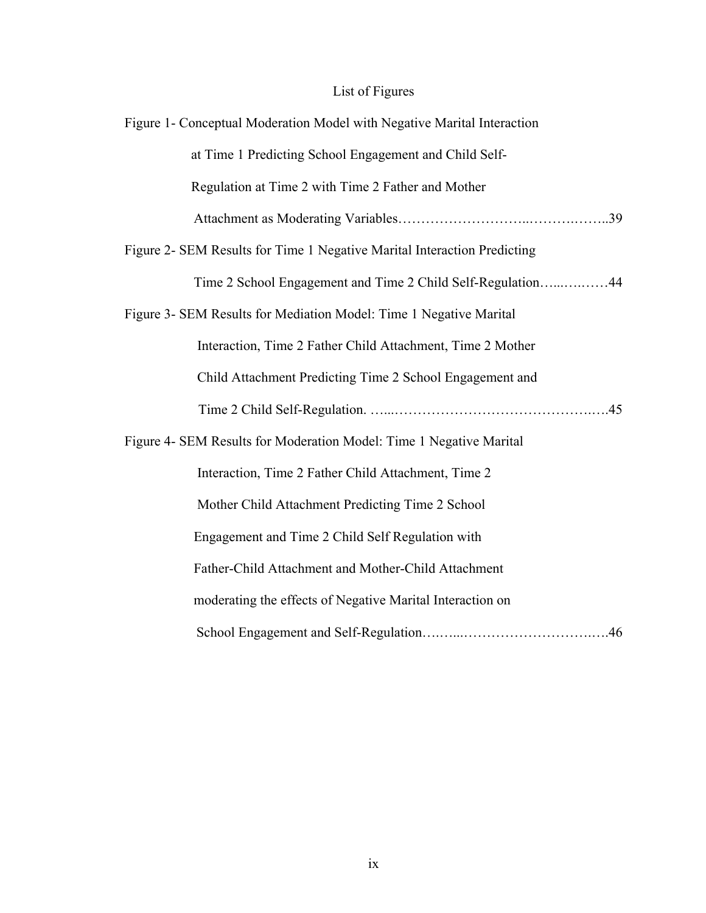## List of Figures

| Figure 1- Conceptual Moderation Model with Negative Marital Interaction  |
|--------------------------------------------------------------------------|
| at Time 1 Predicting School Engagement and Child Self-                   |
| Regulation at Time 2 with Time 2 Father and Mother                       |
|                                                                          |
| Figure 2- SEM Results for Time 1 Negative Marital Interaction Predicting |
| Time 2 School Engagement and Time 2 Child Self-Regulation44              |
| Figure 3- SEM Results for Mediation Model: Time 1 Negative Marital       |
| Interaction, Time 2 Father Child Attachment, Time 2 Mother               |
| Child Attachment Predicting Time 2 School Engagement and                 |
|                                                                          |
| Figure 4- SEM Results for Moderation Model: Time 1 Negative Marital      |
| Interaction, Time 2 Father Child Attachment, Time 2                      |
| Mother Child Attachment Predicting Time 2 School                         |
| Engagement and Time 2 Child Self Regulation with                         |
| Father-Child Attachment and Mother-Child Attachment                      |
| moderating the effects of Negative Marital Interaction on                |
|                                                                          |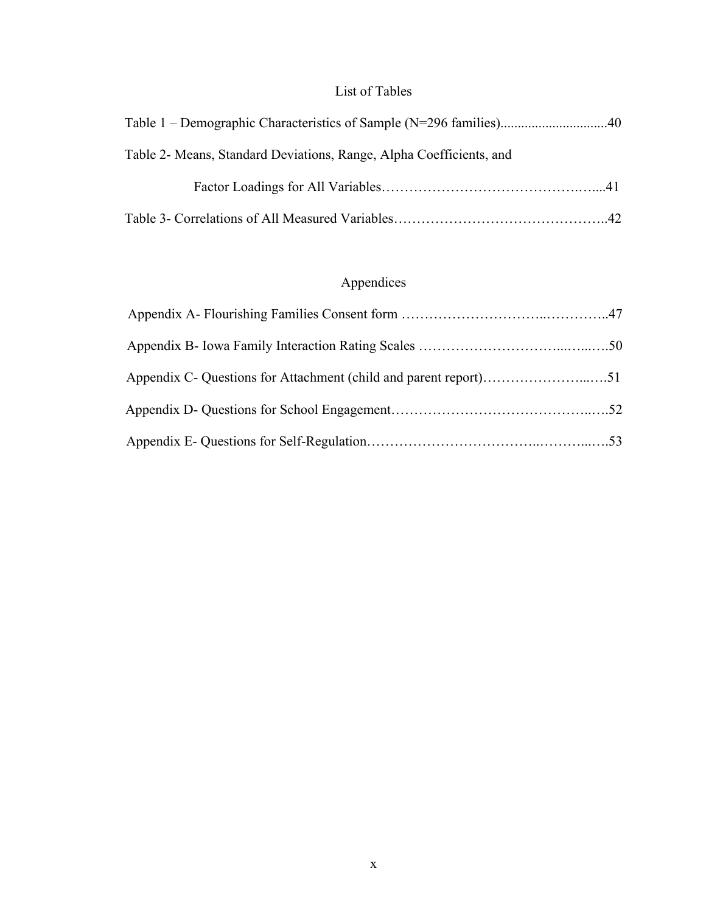### List of Tables

| Table 2- Means, Standard Deviations, Range, Alpha Coefficients, and |  |
|---------------------------------------------------------------------|--|
|                                                                     |  |
|                                                                     |  |

## Appendices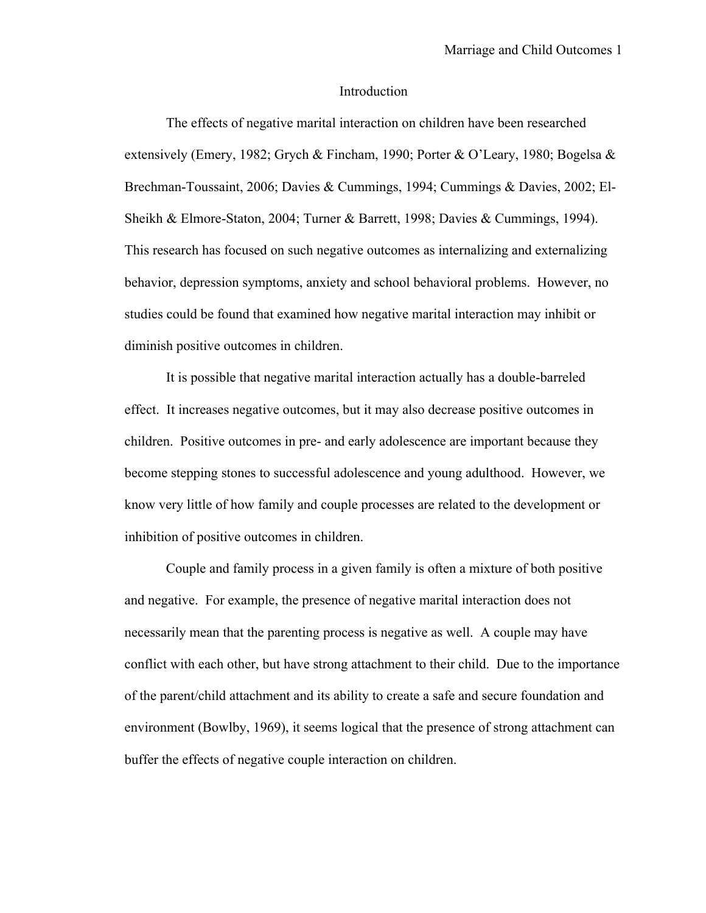#### Introduction

The effects of negative marital interaction on children have been researched extensively (Emery, 1982; Grych & Fincham, 1990; Porter & O'Leary, 1980; Bogelsa & Brechman-Toussaint, 2006; Davies & Cummings, 1994; Cummings & Davies, 2002; El-Sheikh & Elmore-Staton, 2004; Turner & Barrett, 1998; Davies & Cummings, 1994). This research has focused on such negative outcomes as internalizing and externalizing behavior, depression symptoms, anxiety and school behavioral problems. However, no studies could be found that examined how negative marital interaction may inhibit or diminish positive outcomes in children.

It is possible that negative marital interaction actually has a double-barreled effect. It increases negative outcomes, but it may also decrease positive outcomes in children. Positive outcomes in pre- and early adolescence are important because they become stepping stones to successful adolescence and young adulthood. However, we know very little of how family and couple processes are related to the development or inhibition of positive outcomes in children.

Couple and family process in a given family is often a mixture of both positive and negative. For example, the presence of negative marital interaction does not necessarily mean that the parenting process is negative as well. A couple may have conflict with each other, but have strong attachment to their child. Due to the importance of the parent/child attachment and its ability to create a safe and secure foundation and environment (Bowlby, 1969), it seems logical that the presence of strong attachment can buffer the effects of negative couple interaction on children.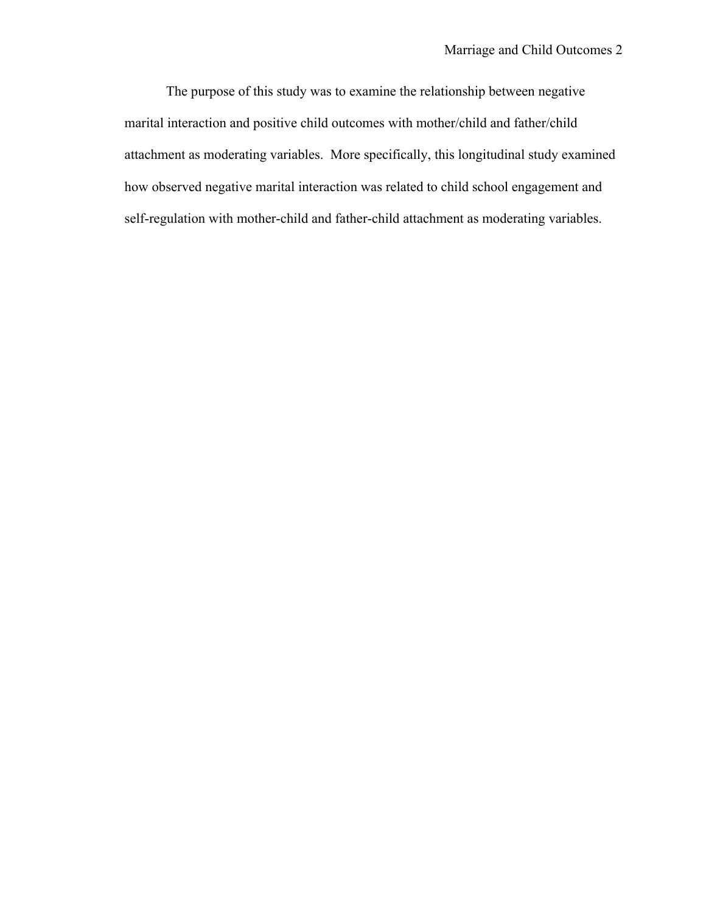The purpose of this study was to examine the relationship between negative marital interaction and positive child outcomes with mother/child and father/child attachment as moderating variables. More specifically, this longitudinal study examined how observed negative marital interaction was related to child school engagement and self-regulation with mother-child and father-child attachment as moderating variables.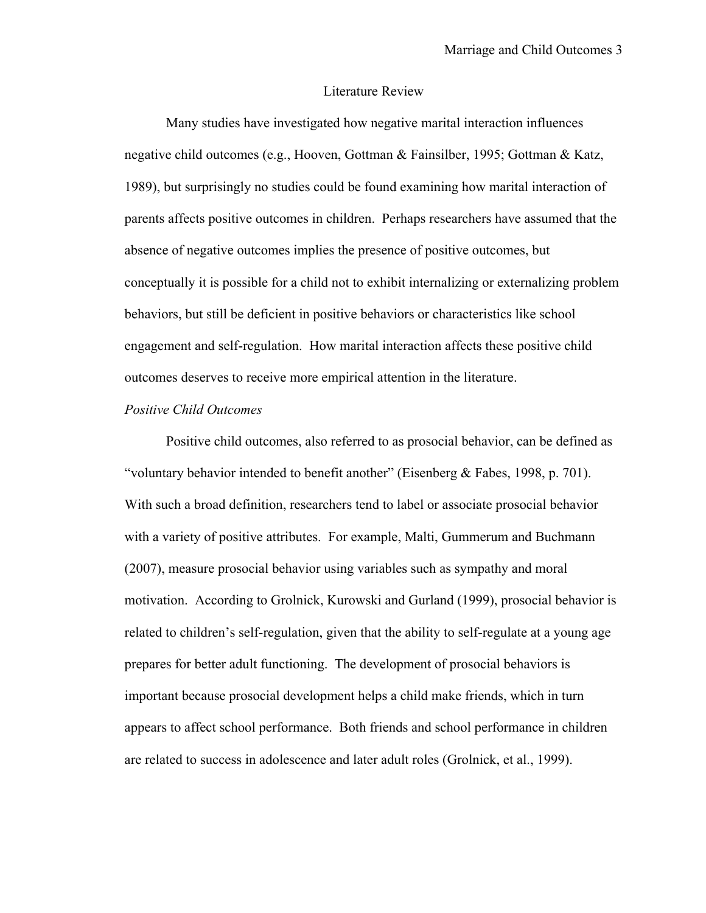#### Literature Review

Many studies have investigated how negative marital interaction influences negative child outcomes (e.g., Hooven, Gottman & Fainsilber, 1995; Gottman & Katz, 1989), but surprisingly no studies could be found examining how marital interaction of parents affects positive outcomes in children. Perhaps researchers have assumed that the absence of negative outcomes implies the presence of positive outcomes, but conceptually it is possible for a child not to exhibit internalizing or externalizing problem behaviors, but still be deficient in positive behaviors or characteristics like school engagement and self-regulation. How marital interaction affects these positive child outcomes deserves to receive more empirical attention in the literature.

#### *Positive Child Outcomes*

Positive child outcomes, also referred to as prosocial behavior, can be defined as "voluntary behavior intended to benefit another" (Eisenberg & Fabes, 1998, p. 701). With such a broad definition, researchers tend to label or associate prosocial behavior with a variety of positive attributes. For example, Malti, Gummerum and Buchmann (2007), measure prosocial behavior using variables such as sympathy and moral motivation. According to Grolnick, Kurowski and Gurland (1999), prosocial behavior is related to children's self-regulation, given that the ability to self-regulate at a young age prepares for better adult functioning. The development of prosocial behaviors is important because prosocial development helps a child make friends, which in turn appears to affect school performance. Both friends and school performance in children are related to success in adolescence and later adult roles (Grolnick, et al., 1999).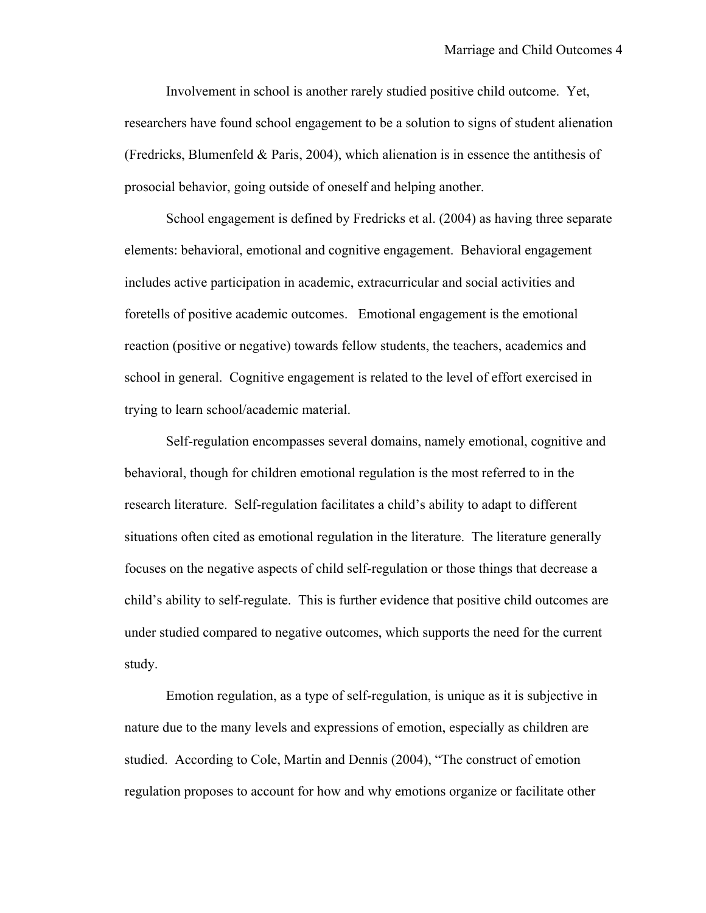Involvement in school is another rarely studied positive child outcome. Yet, researchers have found school engagement to be a solution to signs of student alienation (Fredricks, Blumenfeld & Paris, 2004), which alienation is in essence the antithesis of prosocial behavior, going outside of oneself and helping another.

School engagement is defined by Fredricks et al. (2004) as having three separate elements: behavioral, emotional and cognitive engagement. Behavioral engagement includes active participation in academic, extracurricular and social activities and foretells of positive academic outcomes. Emotional engagement is the emotional reaction (positive or negative) towards fellow students, the teachers, academics and school in general. Cognitive engagement is related to the level of effort exercised in trying to learn school/academic material.

Self-regulation encompasses several domains, namely emotional, cognitive and behavioral, though for children emotional regulation is the most referred to in the research literature. Self-regulation facilitates a child's ability to adapt to different situations often cited as emotional regulation in the literature. The literature generally focuses on the negative aspects of child self-regulation or those things that decrease a child's ability to self-regulate. This is further evidence that positive child outcomes are under studied compared to negative outcomes, which supports the need for the current study.

Emotion regulation, as a type of self-regulation, is unique as it is subjective in nature due to the many levels and expressions of emotion, especially as children are studied. According to Cole, Martin and Dennis (2004), "The construct of emotion regulation proposes to account for how and why emotions organize or facilitate other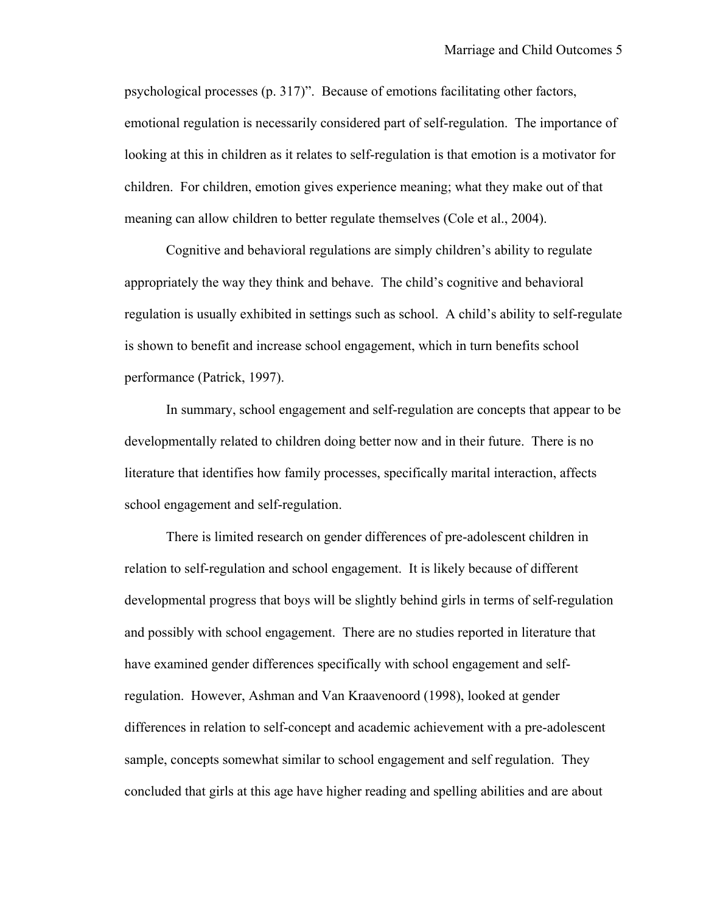psychological processes (p. 317)". Because of emotions facilitating other factors, emotional regulation is necessarily considered part of self-regulation. The importance of looking at this in children as it relates to self-regulation is that emotion is a motivator for children. For children, emotion gives experience meaning; what they make out of that meaning can allow children to better regulate themselves (Cole et al., 2004).

Cognitive and behavioral regulations are simply children's ability to regulate appropriately the way they think and behave. The child's cognitive and behavioral regulation is usually exhibited in settings such as school. A child's ability to self-regulate is shown to benefit and increase school engagement, which in turn benefits school performance (Patrick, 1997).

In summary, school engagement and self-regulation are concepts that appear to be developmentally related to children doing better now and in their future. There is no literature that identifies how family processes, specifically marital interaction, affects school engagement and self-regulation.

There is limited research on gender differences of pre-adolescent children in relation to self-regulation and school engagement. It is likely because of different developmental progress that boys will be slightly behind girls in terms of self-regulation and possibly with school engagement. There are no studies reported in literature that have examined gender differences specifically with school engagement and selfregulation. However, Ashman and Van Kraavenoord (1998), looked at gender differences in relation to self-concept and academic achievement with a pre-adolescent sample, concepts somewhat similar to school engagement and self regulation. They concluded that girls at this age have higher reading and spelling abilities and are about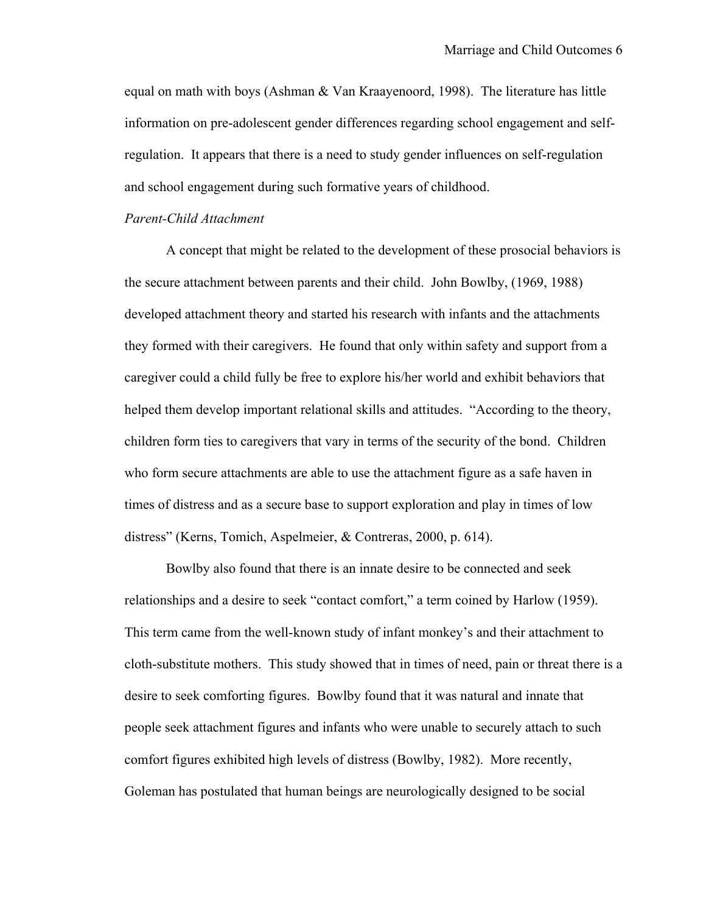equal on math with boys (Ashman & Van Kraayenoord, 1998). The literature has little information on pre-adolescent gender differences regarding school engagement and selfregulation. It appears that there is a need to study gender influences on self-regulation and school engagement during such formative years of childhood.

#### *Parent-Child Attachment*

A concept that might be related to the development of these prosocial behaviors is the secure attachment between parents and their child. John Bowlby, (1969, 1988) developed attachment theory and started his research with infants and the attachments they formed with their caregivers. He found that only within safety and support from a caregiver could a child fully be free to explore his/her world and exhibit behaviors that helped them develop important relational skills and attitudes. "According to the theory, children form ties to caregivers that vary in terms of the security of the bond. Children who form secure attachments are able to use the attachment figure as a safe haven in times of distress and as a secure base to support exploration and play in times of low distress" (Kerns, Tomich, Aspelmeier, & Contreras, 2000, p. 614).

Bowlby also found that there is an innate desire to be connected and seek relationships and a desire to seek "contact comfort," a term coined by Harlow (1959). This term came from the well-known study of infant monkey's and their attachment to cloth-substitute mothers. This study showed that in times of need, pain or threat there is a desire to seek comforting figures. Bowlby found that it was natural and innate that people seek attachment figures and infants who were unable to securely attach to such comfort figures exhibited high levels of distress (Bowlby, 1982). More recently, Goleman has postulated that human beings are neurologically designed to be social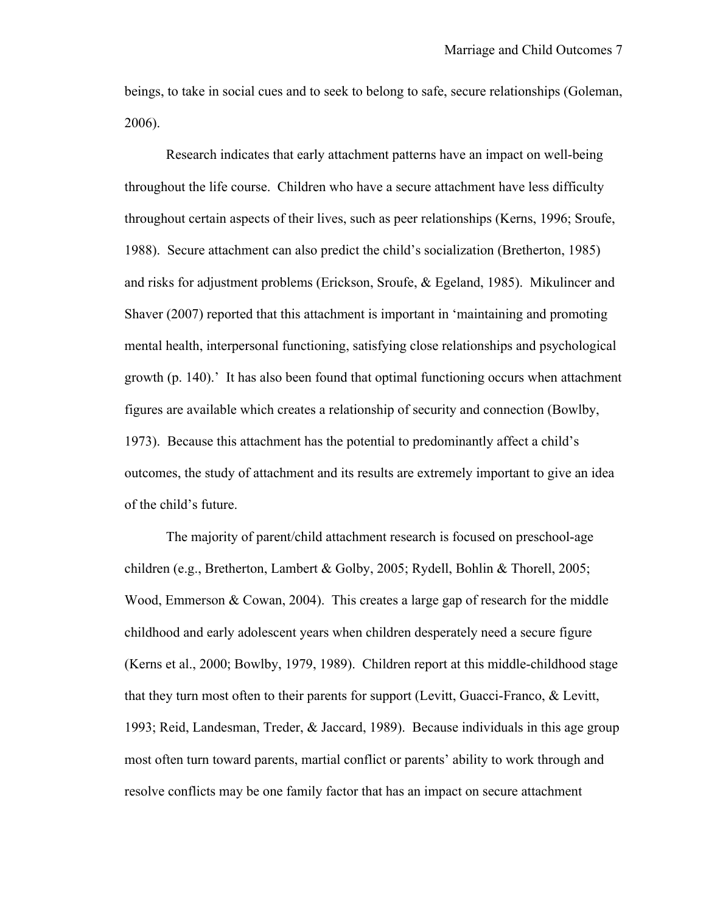beings, to take in social cues and to seek to belong to safe, secure relationships (Goleman, 2006).

Research indicates that early attachment patterns have an impact on well-being throughout the life course. Children who have a secure attachment have less difficulty throughout certain aspects of their lives, such as peer relationships (Kerns, 1996; Sroufe, 1988). Secure attachment can also predict the child's socialization (Bretherton, 1985) and risks for adjustment problems (Erickson, Sroufe, & Egeland, 1985). Mikulincer and Shaver (2007) reported that this attachment is important in 'maintaining and promoting mental health, interpersonal functioning, satisfying close relationships and psychological growth (p. 140).' It has also been found that optimal functioning occurs when attachment figures are available which creates a relationship of security and connection (Bowlby, 1973). Because this attachment has the potential to predominantly affect a child's outcomes, the study of attachment and its results are extremely important to give an idea of the child's future.

The majority of parent/child attachment research is focused on preschool-age children (e.g., Bretherton, Lambert & Golby, 2005; Rydell, Bohlin & Thorell, 2005; Wood, Emmerson  $& Cowan, 2004$ . This creates a large gap of research for the middle childhood and early adolescent years when children desperately need a secure figure (Kerns et al., 2000; Bowlby, 1979, 1989). Children report at this middle-childhood stage that they turn most often to their parents for support (Levitt, Guacci-Franco, & Levitt, 1993; Reid, Landesman, Treder, & Jaccard, 1989). Because individuals in this age group most often turn toward parents, martial conflict or parents' ability to work through and resolve conflicts may be one family factor that has an impact on secure attachment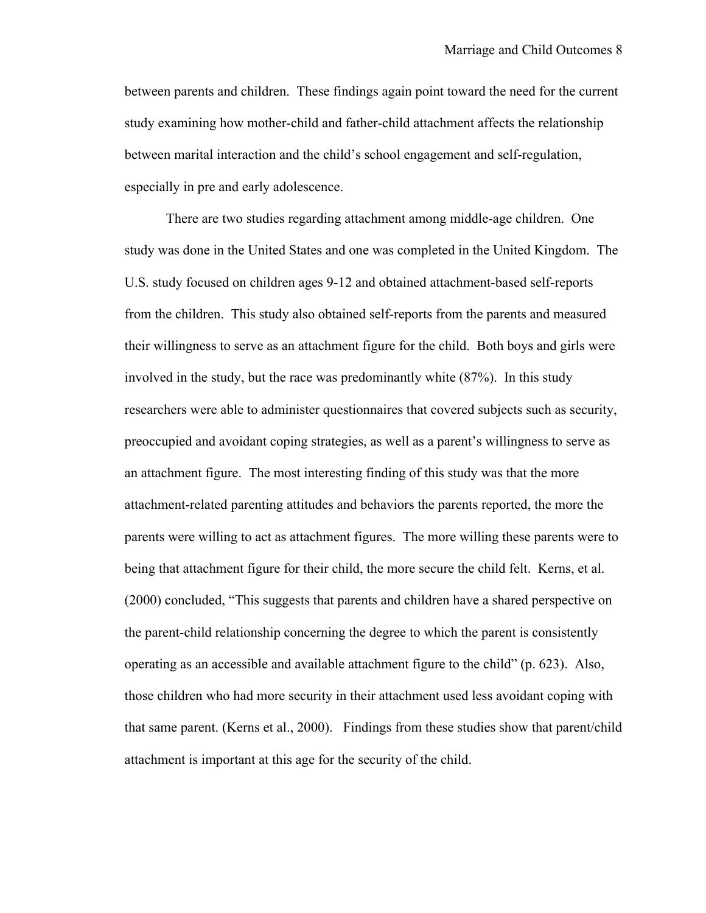between parents and children. These findings again point toward the need for the current study examining how mother-child and father-child attachment affects the relationship between marital interaction and the child's school engagement and self-regulation, especially in pre and early adolescence.

There are two studies regarding attachment among middle-age children. One study was done in the United States and one was completed in the United Kingdom. The U.S. study focused on children ages 9-12 and obtained attachment-based self-reports from the children. This study also obtained self-reports from the parents and measured their willingness to serve as an attachment figure for the child. Both boys and girls were involved in the study, but the race was predominantly white (87%). In this study researchers were able to administer questionnaires that covered subjects such as security, preoccupied and avoidant coping strategies, as well as a parent's willingness to serve as an attachment figure. The most interesting finding of this study was that the more attachment-related parenting attitudes and behaviors the parents reported, the more the parents were willing to act as attachment figures. The more willing these parents were to being that attachment figure for their child, the more secure the child felt. Kerns, et al. (2000) concluded, "This suggests that parents and children have a shared perspective on the parent-child relationship concerning the degree to which the parent is consistently operating as an accessible and available attachment figure to the child" (p. 623). Also, those children who had more security in their attachment used less avoidant coping with that same parent. (Kerns et al., 2000). Findings from these studies show that parent/child attachment is important at this age for the security of the child.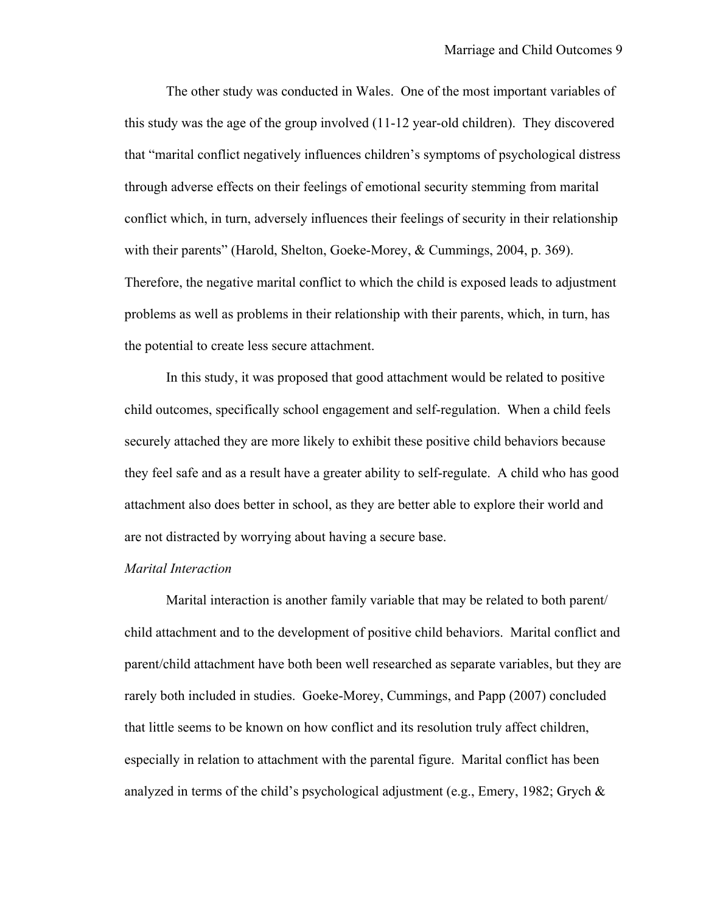The other study was conducted in Wales. One of the most important variables of this study was the age of the group involved (11-12 year-old children). They discovered that "marital conflict negatively influences children's symptoms of psychological distress through adverse effects on their feelings of emotional security stemming from marital conflict which, in turn, adversely influences their feelings of security in their relationship with their parents" (Harold, Shelton, Goeke-Morey, & Cummings, 2004, p. 369). Therefore, the negative marital conflict to which the child is exposed leads to adjustment problems as well as problems in their relationship with their parents, which, in turn, has the potential to create less secure attachment.

In this study, it was proposed that good attachment would be related to positive child outcomes, specifically school engagement and self-regulation. When a child feels securely attached they are more likely to exhibit these positive child behaviors because they feel safe and as a result have a greater ability to self-regulate. A child who has good attachment also does better in school, as they are better able to explore their world and are not distracted by worrying about having a secure base.

#### *Marital Interaction*

Marital interaction is another family variable that may be related to both parent/ child attachment and to the development of positive child behaviors. Marital conflict and parent/child attachment have both been well researched as separate variables, but they are rarely both included in studies. Goeke-Morey, Cummings, and Papp (2007) concluded that little seems to be known on how conflict and its resolution truly affect children, especially in relation to attachment with the parental figure. Marital conflict has been analyzed in terms of the child's psychological adjustment (e.g., Emery, 1982; Grych &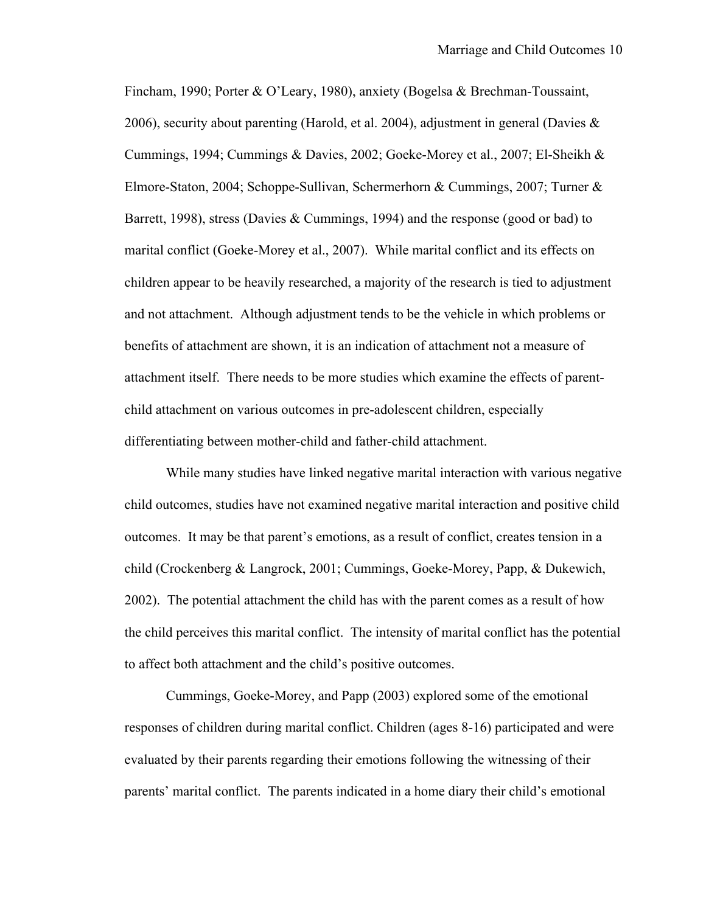Fincham, 1990; Porter & O'Leary, 1980), anxiety (Bogelsa & Brechman-Toussaint, 2006), security about parenting (Harold, et al. 2004), adjustment in general (Davies & Cummings, 1994; Cummings & Davies, 2002; Goeke-Morey et al., 2007; El-Sheikh & Elmore-Staton, 2004; Schoppe-Sullivan, Schermerhorn & Cummings, 2007; Turner & Barrett, 1998), stress (Davies & Cummings, 1994) and the response (good or bad) to marital conflict (Goeke-Morey et al., 2007). While marital conflict and its effects on children appear to be heavily researched, a majority of the research is tied to adjustment and not attachment. Although adjustment tends to be the vehicle in which problems or benefits of attachment are shown, it is an indication of attachment not a measure of attachment itself. There needs to be more studies which examine the effects of parentchild attachment on various outcomes in pre-adolescent children, especially differentiating between mother-child and father-child attachment.

While many studies have linked negative marital interaction with various negative child outcomes, studies have not examined negative marital interaction and positive child outcomes. It may be that parent's emotions, as a result of conflict, creates tension in a child (Crockenberg & Langrock, 2001; Cummings, Goeke-Morey, Papp, & Dukewich, 2002). The potential attachment the child has with the parent comes as a result of how the child perceives this marital conflict. The intensity of marital conflict has the potential to affect both attachment and the child's positive outcomes.

Cummings, Goeke-Morey, and Papp (2003) explored some of the emotional responses of children during marital conflict. Children (ages 8-16) participated and were evaluated by their parents regarding their emotions following the witnessing of their parents' marital conflict. The parents indicated in a home diary their child's emotional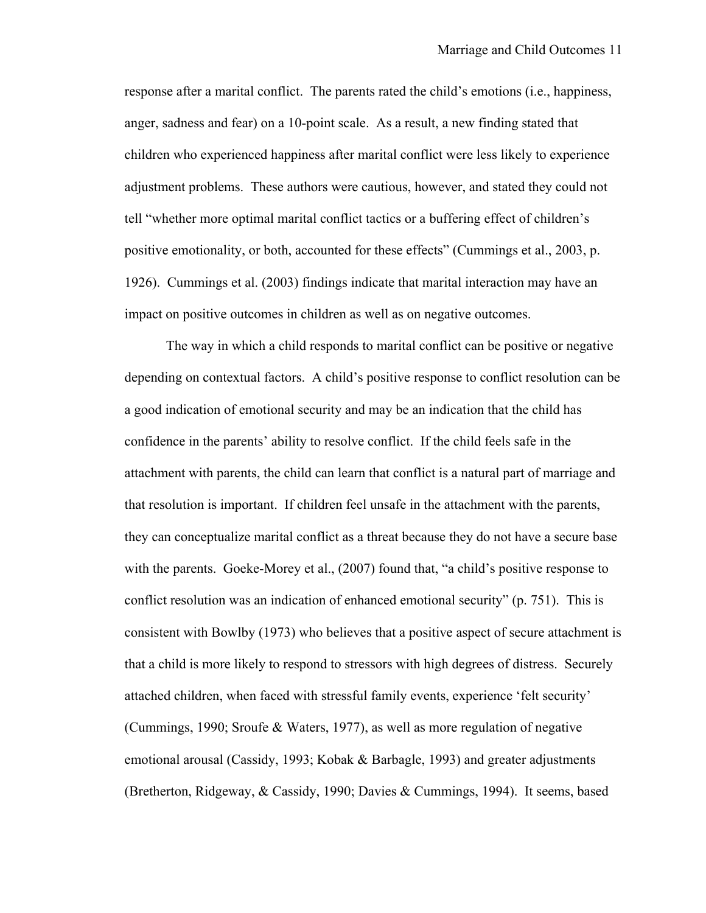response after a marital conflict. The parents rated the child's emotions (i.e., happiness, anger, sadness and fear) on a 10-point scale. As a result, a new finding stated that children who experienced happiness after marital conflict were less likely to experience adjustment problems. These authors were cautious, however, and stated they could not tell "whether more optimal marital conflict tactics or a buffering effect of children's positive emotionality, or both, accounted for these effects" (Cummings et al., 2003, p. 1926). Cummings et al. (2003) findings indicate that marital interaction may have an impact on positive outcomes in children as well as on negative outcomes.

The way in which a child responds to marital conflict can be positive or negative depending on contextual factors. A child's positive response to conflict resolution can be a good indication of emotional security and may be an indication that the child has confidence in the parents' ability to resolve conflict. If the child feels safe in the attachment with parents, the child can learn that conflict is a natural part of marriage and that resolution is important. If children feel unsafe in the attachment with the parents, they can conceptualize marital conflict as a threat because they do not have a secure base with the parents. Goeke-Morey et al., (2007) found that, "a child's positive response to conflict resolution was an indication of enhanced emotional security" (p. 751). This is consistent with Bowlby (1973) who believes that a positive aspect of secure attachment is that a child is more likely to respond to stressors with high degrees of distress. Securely attached children, when faced with stressful family events, experience 'felt security' (Cummings, 1990; Sroufe & Waters, 1977), as well as more regulation of negative emotional arousal (Cassidy, 1993; Kobak & Barbagle, 1993) and greater adjustments (Bretherton, Ridgeway, & Cassidy, 1990; Davies & Cummings, 1994). It seems, based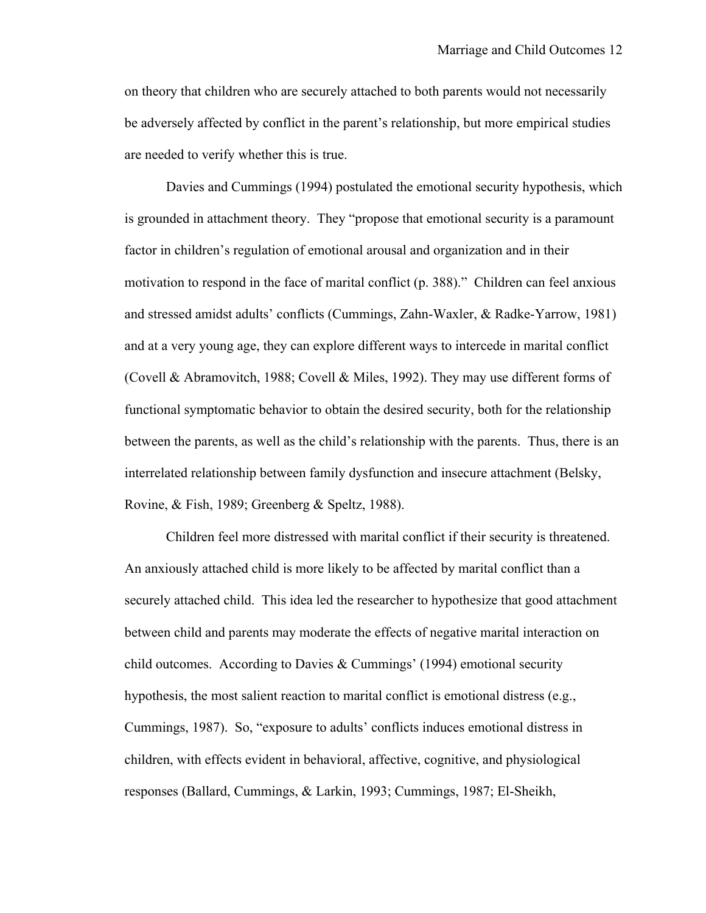on theory that children who are securely attached to both parents would not necessarily be adversely affected by conflict in the parent's relationship, but more empirical studies are needed to verify whether this is true.

Davies and Cummings (1994) postulated the emotional security hypothesis, which is grounded in attachment theory. They "propose that emotional security is a paramount factor in children's regulation of emotional arousal and organization and in their motivation to respond in the face of marital conflict (p. 388)." Children can feel anxious and stressed amidst adults' conflicts (Cummings, Zahn-Waxler, & Radke-Yarrow, 1981) and at a very young age, they can explore different ways to intercede in marital conflict (Covell & Abramovitch, 1988; Covell & Miles, 1992). They may use different forms of functional symptomatic behavior to obtain the desired security, both for the relationship between the parents, as well as the child's relationship with the parents. Thus, there is an interrelated relationship between family dysfunction and insecure attachment (Belsky, Rovine, & Fish, 1989; Greenberg & Speltz, 1988).

Children feel more distressed with marital conflict if their security is threatened. An anxiously attached child is more likely to be affected by marital conflict than a securely attached child. This idea led the researcher to hypothesize that good attachment between child and parents may moderate the effects of negative marital interaction on child outcomes. According to Davies & Cummings' (1994) emotional security hypothesis, the most salient reaction to marital conflict is emotional distress (e.g., Cummings, 1987). So, "exposure to adults' conflicts induces emotional distress in children, with effects evident in behavioral, affective, cognitive, and physiological responses (Ballard, Cummings, & Larkin, 1993; Cummings, 1987; El-Sheikh,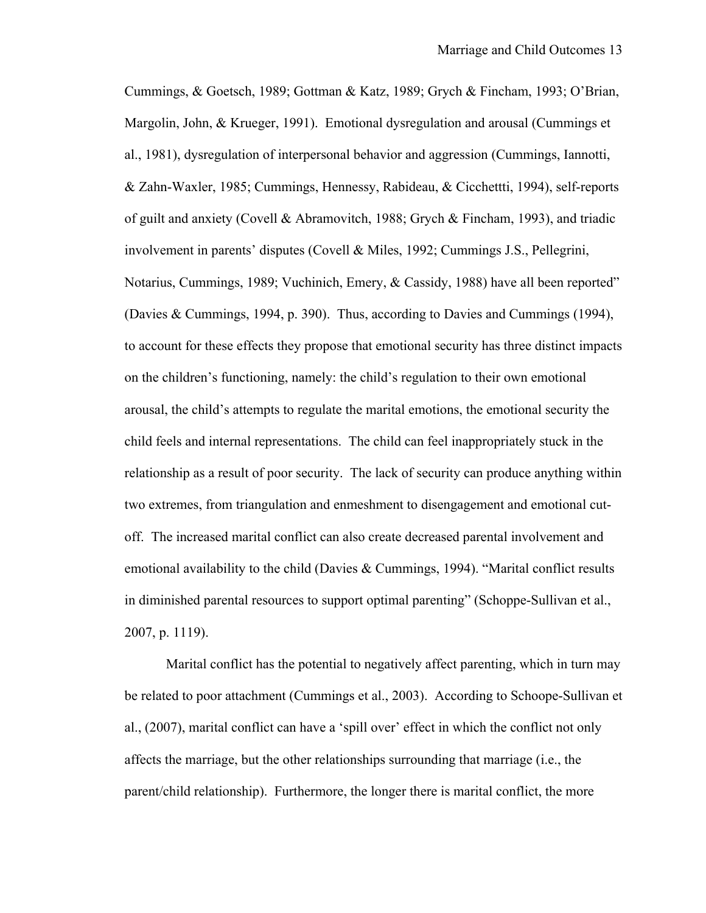Cummings, & Goetsch, 1989; Gottman & Katz, 1989; Grych & Fincham, 1993; O'Brian, Margolin, John, & Krueger, 1991). Emotional dysregulation and arousal (Cummings et al., 1981), dysregulation of interpersonal behavior and aggression (Cummings, Iannotti, & Zahn-Waxler, 1985; Cummings, Hennessy, Rabideau, & Cicchettti, 1994), self-reports of guilt and anxiety (Covell & Abramovitch, 1988; Grych & Fincham, 1993), and triadic involvement in parents' disputes (Covell & Miles, 1992; Cummings J.S., Pellegrini, Notarius, Cummings, 1989; Vuchinich, Emery, & Cassidy, 1988) have all been reported" (Davies & Cummings, 1994, p. 390). Thus, according to Davies and Cummings (1994), to account for these effects they propose that emotional security has three distinct impacts on the children's functioning, namely: the child's regulation to their own emotional arousal, the child's attempts to regulate the marital emotions, the emotional security the child feels and internal representations. The child can feel inappropriately stuck in the relationship as a result of poor security. The lack of security can produce anything within two extremes, from triangulation and enmeshment to disengagement and emotional cutoff. The increased marital conflict can also create decreased parental involvement and emotional availability to the child (Davies & Cummings, 1994). "Marital conflict results in diminished parental resources to support optimal parenting" (Schoppe-Sullivan et al., 2007, p. 1119).

Marital conflict has the potential to negatively affect parenting, which in turn may be related to poor attachment (Cummings et al., 2003). According to Schoope-Sullivan et al., (2007), marital conflict can have a 'spill over' effect in which the conflict not only affects the marriage, but the other relationships surrounding that marriage (i.e., the parent/child relationship). Furthermore, the longer there is marital conflict, the more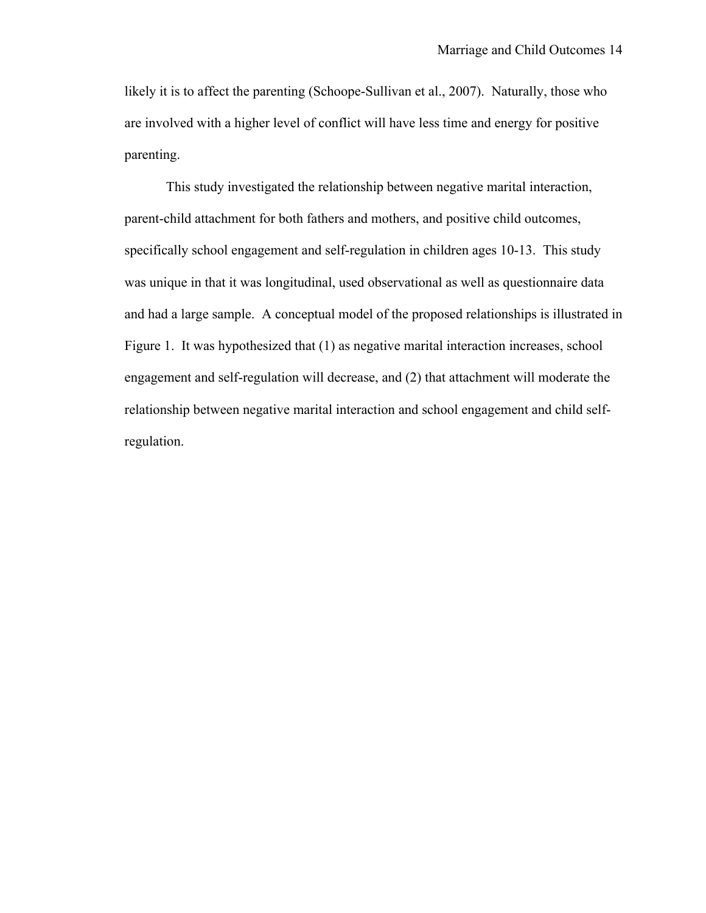likely it is to affect the parenting (Schoope-Sullivan et al., 2007). Naturally, those who are involved with a higher level of conflict will have less time and energy for positive parenting.

This study investigated the relationship between negative marital interaction, parent-child attachment for both fathers and mothers, and positive child outcomes, specifically school engagement and self-regulation in children ages 10-13. This study was unique in that it was longitudinal, used observational as well as questionnaire data and had a large sample. A conceptual model of the proposed relationships is illustrated in Figure 1. It was hypothesized that (1) as negative marital interaction increases, school engagement and self-regulation will decrease, and (2) that attachment will moderate the relationship between negative marital interaction and school engagement and child selfregulation.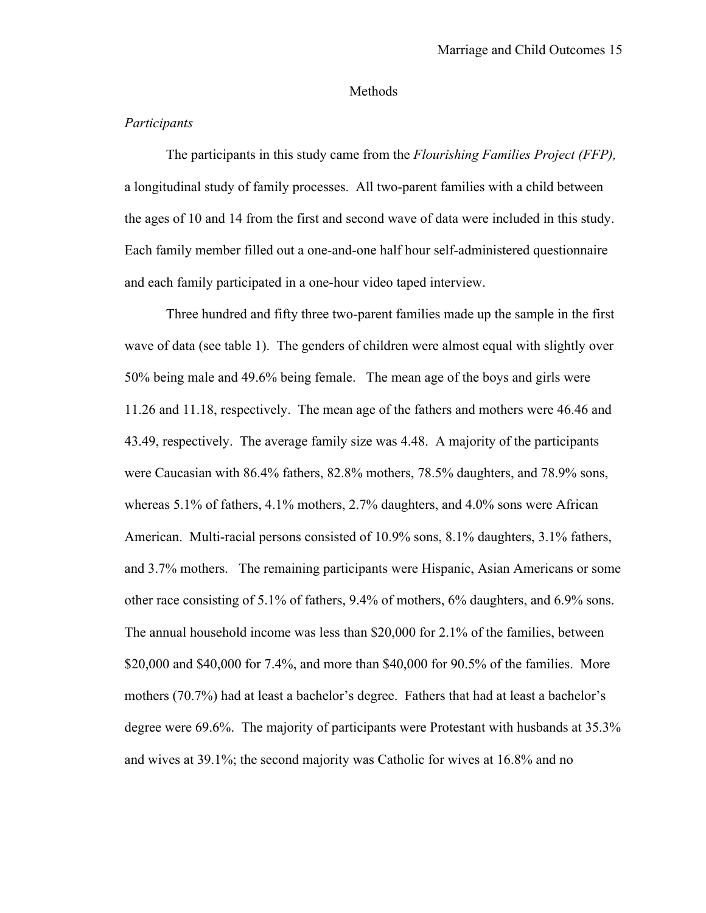#### Methods

#### *Participants*

The participants in this study came from the *Flourishing Families Project (FFP),* a longitudinal study of family processes. All two-parent families with a child between the ages of 10 and 14 from the first and second wave of data were included in this study. Each family member filled out a one-and-one half hour self-administered questionnaire and each family participated in a one-hour video taped interview.

Three hundred and fifty three two-parent families made up the sample in the first wave of data (see table 1). The genders of children were almost equal with slightly over 50% being male and 49.6% being female. The mean age of the boys and girls were 11.26 and 11.18, respectively. The mean age of the fathers and mothers were 46.46 and 43.49, respectively. The average family size was 4.48. A majority of the participants were Caucasian with 86.4% fathers, 82.8% mothers, 78.5% daughters, and 78.9% sons, whereas 5.1% of fathers, 4.1% mothers, 2.7% daughters, and 4.0% sons were African American. Multi-racial persons consisted of 10.9% sons, 8.1% daughters, 3.1% fathers, and 3.7% mothers. The remaining participants were Hispanic, Asian Americans or some other race consisting of 5.1% of fathers, 9.4% of mothers, 6% daughters, and 6.9% sons. The annual household income was less than \$20,000 for 2.1% of the families, between \$20,000 and \$40,000 for 7.4%, and more than \$40,000 for 90.5% of the families. More mothers (70.7%) had at least a bachelor's degree. Fathers that had at least a bachelor's degree were 69.6%. The majority of participants were Protestant with husbands at 35.3% and wives at 39.1%; the second majority was Catholic for wives at 16.8% and no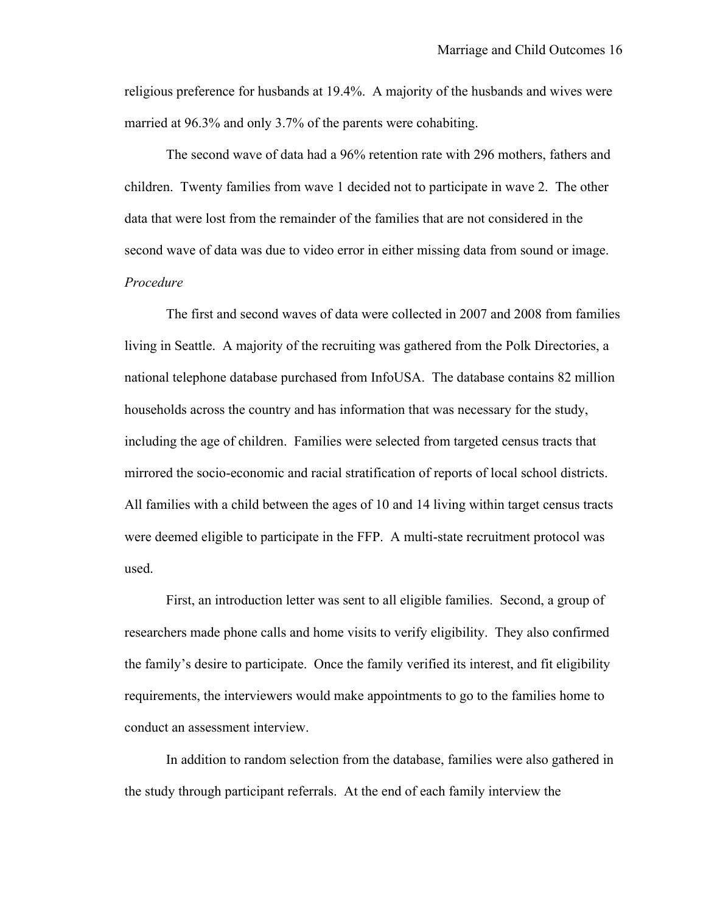religious preference for husbands at 19.4%. A majority of the husbands and wives were married at 96.3% and only 3.7% of the parents were cohabiting.

The second wave of data had a 96% retention rate with 296 mothers, fathers and children. Twenty families from wave 1 decided not to participate in wave 2. The other data that were lost from the remainder of the families that are not considered in the second wave of data was due to video error in either missing data from sound or image. *Procedure*

The first and second waves of data were collected in 2007 and 2008 from families living in Seattle. A majority of the recruiting was gathered from the Polk Directories, a national telephone database purchased from InfoUSA. The database contains 82 million households across the country and has information that was necessary for the study, including the age of children. Families were selected from targeted census tracts that mirrored the socio-economic and racial stratification of reports of local school districts. All families with a child between the ages of 10 and 14 living within target census tracts were deemed eligible to participate in the FFP. A multi-state recruitment protocol was used.

First, an introduction letter was sent to all eligible families. Second, a group of researchers made phone calls and home visits to verify eligibility. They also confirmed the family's desire to participate. Once the family verified its interest, and fit eligibility requirements, the interviewers would make appointments to go to the families home to conduct an assessment interview.

In addition to random selection from the database, families were also gathered in the study through participant referrals. At the end of each family interview the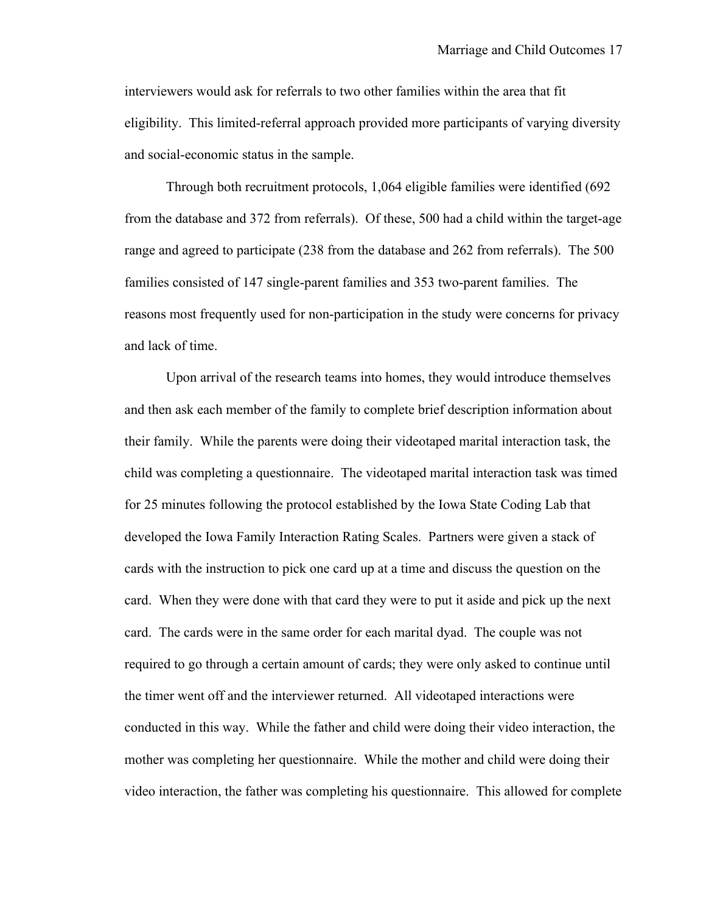interviewers would ask for referrals to two other families within the area that fit eligibility. This limited-referral approach provided more participants of varying diversity and social-economic status in the sample.

Through both recruitment protocols, 1,064 eligible families were identified (692 from the database and 372 from referrals). Of these, 500 had a child within the target-age range and agreed to participate (238 from the database and 262 from referrals). The 500 families consisted of 147 single-parent families and 353 two-parent families. The reasons most frequently used for non-participation in the study were concerns for privacy and lack of time.

Upon arrival of the research teams into homes, they would introduce themselves and then ask each member of the family to complete brief description information about their family. While the parents were doing their videotaped marital interaction task, the child was completing a questionnaire. The videotaped marital interaction task was timed for 25 minutes following the protocol established by the Iowa State Coding Lab that developed the Iowa Family Interaction Rating Scales. Partners were given a stack of cards with the instruction to pick one card up at a time and discuss the question on the card. When they were done with that card they were to put it aside and pick up the next card. The cards were in the same order for each marital dyad. The couple was not required to go through a certain amount of cards; they were only asked to continue until the timer went off and the interviewer returned. All videotaped interactions were conducted in this way. While the father and child were doing their video interaction, the mother was completing her questionnaire. While the mother and child were doing their video interaction, the father was completing his questionnaire. This allowed for complete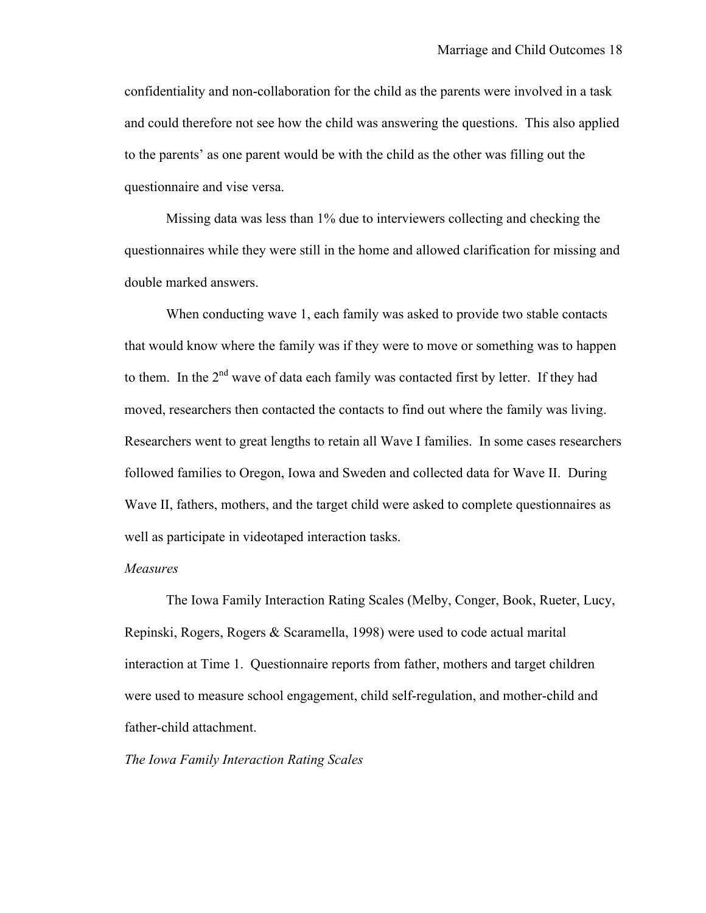confidentiality and non-collaboration for the child as the parents were involved in a task and could therefore not see how the child was answering the questions. This also applied to the parents' as one parent would be with the child as the other was filling out the questionnaire and vise versa.

Missing data was less than 1% due to interviewers collecting and checking the questionnaires while they were still in the home and allowed clarification for missing and double marked answers.

When conducting wave 1, each family was asked to provide two stable contacts that would know where the family was if they were to move or something was to happen to them. In the 2<sup>nd</sup> wave of data each family was contacted first by letter. If they had moved, researchers then contacted the contacts to find out where the family was living. Researchers went to great lengths to retain all Wave I families. In some cases researchers followed families to Oregon, Iowa and Sweden and collected data for Wave II. During Wave II, fathers, mothers, and the target child were asked to complete questionnaires as well as participate in videotaped interaction tasks.

#### *Measures*

The Iowa Family Interaction Rating Scales (Melby, Conger, Book, Rueter, Lucy, Repinski, Rogers, Rogers & Scaramella, 1998) were used to code actual marital interaction at Time 1. Questionnaire reports from father, mothers and target children were used to measure school engagement, child self-regulation, and mother-child and father-child attachment.

#### *The Iowa Family Interaction Rating Scales*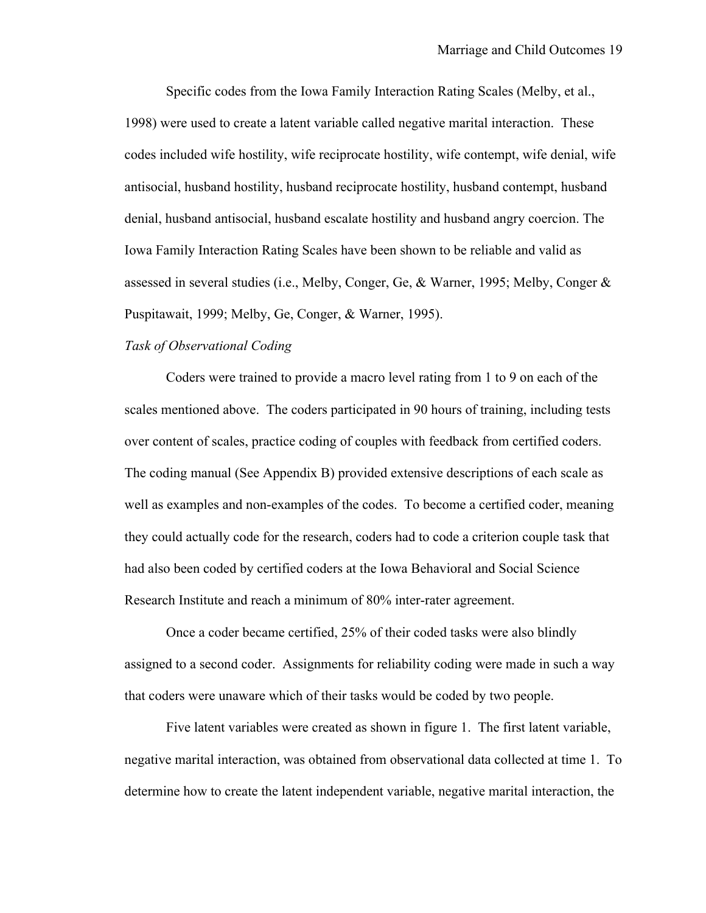Specific codes from the Iowa Family Interaction Rating Scales (Melby, et al., 1998) were used to create a latent variable called negative marital interaction. These codes included wife hostility, wife reciprocate hostility, wife contempt, wife denial, wife antisocial, husband hostility, husband reciprocate hostility, husband contempt, husband denial, husband antisocial, husband escalate hostility and husband angry coercion. The Iowa Family Interaction Rating Scales have been shown to be reliable and valid as assessed in several studies (i.e., Melby, Conger, Ge, & Warner, 1995; Melby, Conger & Puspitawait, 1999; Melby, Ge, Conger, & Warner, 1995).

#### *Task of Observational Coding*

Coders were trained to provide a macro level rating from 1 to 9 on each of the scales mentioned above. The coders participated in 90 hours of training, including tests over content of scales, practice coding of couples with feedback from certified coders. The coding manual (See Appendix B) provided extensive descriptions of each scale as well as examples and non-examples of the codes. To become a certified coder, meaning they could actually code for the research, coders had to code a criterion couple task that had also been coded by certified coders at the Iowa Behavioral and Social Science Research Institute and reach a minimum of 80% inter-rater agreement.

Once a coder became certified, 25% of their coded tasks were also blindly assigned to a second coder. Assignments for reliability coding were made in such a way that coders were unaware which of their tasks would be coded by two people.

Five latent variables were created as shown in figure 1. The first latent variable, negative marital interaction, was obtained from observational data collected at time 1. To determine how to create the latent independent variable, negative marital interaction, the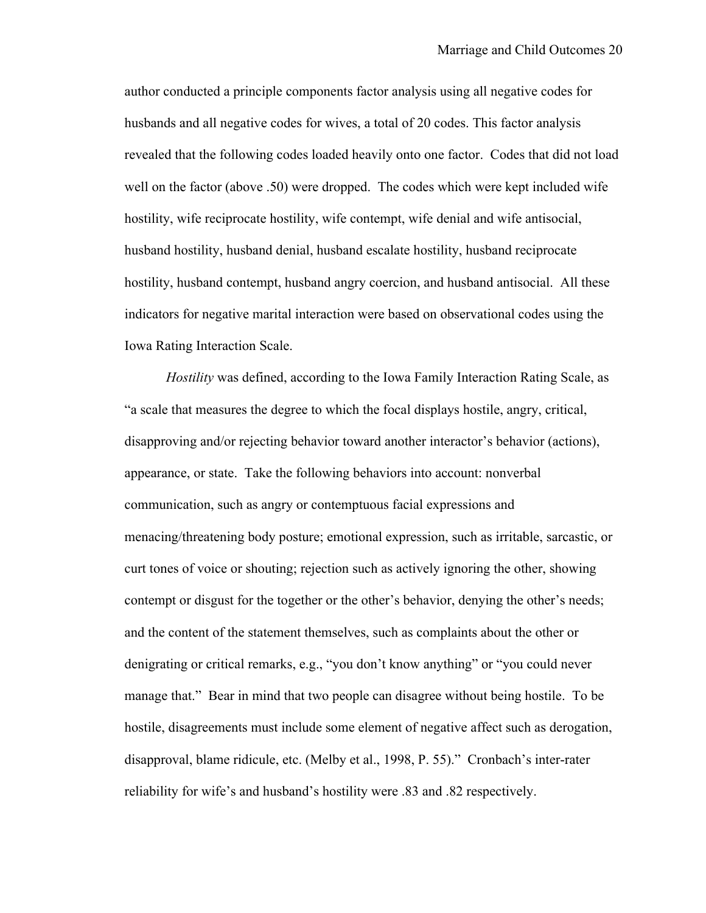author conducted a principle components factor analysis using all negative codes for husbands and all negative codes for wives, a total of 20 codes. This factor analysis revealed that the following codes loaded heavily onto one factor. Codes that did not load well on the factor (above .50) were dropped. The codes which were kept included wife hostility, wife reciprocate hostility, wife contempt, wife denial and wife antisocial, husband hostility, husband denial, husband escalate hostility, husband reciprocate hostility, husband contempt, husband angry coercion, and husband antisocial. All these indicators for negative marital interaction were based on observational codes using the Iowa Rating Interaction Scale.

*Hostility* was defined, according to the Iowa Family Interaction Rating Scale, as "a scale that measures the degree to which the focal displays hostile, angry, critical, disapproving and/or rejecting behavior toward another interactor's behavior (actions), appearance, or state. Take the following behaviors into account: nonverbal communication, such as angry or contemptuous facial expressions and menacing/threatening body posture; emotional expression, such as irritable, sarcastic, or curt tones of voice or shouting; rejection such as actively ignoring the other, showing contempt or disgust for the together or the other's behavior, denying the other's needs; and the content of the statement themselves, such as complaints about the other or denigrating or critical remarks, e.g., "you don't know anything" or "you could never manage that." Bear in mind that two people can disagree without being hostile. To be hostile, disagreements must include some element of negative affect such as derogation, disapproval, blame ridicule, etc. (Melby et al., 1998, P. 55)." Cronbach's inter-rater reliability for wife's and husband's hostility were .83 and .82 respectively.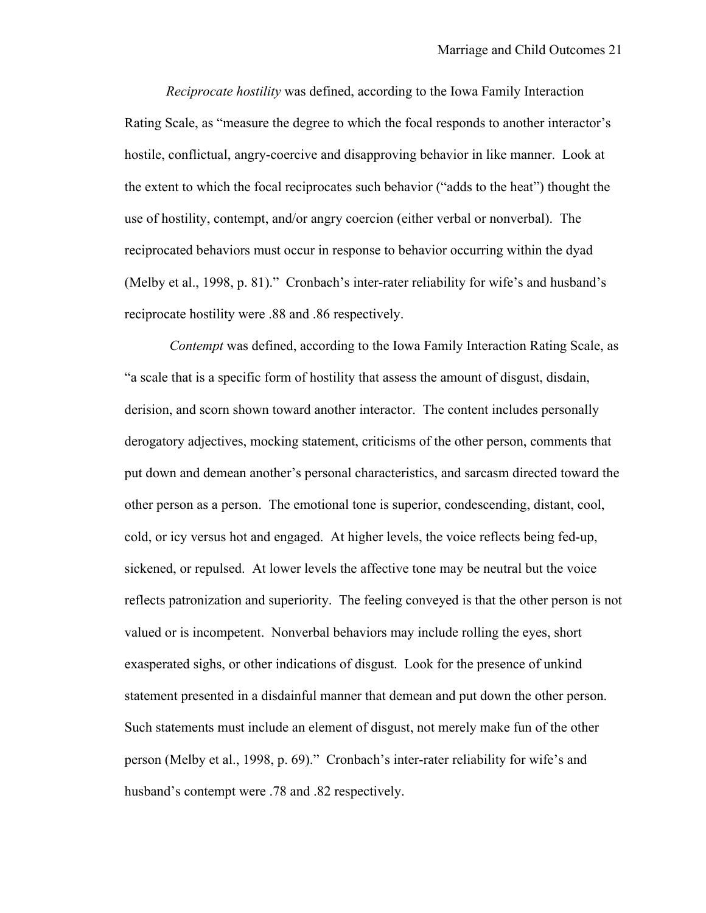*Reciprocate hostility* was defined, according to the Iowa Family Interaction Rating Scale, as "measure the degree to which the focal responds to another interactor's hostile, conflictual, angry-coercive and disapproving behavior in like manner. Look at the extent to which the focal reciprocates such behavior ("adds to the heat") thought the use of hostility, contempt, and/or angry coercion (either verbal or nonverbal). The reciprocated behaviors must occur in response to behavior occurring within the dyad (Melby et al., 1998, p. 81)." Cronbach's inter-rater reliability for wife's and husband's reciprocate hostility were .88 and .86 respectively.

*Contempt* was defined, according to the Iowa Family Interaction Rating Scale, as "a scale that is a specific form of hostility that assess the amount of disgust, disdain, derision, and scorn shown toward another interactor. The content includes personally derogatory adjectives, mocking statement, criticisms of the other person, comments that put down and demean another's personal characteristics, and sarcasm directed toward the other person as a person. The emotional tone is superior, condescending, distant, cool, cold, or icy versus hot and engaged. At higher levels, the voice reflects being fed-up, sickened, or repulsed. At lower levels the affective tone may be neutral but the voice reflects patronization and superiority. The feeling conveyed is that the other person is not valued or is incompetent. Nonverbal behaviors may include rolling the eyes, short exasperated sighs, or other indications of disgust. Look for the presence of unkind statement presented in a disdainful manner that demean and put down the other person. Such statements must include an element of disgust, not merely make fun of the other person (Melby et al., 1998, p. 69)." Cronbach's inter-rater reliability for wife's and husband's contempt were .78 and .82 respectively.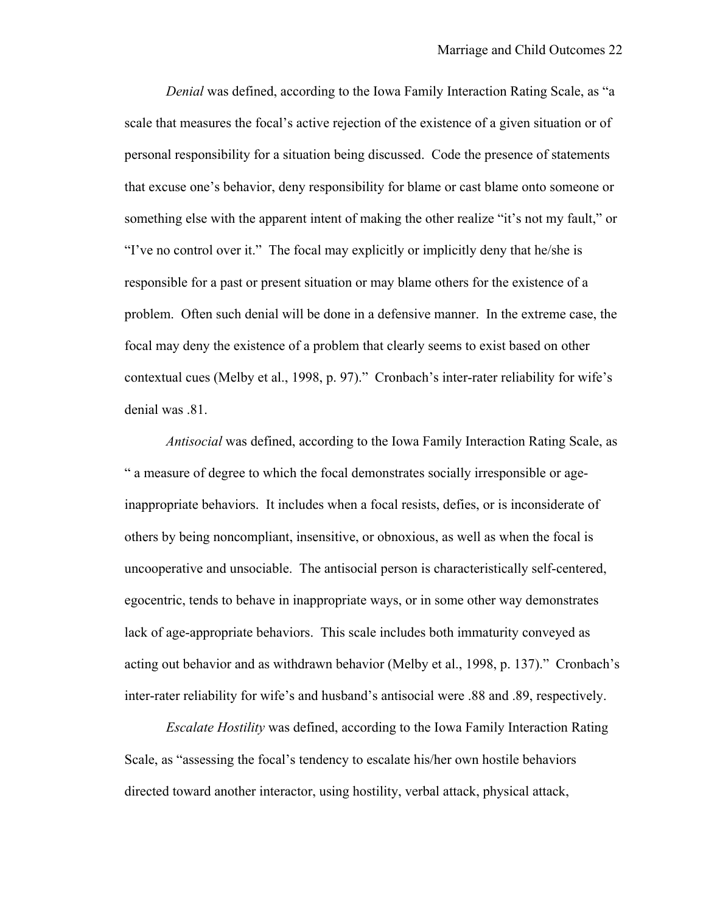*Denial* was defined, according to the Iowa Family Interaction Rating Scale, as "a scale that measures the focal's active rejection of the existence of a given situation or of personal responsibility for a situation being discussed. Code the presence of statements that excuse one's behavior, deny responsibility for blame or cast blame onto someone or something else with the apparent intent of making the other realize "it's not my fault," or "I've no control over it." The focal may explicitly or implicitly deny that he/she is responsible for a past or present situation or may blame others for the existence of a problem. Often such denial will be done in a defensive manner. In the extreme case, the focal may deny the existence of a problem that clearly seems to exist based on other contextual cues (Melby et al., 1998, p. 97)." Cronbach's inter-rater reliability for wife's denial was .81.

*Antisocial* was defined, according to the Iowa Family Interaction Rating Scale, as " a measure of degree to which the focal demonstrates socially irresponsible or ageinappropriate behaviors. It includes when a focal resists, defies, or is inconsiderate of others by being noncompliant, insensitive, or obnoxious, as well as when the focal is uncooperative and unsociable. The antisocial person is characteristically self-centered, egocentric, tends to behave in inappropriate ways, or in some other way demonstrates lack of age-appropriate behaviors. This scale includes both immaturity conveyed as acting out behavior and as withdrawn behavior (Melby et al., 1998, p. 137)." Cronbach's inter-rater reliability for wife's and husband's antisocial were .88 and .89, respectively.

*Escalate Hostility* was defined, according to the Iowa Family Interaction Rating Scale, as "assessing the focal's tendency to escalate his/her own hostile behaviors directed toward another interactor, using hostility, verbal attack, physical attack,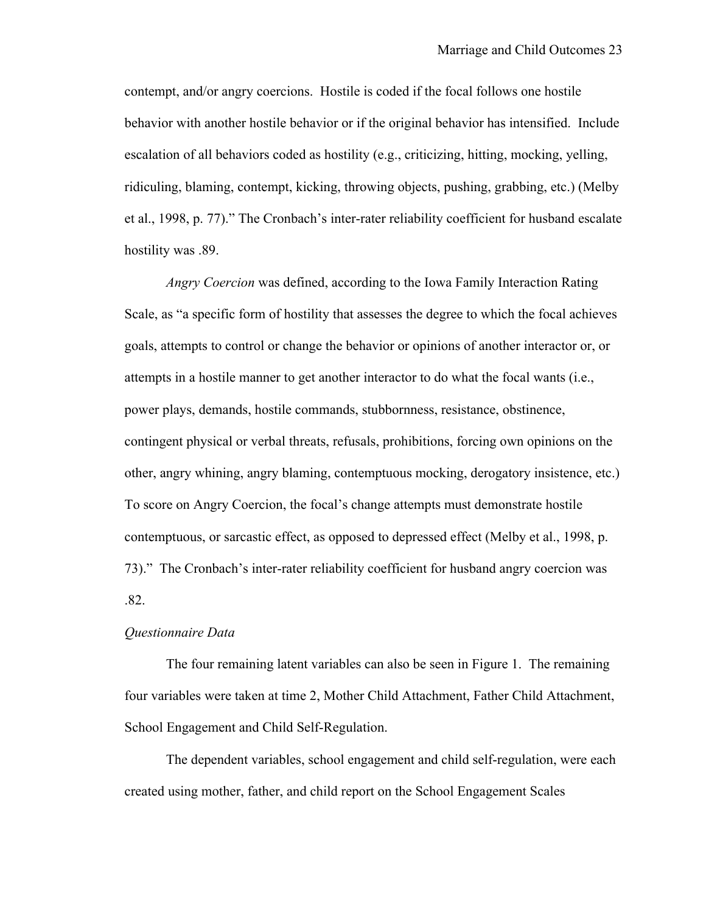contempt, and/or angry coercions. Hostile is coded if the focal follows one hostile behavior with another hostile behavior or if the original behavior has intensified. Include escalation of all behaviors coded as hostility (e.g., criticizing, hitting, mocking, yelling, ridiculing, blaming, contempt, kicking, throwing objects, pushing, grabbing, etc.) (Melby et al., 1998, p. 77)." The Cronbach's inter-rater reliability coefficient for husband escalate hostility was .89.

*Angry Coercion* was defined, according to the Iowa Family Interaction Rating Scale, as "a specific form of hostility that assesses the degree to which the focal achieves goals, attempts to control or change the behavior or opinions of another interactor or, or attempts in a hostile manner to get another interactor to do what the focal wants (i.e., power plays, demands, hostile commands, stubbornness, resistance, obstinence, contingent physical or verbal threats, refusals, prohibitions, forcing own opinions on the other, angry whining, angry blaming, contemptuous mocking, derogatory insistence, etc.) To score on Angry Coercion, the focal's change attempts must demonstrate hostile contemptuous, or sarcastic effect, as opposed to depressed effect (Melby et al., 1998, p. 73)." The Cronbach's inter-rater reliability coefficient for husband angry coercion was .82.

#### *Questionnaire Data*

The four remaining latent variables can also be seen in Figure 1. The remaining four variables were taken at time 2, Mother Child Attachment, Father Child Attachment, School Engagement and Child Self-Regulation.

The dependent variables, school engagement and child self-regulation, were each created using mother, father, and child report on the School Engagement Scales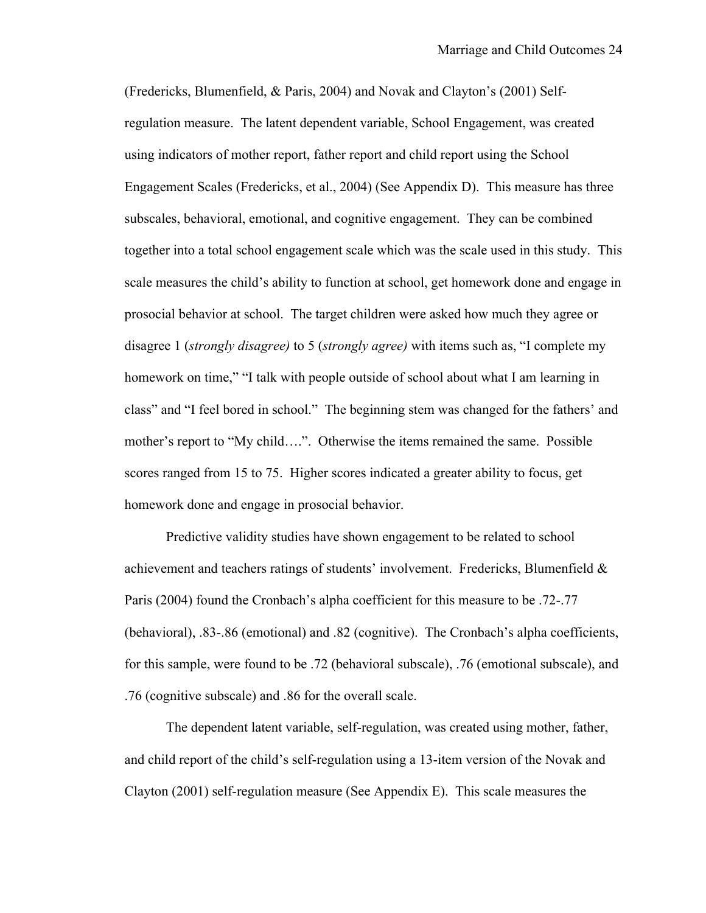(Fredericks, Blumenfield, & Paris, 2004) and Novak and Clayton's (2001) Selfregulation measure. The latent dependent variable, School Engagement, was created using indicators of mother report, father report and child report using the School Engagement Scales (Fredericks, et al., 2004) (See Appendix D). This measure has three subscales, behavioral, emotional, and cognitive engagement. They can be combined together into a total school engagement scale which was the scale used in this study. This scale measures the child's ability to function at school, get homework done and engage in prosocial behavior at school. The target children were asked how much they agree or disagree 1 (*strongly disagree)* to 5 (*strongly agree)* with items such as, "I complete my homework on time," "I talk with people outside of school about what I am learning in class" and "I feel bored in school." The beginning stem was changed for the fathers' and mother's report to "My child….". Otherwise the items remained the same. Possible scores ranged from 15 to 75. Higher scores indicated a greater ability to focus, get homework done and engage in prosocial behavior.

Predictive validity studies have shown engagement to be related to school achievement and teachers ratings of students' involvement. Fredericks, Blumenfield & Paris (2004) found the Cronbach's alpha coefficient for this measure to be .72-.77 (behavioral), .83-.86 (emotional) and .82 (cognitive). The Cronbach's alpha coefficients, for this sample, were found to be .72 (behavioral subscale), .76 (emotional subscale), and .76 (cognitive subscale) and .86 for the overall scale.

The dependent latent variable, self-regulation, was created using mother, father, and child report of the child's self-regulation using a 13-item version of the Novak and Clayton (2001) self-regulation measure (See Appendix E). This scale measures the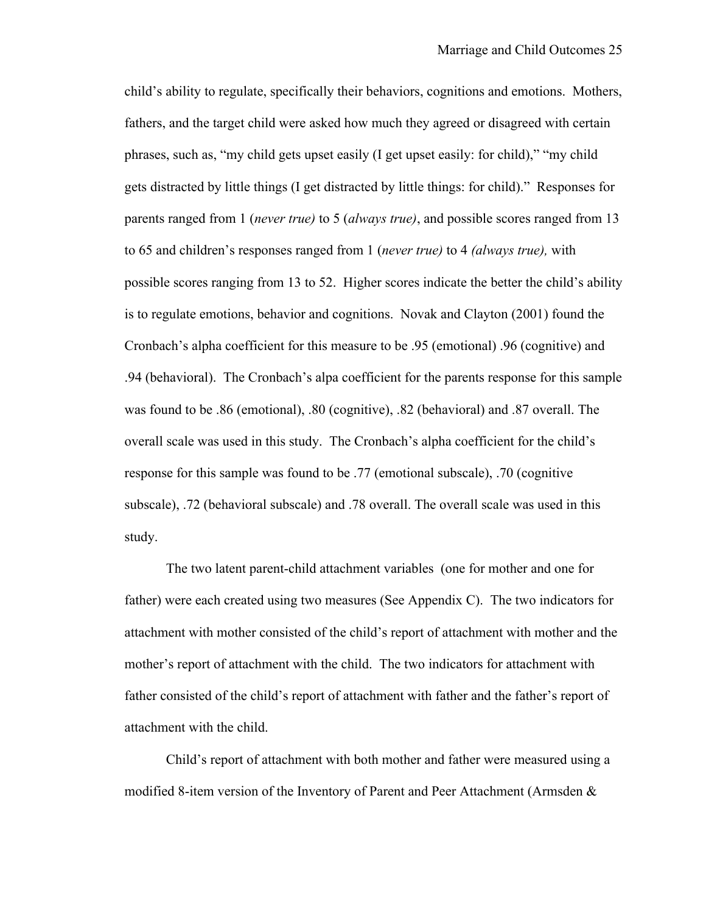child's ability to regulate, specifically their behaviors, cognitions and emotions. Mothers, fathers, and the target child were asked how much they agreed or disagreed with certain phrases, such as, "my child gets upset easily (I get upset easily: for child)," "my child gets distracted by little things (I get distracted by little things: for child)." Responses for parents ranged from 1 (*never true)* to 5 (*always true)*, and possible scores ranged from 13 to 65 and children's responses ranged from 1 (*never true)* to 4 *(always true),* with possible scores ranging from 13 to 52. Higher scores indicate the better the child's ability is to regulate emotions, behavior and cognitions. Novak and Clayton (2001) found the Cronbach's alpha coefficient for this measure to be .95 (emotional) .96 (cognitive) and .94 (behavioral). The Cronbach's alpa coefficient for the parents response for this sample was found to be .86 (emotional), .80 (cognitive), .82 (behavioral) and .87 overall. The overall scale was used in this study. The Cronbach's alpha coefficient for the child's response for this sample was found to be .77 (emotional subscale), .70 (cognitive subscale), .72 (behavioral subscale) and .78 overall. The overall scale was used in this study.

The two latent parent-child attachment variables (one for mother and one for father) were each created using two measures (See Appendix C). The two indicators for attachment with mother consisted of the child's report of attachment with mother and the mother's report of attachment with the child. The two indicators for attachment with father consisted of the child's report of attachment with father and the father's report of attachment with the child.

Child's report of attachment with both mother and father were measured using a modified 8-item version of the Inventory of Parent and Peer Attachment (Armsden &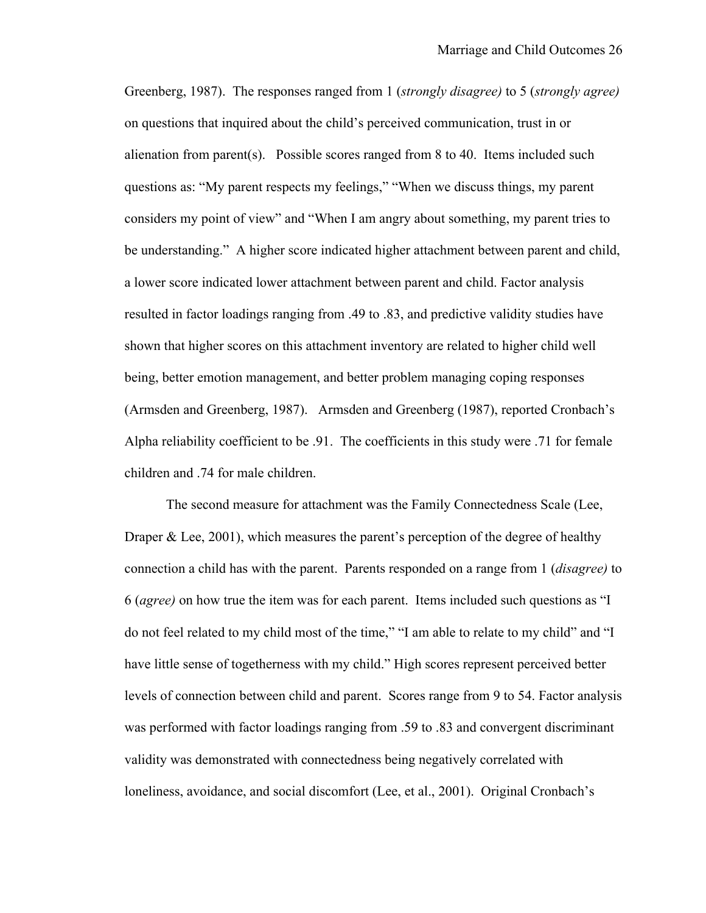Greenberg, 1987). The responses ranged from 1 (*strongly disagree)* to 5 (*strongly agree)* on questions that inquired about the child's perceived communication, trust in or alienation from parent(s). Possible scores ranged from 8 to 40. Items included such questions as: "My parent respects my feelings," "When we discuss things, my parent considers my point of view" and "When I am angry about something, my parent tries to be understanding." A higher score indicated higher attachment between parent and child, a lower score indicated lower attachment between parent and child. Factor analysis resulted in factor loadings ranging from .49 to .83, and predictive validity studies have shown that higher scores on this attachment inventory are related to higher child well being, better emotion management, and better problem managing coping responses (Armsden and Greenberg, 1987). Armsden and Greenberg (1987), reported Cronbach's Alpha reliability coefficient to be .91. The coefficients in this study were .71 for female children and .74 for male children.

The second measure for attachment was the Family Connectedness Scale (Lee, Draper & Lee, 2001), which measures the parent's perception of the degree of healthy connection a child has with the parent. Parents responded on a range from 1 (*disagree)* to 6 (*agree)* on how true the item was for each parent. Items included such questions as "I do not feel related to my child most of the time," "I am able to relate to my child" and "I have little sense of togetherness with my child." High scores represent perceived better levels of connection between child and parent. Scores range from 9 to 54. Factor analysis was performed with factor loadings ranging from .59 to .83 and convergent discriminant validity was demonstrated with connectedness being negatively correlated with loneliness, avoidance, and social discomfort (Lee, et al., 2001). Original Cronbach's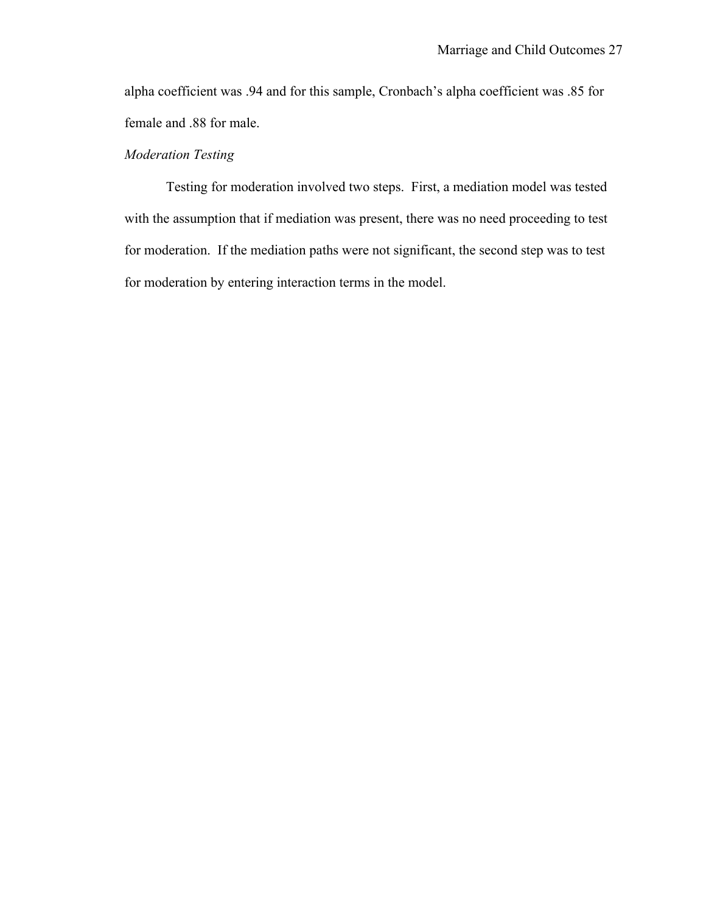alpha coefficient was .94 and for this sample, Cronbach's alpha coefficient was .85 for female and .88 for male.

# *Moderation Testing*

Testing for moderation involved two steps. First, a mediation model was tested with the assumption that if mediation was present, there was no need proceeding to test for moderation. If the mediation paths were not significant, the second step was to test for moderation by entering interaction terms in the model.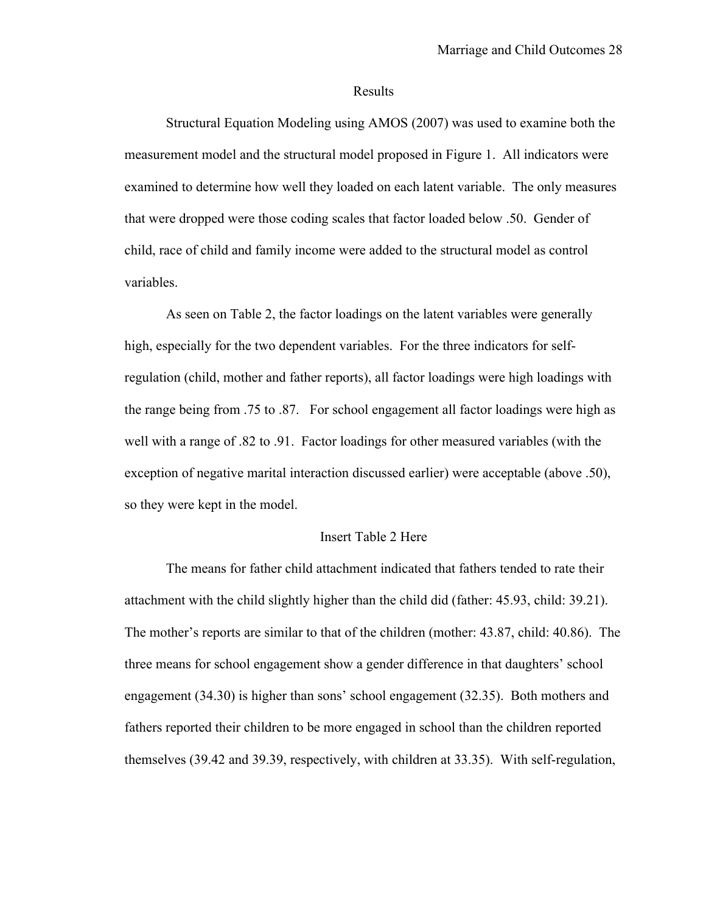#### Results

Structural Equation Modeling using AMOS (2007) was used to examine both the measurement model and the structural model proposed in Figure 1. All indicators were examined to determine how well they loaded on each latent variable. The only measures that were dropped were those coding scales that factor loaded below .50. Gender of child, race of child and family income were added to the structural model as control variables.

As seen on Table 2, the factor loadings on the latent variables were generally high, especially for the two dependent variables. For the three indicators for selfregulation (child, mother and father reports), all factor loadings were high loadings with the range being from .75 to .87. For school engagement all factor loadings were high as well with a range of .82 to .91. Factor loadings for other measured variables (with the exception of negative marital interaction discussed earlier) were acceptable (above .50), so they were kept in the model.

#### Insert Table 2 Here

The means for father child attachment indicated that fathers tended to rate their attachment with the child slightly higher than the child did (father: 45.93, child: 39.21). The mother's reports are similar to that of the children (mother: 43.87, child: 40.86). The three means for school engagement show a gender difference in that daughters' school engagement (34.30) is higher than sons' school engagement (32.35). Both mothers and fathers reported their children to be more engaged in school than the children reported themselves (39.42 and 39.39, respectively, with children at 33.35). With self-regulation,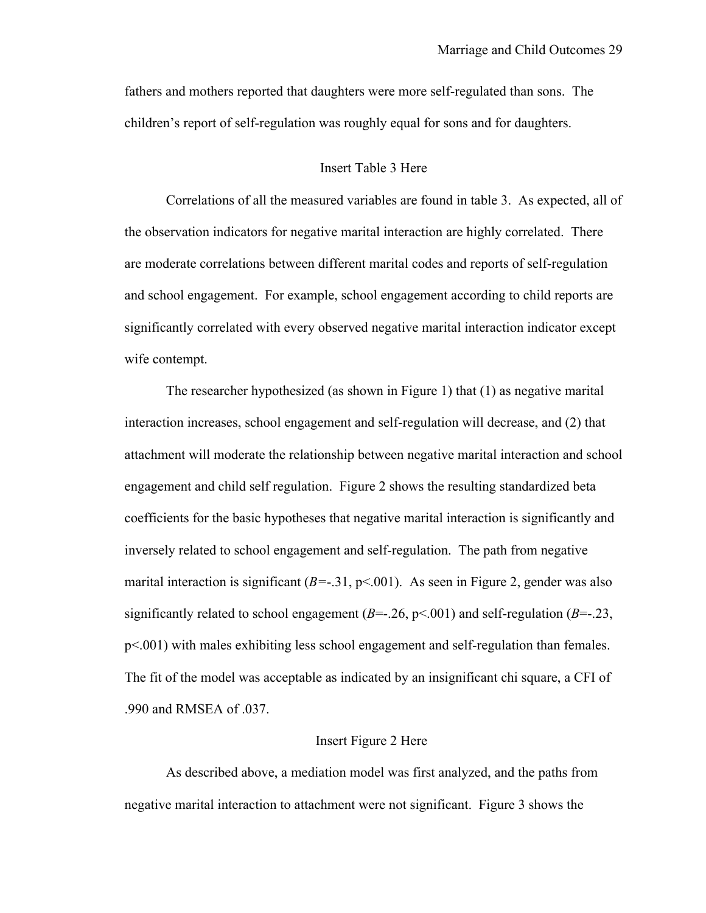fathers and mothers reported that daughters were more self-regulated than sons. The children's report of self-regulation was roughly equal for sons and for daughters.

#### Insert Table 3 Here

Correlations of all the measured variables are found in table 3. As expected, all of the observation indicators for negative marital interaction are highly correlated. There are moderate correlations between different marital codes and reports of self-regulation and school engagement. For example, school engagement according to child reports are significantly correlated with every observed negative marital interaction indicator except wife contempt.

The researcher hypothesized (as shown in Figure 1) that (1) as negative marital interaction increases, school engagement and self-regulation will decrease, and (2) that attachment will moderate the relationship between negative marital interaction and school engagement and child self regulation. Figure 2 shows the resulting standardized beta coefficients for the basic hypotheses that negative marital interaction is significantly and inversely related to school engagement and self-regulation. The path from negative marital interaction is significant  $(B=-.31, p<.001)$ . As seen in Figure 2, gender was also significantly related to school engagement  $(B=-.26, p<.001)$  and self-regulation  $(B=-.23, p<.001)$ p<.001) with males exhibiting less school engagement and self-regulation than females. The fit of the model was acceptable as indicated by an insignificant chi square, a CFI of .990 and RMSEA of .037.

#### Insert Figure 2 Here

As described above, a mediation model was first analyzed, and the paths from negative marital interaction to attachment were not significant. Figure 3 shows the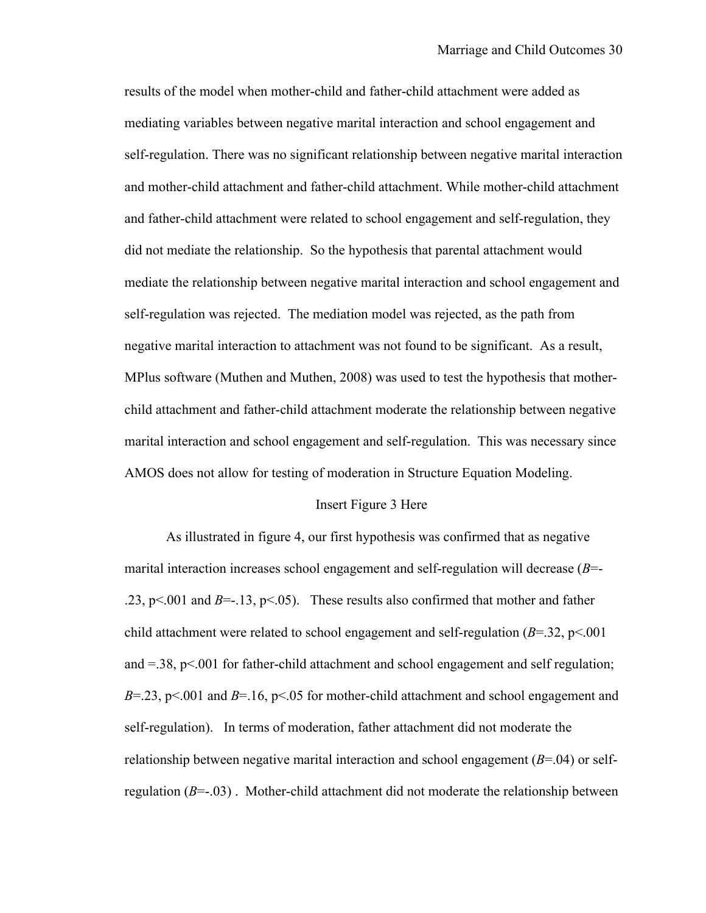results of the model when mother-child and father-child attachment were added as mediating variables between negative marital interaction and school engagement and self-regulation. There was no significant relationship between negative marital interaction and mother-child attachment and father-child attachment. While mother-child attachment and father-child attachment were related to school engagement and self-regulation, they did not mediate the relationship. So the hypothesis that parental attachment would mediate the relationship between negative marital interaction and school engagement and self-regulation was rejected. The mediation model was rejected, as the path from negative marital interaction to attachment was not found to be significant. As a result, MPlus software (Muthen and Muthen, 2008) was used to test the hypothesis that motherchild attachment and father-child attachment moderate the relationship between negative marital interaction and school engagement and self-regulation. This was necessary since AMOS does not allow for testing of moderation in Structure Equation Modeling.

#### Insert Figure 3 Here

As illustrated in figure 4, our first hypothesis was confirmed that as negative marital interaction increases school engagement and self-regulation will decrease (*B*=- .23, p $\leq$  001 and *B*=-.13, p $\leq$ .05). These results also confirmed that mother and father child attachment were related to school engagement and self-regulation  $(B=32, p<.001)$ and  $=38$ ,  $p<.001$  for father-child attachment and school engagement and self regulation; *B*=.23, p<.001 and *B*=.16, p<.05 for mother-child attachment and school engagement and self-regulation). In terms of moderation, father attachment did not moderate the relationship between negative marital interaction and school engagement  $(B=04)$  or selfregulation  $(B=-.03)$ . Mother-child attachment did not moderate the relationship between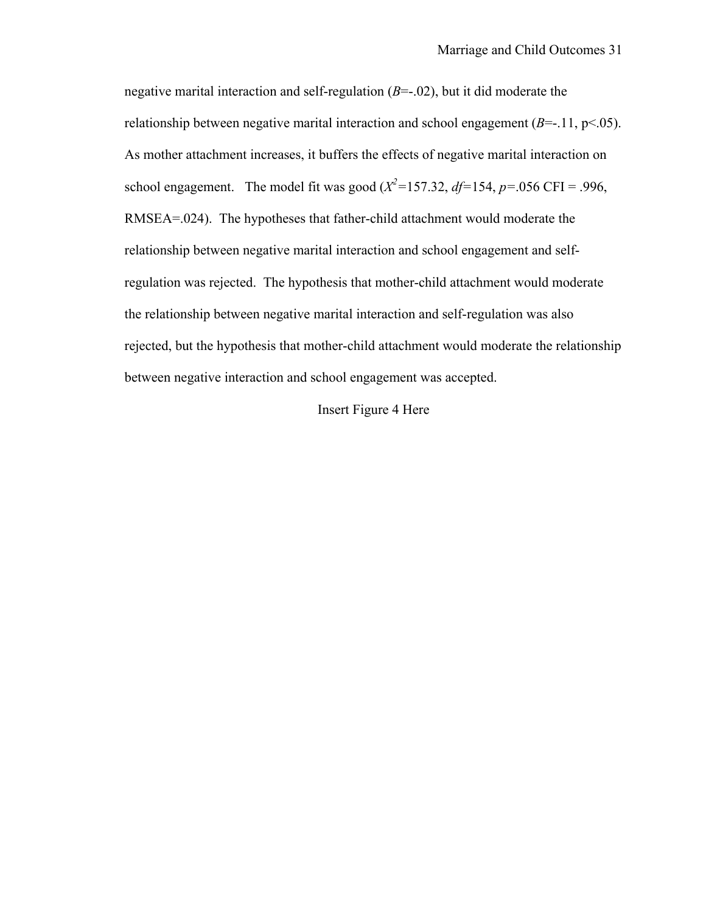negative marital interaction and self-regulation (*B*=-.02), but it did moderate the relationship between negative marital interaction and school engagement  $(B=-.11, p<.05)$ . As mother attachment increases, it buffers the effects of negative marital interaction on school engagement. The model fit was good ( $X^2$ =157.32, *df*=154, *p*=.056 CFI = .996, RMSEA=.024). The hypotheses that father-child attachment would moderate the relationship between negative marital interaction and school engagement and selfregulation was rejected. The hypothesis that mother-child attachment would moderate the relationship between negative marital interaction and self-regulation was also rejected, but the hypothesis that mother-child attachment would moderate the relationship between negative interaction and school engagement was accepted.

## Insert Figure 4 Here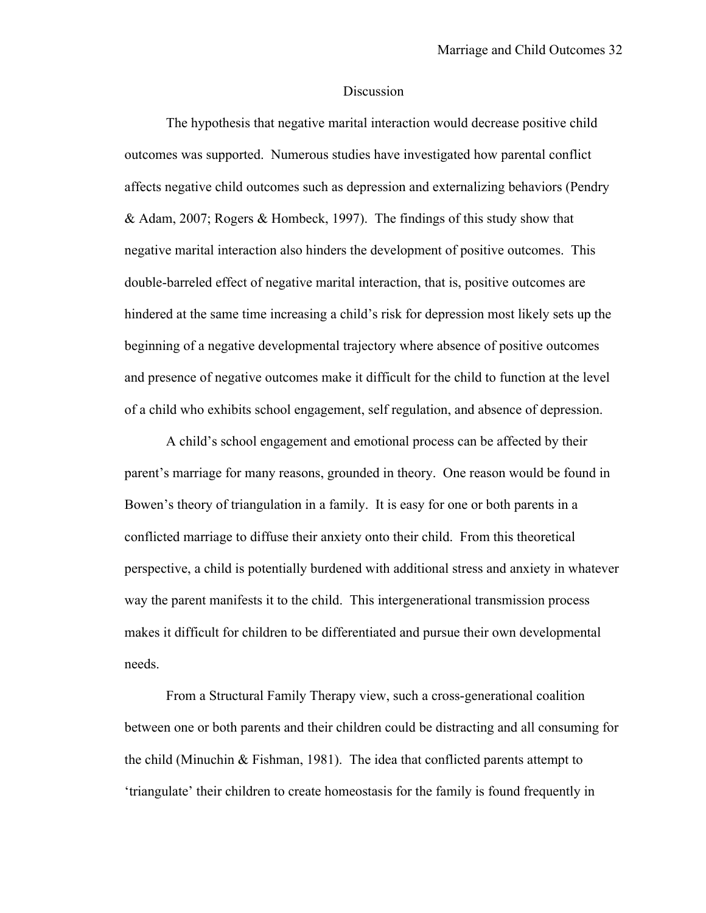#### **Discussion**

The hypothesis that negative marital interaction would decrease positive child outcomes was supported. Numerous studies have investigated how parental conflict affects negative child outcomes such as depression and externalizing behaviors (Pendry & Adam, 2007; Rogers & Hombeck, 1997). The findings of this study show that negative marital interaction also hinders the development of positive outcomes. This double-barreled effect of negative marital interaction, that is, positive outcomes are hindered at the same time increasing a child's risk for depression most likely sets up the beginning of a negative developmental trajectory where absence of positive outcomes and presence of negative outcomes make it difficult for the child to function at the level of a child who exhibits school engagement, self regulation, and absence of depression.

A child's school engagement and emotional process can be affected by their parent's marriage for many reasons, grounded in theory. One reason would be found in Bowen's theory of triangulation in a family. It is easy for one or both parents in a conflicted marriage to diffuse their anxiety onto their child. From this theoretical perspective, a child is potentially burdened with additional stress and anxiety in whatever way the parent manifests it to the child. This intergenerational transmission process makes it difficult for children to be differentiated and pursue their own developmental needs.

From a Structural Family Therapy view, such a cross-generational coalition between one or both parents and their children could be distracting and all consuming for the child (Minuchin & Fishman, 1981). The idea that conflicted parents attempt to 'triangulate' their children to create homeostasis for the family is found frequently in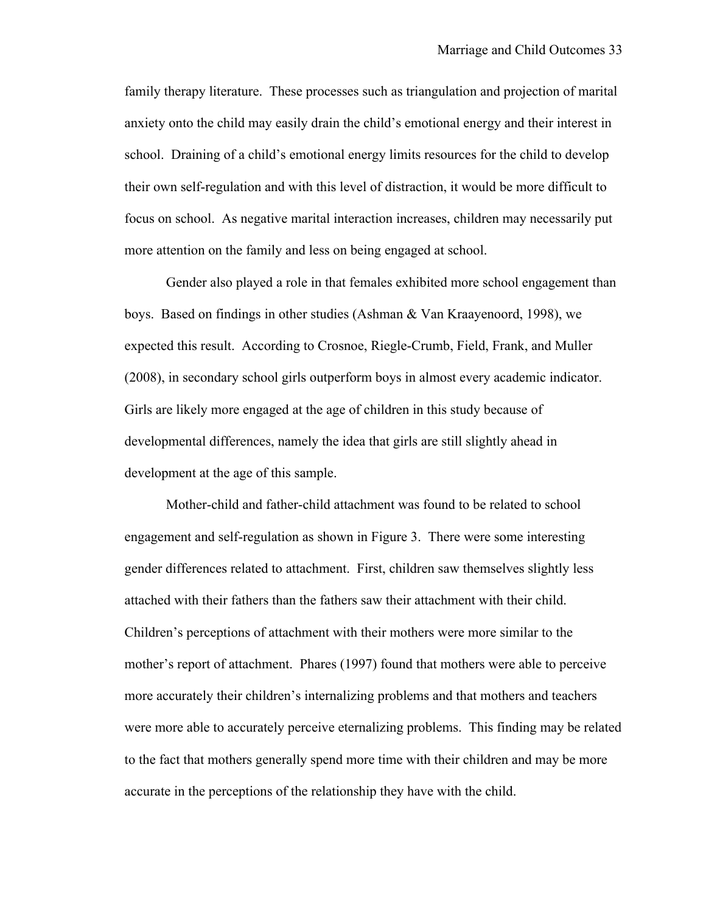family therapy literature. These processes such as triangulation and projection of marital anxiety onto the child may easily drain the child's emotional energy and their interest in school. Draining of a child's emotional energy limits resources for the child to develop their own self-regulation and with this level of distraction, it would be more difficult to focus on school. As negative marital interaction increases, children may necessarily put more attention on the family and less on being engaged at school.

Gender also played a role in that females exhibited more school engagement than boys. Based on findings in other studies (Ashman & Van Kraayenoord, 1998), we expected this result. According to Crosnoe, Riegle-Crumb, Field, Frank, and Muller (2008), in secondary school girls outperform boys in almost every academic indicator. Girls are likely more engaged at the age of children in this study because of developmental differences, namely the idea that girls are still slightly ahead in development at the age of this sample.

Mother-child and father-child attachment was found to be related to school engagement and self-regulation as shown in Figure 3. There were some interesting gender differences related to attachment. First, children saw themselves slightly less attached with their fathers than the fathers saw their attachment with their child. Children's perceptions of attachment with their mothers were more similar to the mother's report of attachment. Phares (1997) found that mothers were able to perceive more accurately their children's internalizing problems and that mothers and teachers were more able to accurately perceive eternalizing problems. This finding may be related to the fact that mothers generally spend more time with their children and may be more accurate in the perceptions of the relationship they have with the child.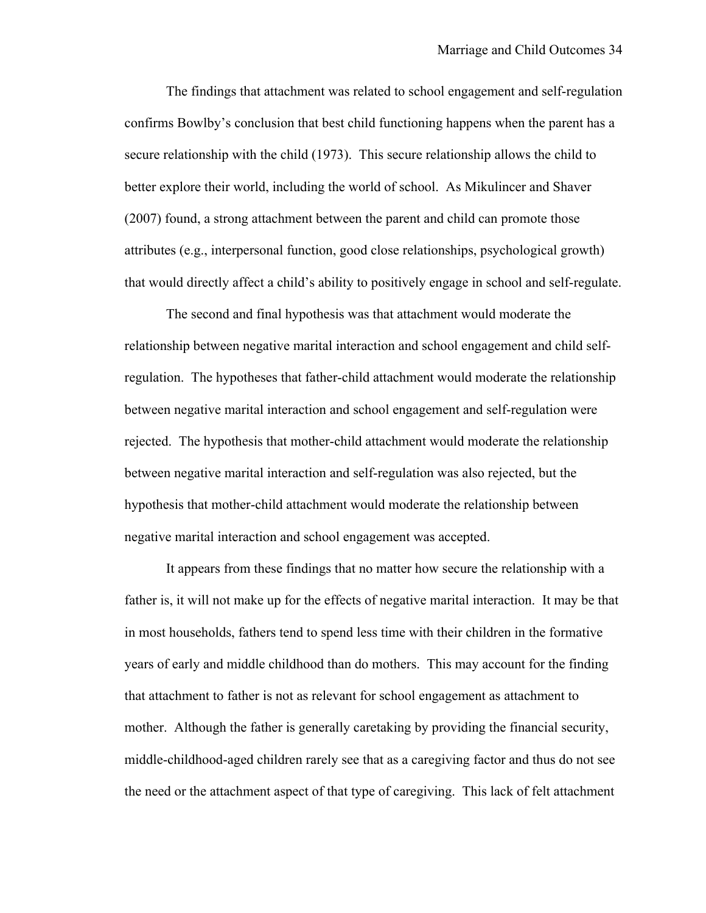The findings that attachment was related to school engagement and self-regulation confirms Bowlby's conclusion that best child functioning happens when the parent has a secure relationship with the child (1973). This secure relationship allows the child to better explore their world, including the world of school. As Mikulincer and Shaver (2007) found, a strong attachment between the parent and child can promote those attributes (e.g., interpersonal function, good close relationships, psychological growth) that would directly affect a child's ability to positively engage in school and self-regulate.

The second and final hypothesis was that attachment would moderate the relationship between negative marital interaction and school engagement and child selfregulation. The hypotheses that father-child attachment would moderate the relationship between negative marital interaction and school engagement and self-regulation were rejected. The hypothesis that mother-child attachment would moderate the relationship between negative marital interaction and self-regulation was also rejected, but the hypothesis that mother-child attachment would moderate the relationship between negative marital interaction and school engagement was accepted.

It appears from these findings that no matter how secure the relationship with a father is, it will not make up for the effects of negative marital interaction. It may be that in most households, fathers tend to spend less time with their children in the formative years of early and middle childhood than do mothers. This may account for the finding that attachment to father is not as relevant for school engagement as attachment to mother. Although the father is generally caretaking by providing the financial security, middle-childhood-aged children rarely see that as a caregiving factor and thus do not see the need or the attachment aspect of that type of caregiving. This lack of felt attachment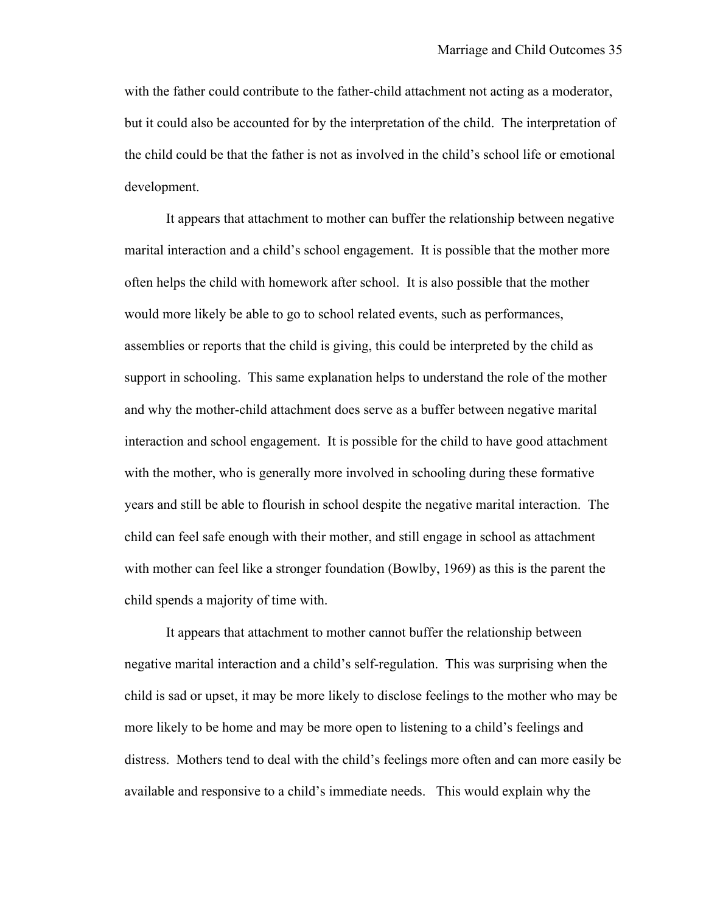with the father could contribute to the father-child attachment not acting as a moderator, but it could also be accounted for by the interpretation of the child. The interpretation of the child could be that the father is not as involved in the child's school life or emotional development.

It appears that attachment to mother can buffer the relationship between negative marital interaction and a child's school engagement. It is possible that the mother more often helps the child with homework after school. It is also possible that the mother would more likely be able to go to school related events, such as performances, assemblies or reports that the child is giving, this could be interpreted by the child as support in schooling. This same explanation helps to understand the role of the mother and why the mother-child attachment does serve as a buffer between negative marital interaction and school engagement. It is possible for the child to have good attachment with the mother, who is generally more involved in schooling during these formative years and still be able to flourish in school despite the negative marital interaction. The child can feel safe enough with their mother, and still engage in school as attachment with mother can feel like a stronger foundation (Bowlby, 1969) as this is the parent the child spends a majority of time with.

It appears that attachment to mother cannot buffer the relationship between negative marital interaction and a child's self-regulation. This was surprising when the child is sad or upset, it may be more likely to disclose feelings to the mother who may be more likely to be home and may be more open to listening to a child's feelings and distress. Mothers tend to deal with the child's feelings more often and can more easily be available and responsive to a child's immediate needs. This would explain why the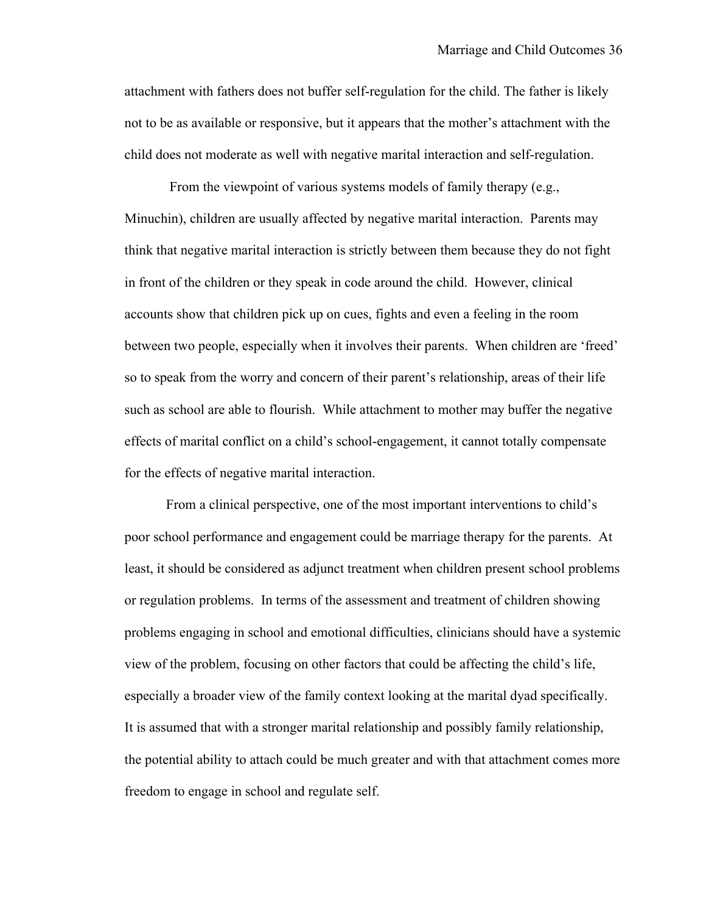attachment with fathers does not buffer self-regulation for the child. The father is likely not to be as available or responsive, but it appears that the mother's attachment with the child does not moderate as well with negative marital interaction and self-regulation.

From the viewpoint of various systems models of family therapy (e.g., Minuchin), children are usually affected by negative marital interaction. Parents may think that negative marital interaction is strictly between them because they do not fight in front of the children or they speak in code around the child. However, clinical accounts show that children pick up on cues, fights and even a feeling in the room between two people, especially when it involves their parents. When children are 'freed' so to speak from the worry and concern of their parent's relationship, areas of their life such as school are able to flourish. While attachment to mother may buffer the negative effects of marital conflict on a child's school-engagement, it cannot totally compensate for the effects of negative marital interaction.

From a clinical perspective, one of the most important interventions to child's poor school performance and engagement could be marriage therapy for the parents. At least, it should be considered as adjunct treatment when children present school problems or regulation problems. In terms of the assessment and treatment of children showing problems engaging in school and emotional difficulties, clinicians should have a systemic view of the problem, focusing on other factors that could be affecting the child's life, especially a broader view of the family context looking at the marital dyad specifically. It is assumed that with a stronger marital relationship and possibly family relationship, the potential ability to attach could be much greater and with that attachment comes more freedom to engage in school and regulate self.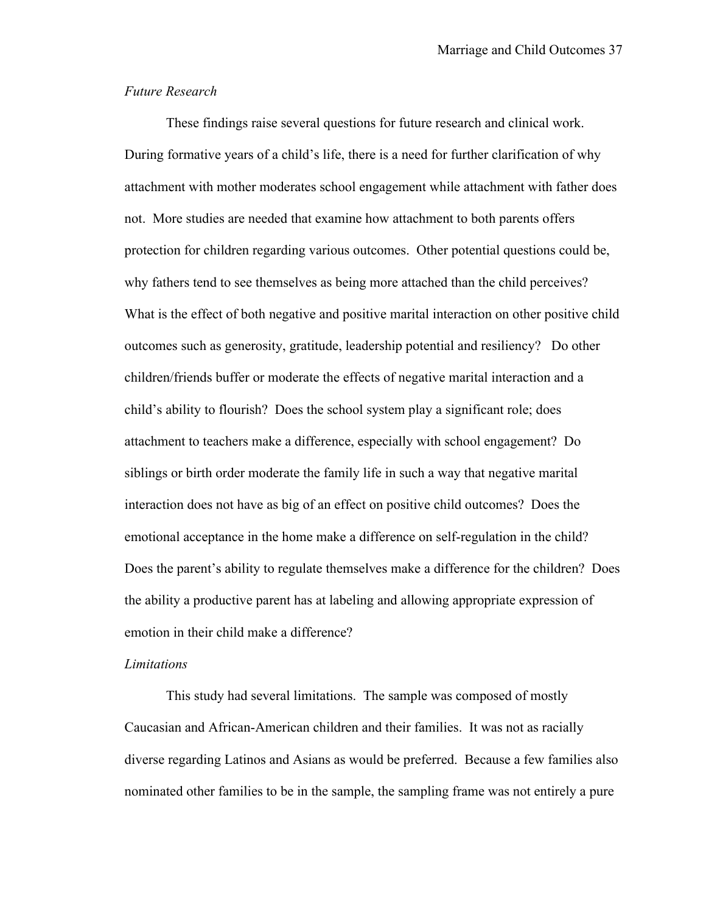### *Future Research*

These findings raise several questions for future research and clinical work. During formative years of a child's life, there is a need for further clarification of why attachment with mother moderates school engagement while attachment with father does not. More studies are needed that examine how attachment to both parents offers protection for children regarding various outcomes. Other potential questions could be, why fathers tend to see themselves as being more attached than the child perceives? What is the effect of both negative and positive marital interaction on other positive child outcomes such as generosity, gratitude, leadership potential and resiliency? Do other children/friends buffer or moderate the effects of negative marital interaction and a child's ability to flourish? Does the school system play a significant role; does attachment to teachers make a difference, especially with school engagement? Do siblings or birth order moderate the family life in such a way that negative marital interaction does not have as big of an effect on positive child outcomes? Does the emotional acceptance in the home make a difference on self-regulation in the child? Does the parent's ability to regulate themselves make a difference for the children? Does the ability a productive parent has at labeling and allowing appropriate expression of emotion in their child make a difference?

#### *Limitations*

This study had several limitations. The sample was composed of mostly Caucasian and African-American children and their families. It was not as racially diverse regarding Latinos and Asians as would be preferred. Because a few families also nominated other families to be in the sample, the sampling frame was not entirely a pure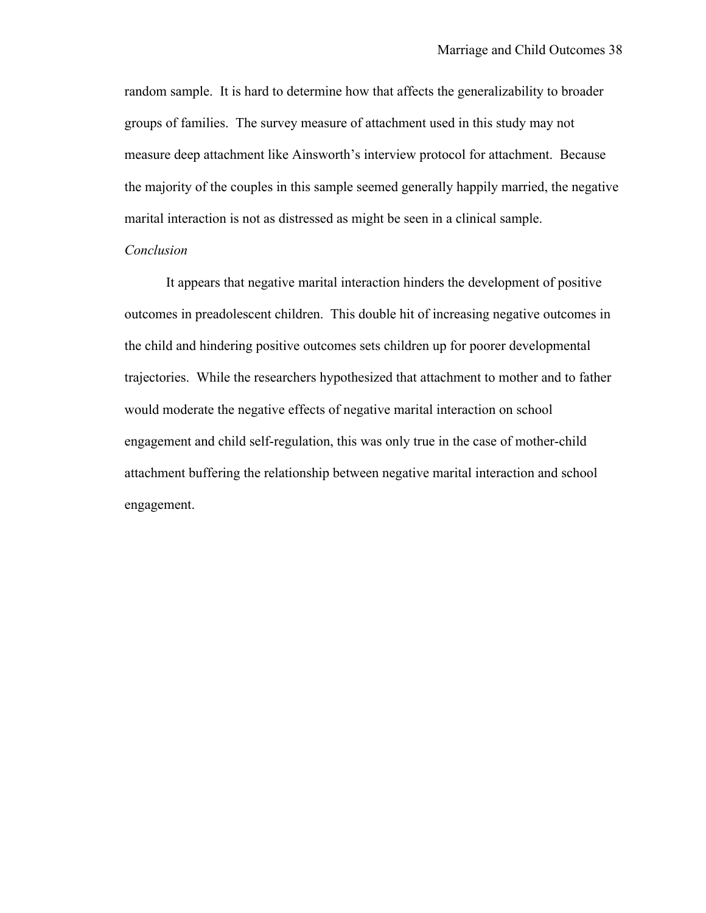random sample. It is hard to determine how that affects the generalizability to broader groups of families. The survey measure of attachment used in this study may not measure deep attachment like Ainsworth's interview protocol for attachment. Because the majority of the couples in this sample seemed generally happily married, the negative marital interaction is not as distressed as might be seen in a clinical sample.

### *Conclusion*

It appears that negative marital interaction hinders the development of positive outcomes in preadolescent children. This double hit of increasing negative outcomes in the child and hindering positive outcomes sets children up for poorer developmental trajectories. While the researchers hypothesized that attachment to mother and to father would moderate the negative effects of negative marital interaction on school engagement and child self-regulation, this was only true in the case of mother-child attachment buffering the relationship between negative marital interaction and school engagement.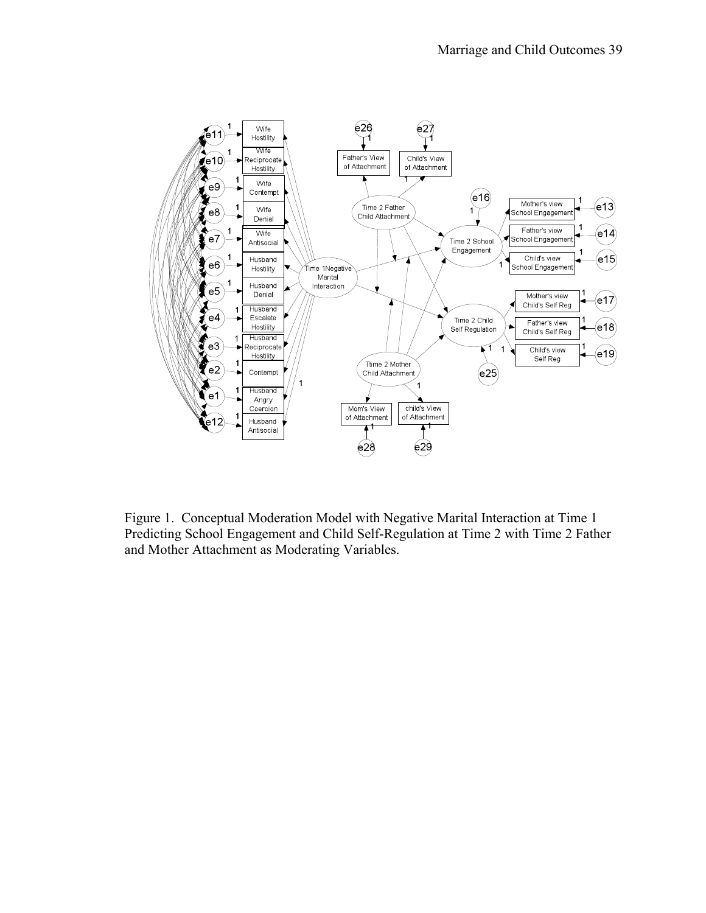

Figure 1. Conceptual Moderation Model with Negative Marital Interaction at Time 1 Predicting School Engagement and Child Self-Regulation at Time 2 with Time 2 Father and Mother Attachment as Moderating Variables.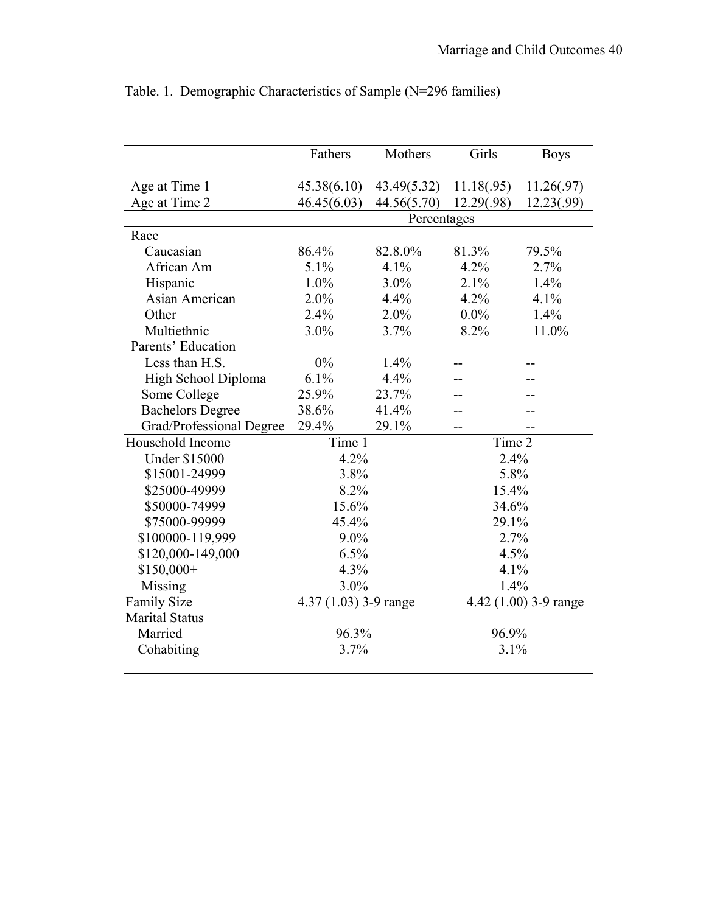| Age at Time 1<br>45.38(6.10)<br>43.49(5.32)<br>11.18(.95)<br>Age at Time 2<br>46.45(6.03)<br>44.56(5.70)<br>12.29(.98)<br>Percentages<br>Race<br>Caucasian<br>86.4%<br>82.8.0%<br>81.3%<br>79.5%<br>4.2%<br>African Am<br>5.1%<br>4.1%<br>2.7%<br>Hispanic<br>$1.0\%$<br>$3.0\%$<br>2.1%<br>1.4%<br>Asian American<br>2.0%<br>4.2%<br>4.1%<br>4.4%<br>Other<br>2.4%<br>2.0%<br>$0.0\%$<br>1.4%<br>Multiethnic<br>$3.0\%$<br>3.7%<br>8.2%<br>11.0%<br>Parents' Education<br>Less than H.S.<br>$0\%$<br>1.4%<br>High School Diploma<br>$6.1\%$<br>4.4%<br>25.9%<br>Some College<br>23.7%<br><b>Bachelors Degree</b><br>38.6%<br>41.4%<br>Grad/Professional Degree<br>29.1%<br>29.4%<br>Time 1<br>Time 2<br>Household Income<br><b>Under \$15000</b><br>4.2%<br>2.4%<br>5.8%<br>\$15001-24999<br>3.8%<br>\$25000-49999<br>8.2%<br>15.4%<br>\$50000-74999<br>15.6%<br>34.6%<br>\$75000-99999<br>45.4%<br>29.1%<br>\$100000-119,999<br>$9.0\%$<br>2.7%<br>\$120,000-149,000<br>6.5%<br>4.5%<br>$$150,000+$<br>4.3%<br>4.1%<br>3.0%<br>Missing<br>1.4%<br>Family Size<br>4.37 (1.03) 3-9 range<br>4.42 (1.00) 3-9 range<br><b>Marital Status</b> | <b>Boys</b> |  |  |  |
|--------------------------------------------------------------------------------------------------------------------------------------------------------------------------------------------------------------------------------------------------------------------------------------------------------------------------------------------------------------------------------------------------------------------------------------------------------------------------------------------------------------------------------------------------------------------------------------------------------------------------------------------------------------------------------------------------------------------------------------------------------------------------------------------------------------------------------------------------------------------------------------------------------------------------------------------------------------------------------------------------------------------------------------------------------------------------------------------------------------------------------------------|-------------|--|--|--|
|                                                                                                                                                                                                                                                                                                                                                                                                                                                                                                                                                                                                                                                                                                                                                                                                                                                                                                                                                                                                                                                                                                                                            | 11.26(.97)  |  |  |  |
|                                                                                                                                                                                                                                                                                                                                                                                                                                                                                                                                                                                                                                                                                                                                                                                                                                                                                                                                                                                                                                                                                                                                            | 12.23(.99)  |  |  |  |
|                                                                                                                                                                                                                                                                                                                                                                                                                                                                                                                                                                                                                                                                                                                                                                                                                                                                                                                                                                                                                                                                                                                                            |             |  |  |  |
|                                                                                                                                                                                                                                                                                                                                                                                                                                                                                                                                                                                                                                                                                                                                                                                                                                                                                                                                                                                                                                                                                                                                            |             |  |  |  |
|                                                                                                                                                                                                                                                                                                                                                                                                                                                                                                                                                                                                                                                                                                                                                                                                                                                                                                                                                                                                                                                                                                                                            |             |  |  |  |
|                                                                                                                                                                                                                                                                                                                                                                                                                                                                                                                                                                                                                                                                                                                                                                                                                                                                                                                                                                                                                                                                                                                                            |             |  |  |  |
|                                                                                                                                                                                                                                                                                                                                                                                                                                                                                                                                                                                                                                                                                                                                                                                                                                                                                                                                                                                                                                                                                                                                            |             |  |  |  |
|                                                                                                                                                                                                                                                                                                                                                                                                                                                                                                                                                                                                                                                                                                                                                                                                                                                                                                                                                                                                                                                                                                                                            |             |  |  |  |
|                                                                                                                                                                                                                                                                                                                                                                                                                                                                                                                                                                                                                                                                                                                                                                                                                                                                                                                                                                                                                                                                                                                                            |             |  |  |  |
|                                                                                                                                                                                                                                                                                                                                                                                                                                                                                                                                                                                                                                                                                                                                                                                                                                                                                                                                                                                                                                                                                                                                            |             |  |  |  |
|                                                                                                                                                                                                                                                                                                                                                                                                                                                                                                                                                                                                                                                                                                                                                                                                                                                                                                                                                                                                                                                                                                                                            |             |  |  |  |
|                                                                                                                                                                                                                                                                                                                                                                                                                                                                                                                                                                                                                                                                                                                                                                                                                                                                                                                                                                                                                                                                                                                                            |             |  |  |  |
|                                                                                                                                                                                                                                                                                                                                                                                                                                                                                                                                                                                                                                                                                                                                                                                                                                                                                                                                                                                                                                                                                                                                            |             |  |  |  |
|                                                                                                                                                                                                                                                                                                                                                                                                                                                                                                                                                                                                                                                                                                                                                                                                                                                                                                                                                                                                                                                                                                                                            |             |  |  |  |
|                                                                                                                                                                                                                                                                                                                                                                                                                                                                                                                                                                                                                                                                                                                                                                                                                                                                                                                                                                                                                                                                                                                                            |             |  |  |  |
|                                                                                                                                                                                                                                                                                                                                                                                                                                                                                                                                                                                                                                                                                                                                                                                                                                                                                                                                                                                                                                                                                                                                            |             |  |  |  |
|                                                                                                                                                                                                                                                                                                                                                                                                                                                                                                                                                                                                                                                                                                                                                                                                                                                                                                                                                                                                                                                                                                                                            |             |  |  |  |
|                                                                                                                                                                                                                                                                                                                                                                                                                                                                                                                                                                                                                                                                                                                                                                                                                                                                                                                                                                                                                                                                                                                                            |             |  |  |  |
|                                                                                                                                                                                                                                                                                                                                                                                                                                                                                                                                                                                                                                                                                                                                                                                                                                                                                                                                                                                                                                                                                                                                            |             |  |  |  |
|                                                                                                                                                                                                                                                                                                                                                                                                                                                                                                                                                                                                                                                                                                                                                                                                                                                                                                                                                                                                                                                                                                                                            |             |  |  |  |
|                                                                                                                                                                                                                                                                                                                                                                                                                                                                                                                                                                                                                                                                                                                                                                                                                                                                                                                                                                                                                                                                                                                                            |             |  |  |  |
|                                                                                                                                                                                                                                                                                                                                                                                                                                                                                                                                                                                                                                                                                                                                                                                                                                                                                                                                                                                                                                                                                                                                            |             |  |  |  |
|                                                                                                                                                                                                                                                                                                                                                                                                                                                                                                                                                                                                                                                                                                                                                                                                                                                                                                                                                                                                                                                                                                                                            |             |  |  |  |
|                                                                                                                                                                                                                                                                                                                                                                                                                                                                                                                                                                                                                                                                                                                                                                                                                                                                                                                                                                                                                                                                                                                                            |             |  |  |  |
|                                                                                                                                                                                                                                                                                                                                                                                                                                                                                                                                                                                                                                                                                                                                                                                                                                                                                                                                                                                                                                                                                                                                            |             |  |  |  |
|                                                                                                                                                                                                                                                                                                                                                                                                                                                                                                                                                                                                                                                                                                                                                                                                                                                                                                                                                                                                                                                                                                                                            |             |  |  |  |
|                                                                                                                                                                                                                                                                                                                                                                                                                                                                                                                                                                                                                                                                                                                                                                                                                                                                                                                                                                                                                                                                                                                                            |             |  |  |  |
|                                                                                                                                                                                                                                                                                                                                                                                                                                                                                                                                                                                                                                                                                                                                                                                                                                                                                                                                                                                                                                                                                                                                            |             |  |  |  |
| Married<br>96.3%<br>96.9%                                                                                                                                                                                                                                                                                                                                                                                                                                                                                                                                                                                                                                                                                                                                                                                                                                                                                                                                                                                                                                                                                                                  |             |  |  |  |
| Cohabiting<br>3.7%<br>3.1%                                                                                                                                                                                                                                                                                                                                                                                                                                                                                                                                                                                                                                                                                                                                                                                                                                                                                                                                                                                                                                                                                                                 |             |  |  |  |

Table. 1. Demographic Characteristics of Sample (N=296 families)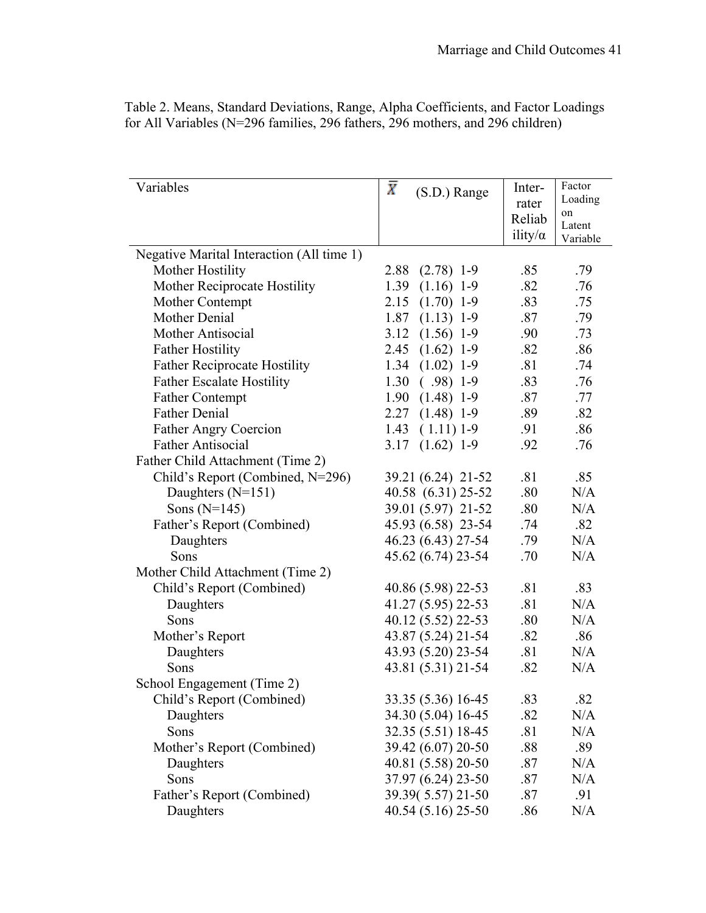| Variables                                 | $\bar{X}$<br>(S.D.) Range | Inter-          | Factor       |
|-------------------------------------------|---------------------------|-----------------|--------------|
|                                           |                           | rater           | Loading      |
|                                           |                           | Reliab          | on<br>Latent |
|                                           |                           | ility/ $\alpha$ | Variable     |
| Negative Marital Interaction (All time 1) |                           |                 |              |
| Mother Hostility                          | 2.88<br>$(2.78)$ 1-9      | .85             | .79          |
| Mother Reciprocate Hostility              | 1.39<br>$(1.16)$ 1-9      | .82             | .76          |
| Mother Contempt                           | $(1.70)$ 1-9<br>2.15      | .83             | .75          |
| Mother Denial                             | 1.87<br>$(1.13)$ 1-9      | .87             | .79          |
| Mother Antisocial                         | $(1.56)$ 1-9<br>3.12      | .90             | .73          |
| <b>Father Hostility</b>                   | $(1.62)$ 1-9<br>2.45      | .82             | .86          |
| <b>Father Reciprocate Hostility</b>       | $1.34$ $(1.02)$ 1-9       | .81             | .74          |
| <b>Father Escalate Hostility</b>          | 1.30<br>$(.98)$ 1-9       | .83             | .76          |
| <b>Father Contempt</b>                    | 1.90<br>$(1.48)$ 1-9      | .87             | .77          |
| <b>Father Denial</b>                      | $(1.48)$ 1-9<br>2.27      | .89             | .82          |
| <b>Father Angry Coercion</b>              | 1.43<br>$(1.11)$ 1-9      | .91             | .86          |
| <b>Father Antisocial</b>                  | $(1.62)$ 1-9<br>3.17      | .92             | .76          |
| Father Child Attachment (Time 2)          |                           |                 |              |
| Child's Report (Combined, N=296)          | 39.21 (6.24) 21-52        | .81             | .85          |
| Daughters $(N=151)$                       | 40.58 (6.31) 25-52        | .80             | N/A          |
| Sons $(N=145)$                            | 39.01 (5.97) 21-52        | .80             | N/A          |
| Father's Report (Combined)                | 45.93 (6.58) 23-54        | .74             | .82          |
| Daughters                                 | 46.23 (6.43) 27-54        | .79             | N/A          |
| Sons                                      | 45.62 (6.74) 23-54        | .70             | N/A          |
| Mother Child Attachment (Time 2)          |                           |                 |              |
| Child's Report (Combined)                 | 40.86 (5.98) 22-53        | .81             | .83          |
| Daughters                                 | 41.27 (5.95) 22-53        | .81             | N/A          |
| Sons                                      | 40.12 (5.52) 22-53        | .80             | N/A          |
| Mother's Report                           | 43.87 (5.24) 21-54        | .82             | .86          |
| Daughters                                 | 43.93 (5.20) 23-54        | .81             | N/A          |
| Sons                                      | 43.81 (5.31) 21-54        | .82             | N/A          |
| School Engagement (Time 2)                |                           |                 |              |
| Child's Report (Combined)                 | 33.35 (5.36) 16-45        | .83             | .82          |
| Daughters                                 | 34.30 (5.04) 16-45        | .82             | N/A          |
| Sons                                      | 32.35 (5.51) 18-45        | .81             | N/A          |
| Mother's Report (Combined)                | 39.42 (6.07) 20-50        | .88             | .89          |
| Daughters                                 | 40.81 (5.58) 20-50        | .87             | N/A          |
| Sons                                      | 37.97 (6.24) 23-50        | .87             | N/A          |
| Father's Report (Combined)                | 39.39(5.57) 21-50         | .87             | .91          |
| Daughters                                 | 40.54 (5.16) 25-50        | .86             | N/A          |

Table 2. Means, Standard Deviations, Range, Alpha Coefficients, and Factor Loadings for All Variables (N=296 families, 296 fathers, 296 mothers, and 296 children)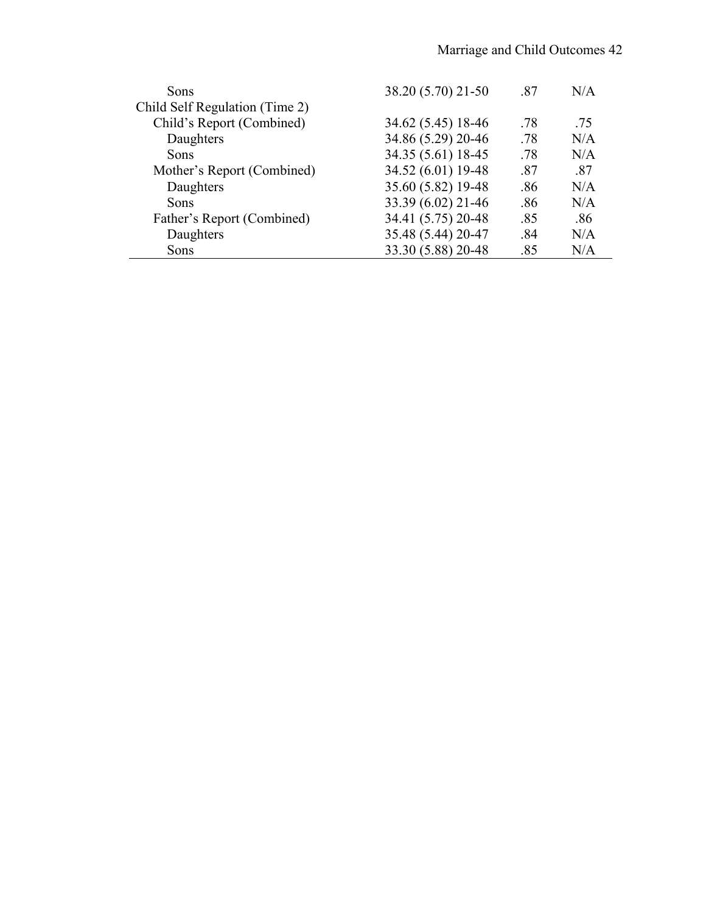| Sons                           | 38.20 (5.70) 21-50 | .87 | N/A |
|--------------------------------|--------------------|-----|-----|
| Child Self Regulation (Time 2) |                    |     |     |
| Child's Report (Combined)      | 34.62 (5.45) 18-46 | .78 | .75 |
| Daughters                      | 34.86 (5.29) 20-46 | .78 | N/A |
| Sons                           | 34.35 (5.61) 18-45 | .78 | N/A |
| Mother's Report (Combined)     | 34.52 (6.01) 19-48 | .87 | .87 |
| Daughters                      | 35.60 (5.82) 19-48 | .86 | N/A |
| Sons                           | 33.39 (6.02) 21-46 | .86 | N/A |
| Father's Report (Combined)     | 34.41 (5.75) 20-48 | .85 | .86 |
| Daughters                      | 35.48 (5.44) 20-47 | .84 | N/A |
| Sons                           | 33.30 (5.88) 20-48 | .85 | N/A |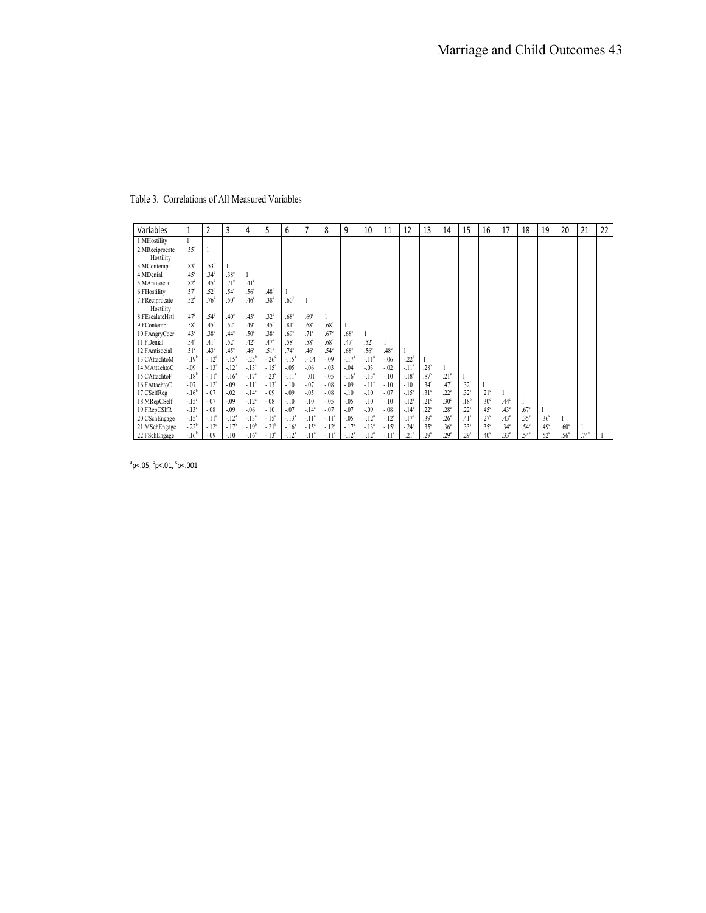| Variables                   | 1                | 2                | 3                | 4                | 5                | 6                | 7                | 8                | 9                | 10               | 11               | 12        | 13               | 14               | 15               | 16               | 17               | 18               | 19               | 20               | 21               | 22 |
|-----------------------------|------------------|------------------|------------------|------------------|------------------|------------------|------------------|------------------|------------------|------------------|------------------|-----------|------------------|------------------|------------------|------------------|------------------|------------------|------------------|------------------|------------------|----|
| 1.MHostility                |                  |                  |                  |                  |                  |                  |                  |                  |                  |                  |                  |           |                  |                  |                  |                  |                  |                  |                  |                  |                  |    |
| 2.MReciprocate              | .55 <sup>c</sup> |                  |                  |                  |                  |                  |                  |                  |                  |                  |                  |           |                  |                  |                  |                  |                  |                  |                  |                  |                  |    |
| Hostility                   |                  |                  |                  |                  |                  |                  |                  |                  |                  |                  |                  |           |                  |                  |                  |                  |                  |                  |                  |                  |                  |    |
| 3.MContempt                 | 83 <sup>c</sup>  | .53 <sup>c</sup> |                  |                  |                  |                  |                  |                  |                  |                  |                  |           |                  |                  |                  |                  |                  |                  |                  |                  |                  |    |
| 4.MDenial                   | $45^\circ$       | .34 <sup>c</sup> | 38 <sup>c</sup>  |                  |                  |                  |                  |                  |                  |                  |                  |           |                  |                  |                  |                  |                  |                  |                  |                  |                  |    |
| 5.MAntisocial               | .82 <sup>c</sup> | $.45^{\circ}$    | $71^{\circ}$     | .41 <sup>c</sup> |                  |                  |                  |                  |                  |                  |                  |           |                  |                  |                  |                  |                  |                  |                  |                  |                  |    |
| 6.FHostility                | .57 <sup>c</sup> | .52 <sup>c</sup> | .54 <sup>c</sup> | .56 <sup>c</sup> | .48 <sup>c</sup> |                  |                  |                  |                  |                  |                  |           |                  |                  |                  |                  |                  |                  |                  |                  |                  |    |
| 7.FReciprocate<br>Hostility | .52 <sup>c</sup> | .76 <sup>c</sup> | .50 <sup>c</sup> | .46 <sup>c</sup> | .38 <sup>c</sup> | .60 <sup>°</sup> |                  |                  |                  |                  |                  |           |                  |                  |                  |                  |                  |                  |                  |                  |                  |    |
| 8.FEscalateHstl             | .47 <sup>c</sup> | .54 <sup>c</sup> | .40 <sup>c</sup> | .43 <sup>c</sup> | .32 <sup>c</sup> | .68 <sup>c</sup> | 69 <sup>c</sup>  |                  |                  |                  |                  |           |                  |                  |                  |                  |                  |                  |                  |                  |                  |    |
| 9.FContempt                 | .58 <sup>c</sup> | $.45^{\circ}$    | .52 <sup>c</sup> | .49 <sup>c</sup> | .45 <sup>c</sup> | .81 <sup>c</sup> | .68 <sup>c</sup> | .68 <sup>c</sup> |                  |                  |                  |           |                  |                  |                  |                  |                  |                  |                  |                  |                  |    |
| 10.FAngryCoer               | .43 <sup>c</sup> | .38 <sup>c</sup> | .44 <sup>c</sup> | .50 <sup>c</sup> | .38 <sup>c</sup> | .69 <sup>c</sup> | $71^{\circ}$     | .67 <sup>c</sup> | .68 <sup>c</sup> |                  |                  |           |                  |                  |                  |                  |                  |                  |                  |                  |                  |    |
| 11.FDenial                  | .54 <sup>c</sup> | $.41^{\circ}$    | $52^{\circ}$     | $.42^{\circ}$    | $.47^{a}$        | .58 <sup>c</sup> | .58 <sup>c</sup> | .68 <sup>c</sup> | .47 <sup>c</sup> | $.52^{\circ}$    |                  |           |                  |                  |                  |                  |                  |                  |                  |                  |                  |    |
| 12. FAntisocial             | .51 <sup>c</sup> | .43 <sup>c</sup> | .45 <sup>c</sup> | .46 <sup>c</sup> | .51 <sup>c</sup> | .74 <sup>c</sup> | .46 <sup>c</sup> | .54 <sup>c</sup> | .68 <sup>c</sup> | .56 <sup>c</sup> | .48 <sup>c</sup> |           |                  |                  |                  |                  |                  |                  |                  |                  |                  |    |
| 13.CAttachtoM               | $-19^{b}$        | $-12^{a}$        | $-15^{a}$        | $-25^{b}$        | $-26^\circ$      | $-.15^a$         | .04              | $-0.09$          | $-17^{a}$        | $-11^{2}$        | $-.06$           | $-22^{b}$ |                  |                  |                  |                  |                  |                  |                  |                  |                  |    |
| 14.MAttachtoC               | $-.09$           | $-13^{a}$        | $-12^{a}$        | $-13^{a}$        | $-15^{a}$        | $-.05$           | $-.06$           | $-03$            | $-.04$           | $-.03$           | $-.02$           | $-11^{a}$ | $.28^v$          |                  |                  |                  |                  |                  |                  |                  |                  |    |
| 15.CAttachtoF               | $-18^{b}$        | $-11^{a}$        | $-16^{4}$        | $-17^{3}$        | $-23^\circ$      | $-.11^{a}$       | .01              | $-0.5$           | $-16^{a}$        | $-13^{a}$        | $-.10$           | $-18^{b}$ | $.87^\mathrm{v}$ | .21 <sup>c</sup> |                  |                  |                  |                  |                  |                  |                  |    |
| 16.FAttachtoC               | $-.07$           | $-12^{a}$        | $-.09$           | $-11^{a}$        | $-13^{a}$        | $-.10$           | $-.07$           | $-08$            | $-.09$           | $-11^{a}$        | $-.10$           | $-.10$    | .34 <sup>c</sup> | .47 <sup>c</sup> | .32 <sup>c</sup> |                  |                  |                  |                  |                  |                  |    |
| 17.CSelfReg                 | $-16^{b}$        | $-.07$           | $-02$            | $-14^{3}$        | $-0.09$          | $-.09$           | $-0.5$           | $-08$            | $-.10$           | $-10$            | $-.07$           | $-15^{a}$ | .31 <sup>c</sup> | .22 <sup>c</sup> | .32 <sup>c</sup> | $21^{\circ}$     |                  |                  |                  |                  |                  |    |
| 18.MRepCSelf                | $-15^{a}$        | $-.07$           | $-09$            | $-12^{a}$        | $-08$            | $-.10$           | $-.10$           | $-0.5$           | $-.05$           | $-10$            | $-.10$           | $-12^{a}$ | .21 <sup>c</sup> | .30 <sup>c</sup> | .18 <sup>b</sup> | .30 <sup>c</sup> | .44 <sup>c</sup> |                  |                  |                  |                  |    |
| 19.FRepCSIfR                | $-13^{a}$        | $-.08$           | $-.09$           | $-.06$           | $-10$            | $-.07$           | $-14^{3}$        | $-07$            | $-.07$           | $-09$            | $-.08$           | $-14^{a}$ | $22^{\circ}$     | .28 <sup>c</sup> | .22 <sup>c</sup> | .45 <sup>c</sup> | .43 <sup>c</sup> | .67 <sup>c</sup> |                  |                  |                  |    |
| 20.CSchEngage               | $-15^{a}$        | $-11^{a}$        | $-12^{a}$        | $-13^{a}$        | $-15^{a}$        | $-13^{a}$        | $-11^{2}$        | $-11^{a}$        | $-.05$           | $-12^{3}$        | $-12^{a}$        | $-17^{b}$ | .39 <sup>c</sup> | .26 <sup>c</sup> | .41 <sup>c</sup> | $27^{\circ}$     | .43 <sup>c</sup> | .35 <sup>c</sup> | .36 <sup>c</sup> |                  |                  |    |
| 21.MSchEngage               | $-22^{b}$        | $-12^{a}$        | $-17^{b}$        | $-19^{b}$        | $-21^{b}$        | $-16^{\circ}$    | $-15^{a}$        | $-12^{a}$        | $-17^{a}$        | $-13^{a}$        | $-.15^{a}$       | $-24^{b}$ | .35 <sup>c</sup> | .36 <sup>c</sup> | .33 <sup>c</sup> | .35 <sup>c</sup> | .34 <sup>c</sup> | .54 <sup>c</sup> | .49 <sup>c</sup> | .60 <sup>c</sup> |                  |    |
| 22.FSchEngage               | $-16^{b}$        | $-.09$           | $-.10$           | $-16^{4}$        | $-13^{a}$        | $-12^{a}$        | $-11^{2}$        | $-11^a$          | $-12^{a}$        | $-12^{3}$        | $-.11^{a}$       | $-21^{b}$ | 29 <sup>c</sup>  | .29 <sup>c</sup> | .29 <sup>c</sup> | .40 <sup>c</sup> | .33 <sup>c</sup> | .54 <sup>c</sup> | $.52^{\circ}$    | .56 <sup>c</sup> | .74 <sup>c</sup> |    |

Table 3. Correlations of All Measured Variables

 $^{\circ}$ p<.05,  $^{\circ}$ p<.01,  $^{\circ}$ p<.001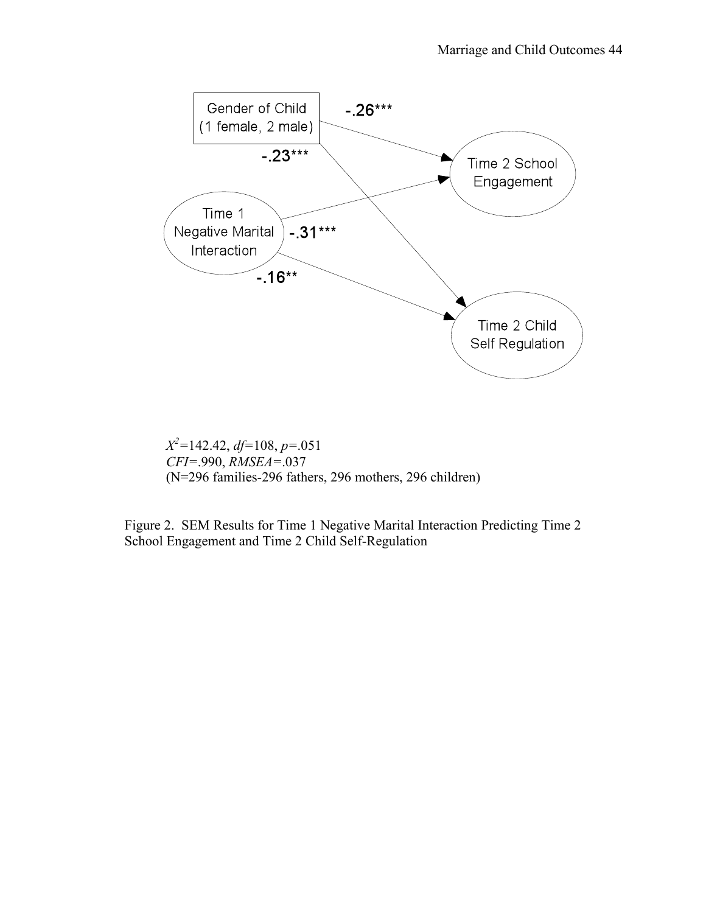

*X2 =*142.42, *df=*108, *p=*.051 *CFI=*.990, *RMSEA=*.037 (N=296 families-296 fathers, 296 mothers, 296 children)

Figure 2. SEM Results for Time 1 Negative Marital Interaction Predicting Time 2 School Engagement and Time 2 Child Self-Regulation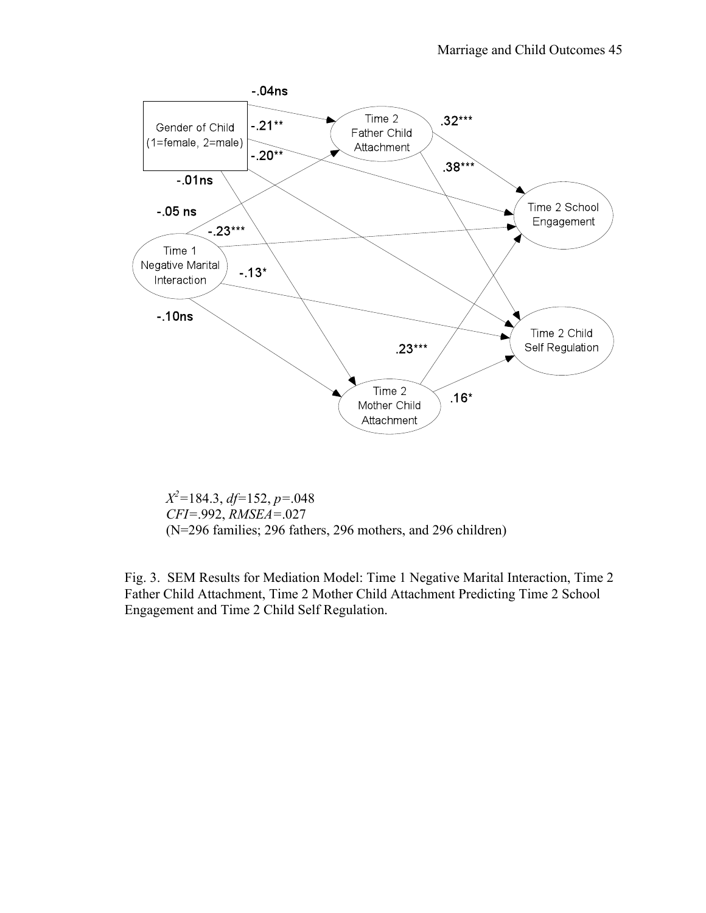

*X2 =*184.3, *df=*152, *p=*.048 *CFI=*.992, *RMSEA=*.027 (N=296 families; 296 fathers, 296 mothers, and 296 children)

Fig. 3. SEM Results for Mediation Model: Time 1 Negative Marital Interaction, Time 2 Father Child Attachment, Time 2 Mother Child Attachment Predicting Time 2 School Engagement and Time 2 Child Self Regulation.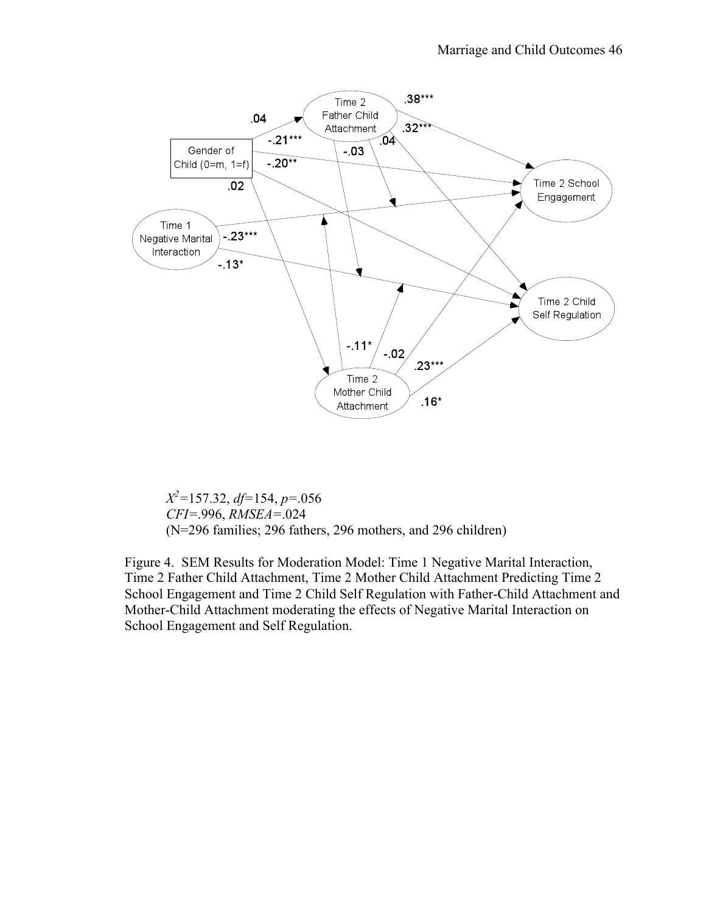

*X2 =*157.32, *df=*154, *p=*.056 *CFI=*.996, *RMSEA=*.024 (N=296 families; 296 fathers, 296 mothers, and 296 children)

Figure 4. SEM Results for Moderation Model: Time 1 Negative Marital Interaction, Time 2 Father Child Attachment, Time 2 Mother Child Attachment Predicting Time 2 School Engagement and Time 2 Child Self Regulation with Father-Child Attachment and Mother-Child Attachment moderating the effects of Negative Marital Interaction on School Engagement and Self Regulation.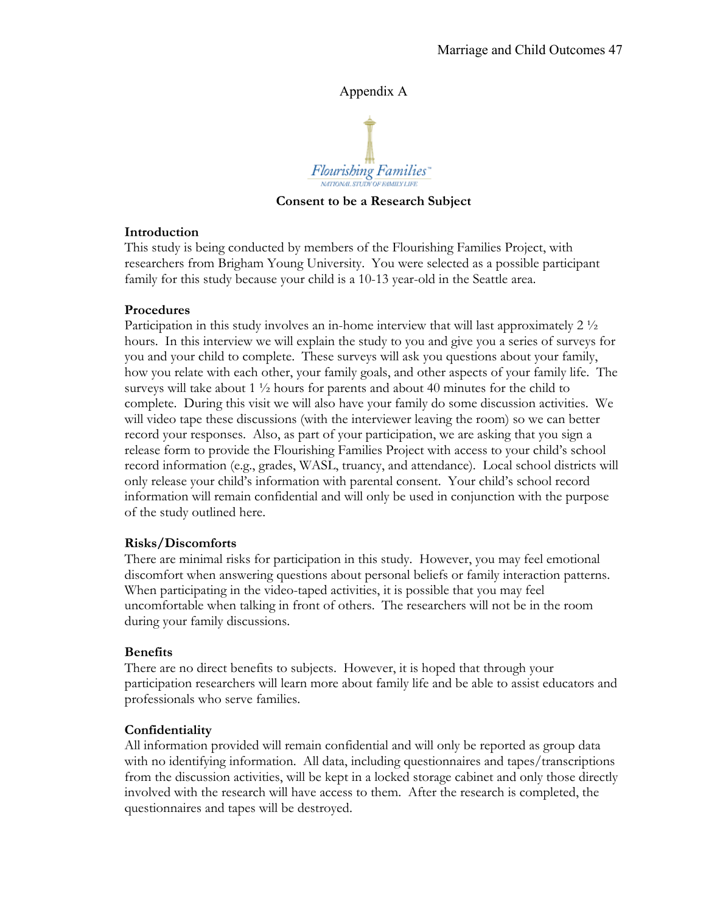## Appendix A



**Consent to be a Research Subject**

## **Introduction**

This study is being conducted by members of the Flourishing Families Project, with researchers from Brigham Young University. You were selected as a possible participant family for this study because your child is a 10-13 year-old in the Seattle area.

### **Procedures**

Participation in this study involves an in-home interview that will last approximately  $2\frac{1}{2}$ hours. In this interview we will explain the study to you and give you a series of surveys for you and your child to complete. These surveys will ask you questions about your family, how you relate with each other, your family goals, and other aspects of your family life. The surveys will take about 1  $\frac{1}{2}$  hours for parents and about 40 minutes for the child to complete. During this visit we will also have your family do some discussion activities. We will video tape these discussions (with the interviewer leaving the room) so we can better record your responses. Also, as part of your participation, we are asking that you sign a release form to provide the Flourishing Families Project with access to your child's school record information (e.g., grades, WASL, truancy, and attendance). Local school districts will only release your child's information with parental consent. Your child's school record information will remain confidential and will only be used in conjunction with the purpose of the study outlined here.

## **Risks/Discomforts**

There are minimal risks for participation in this study. However, you may feel emotional discomfort when answering questions about personal beliefs or family interaction patterns. When participating in the video-taped activities, it is possible that you may feel uncomfortable when talking in front of others. The researchers will not be in the room during your family discussions.

#### **Benefits**

There are no direct benefits to subjects. However, it is hoped that through your participation researchers will learn more about family life and be able to assist educators and professionals who serve families.

## **Confidentiality**

All information provided will remain confidential and will only be reported as group data with no identifying information. All data, including questionnaires and tapes/transcriptions from the discussion activities, will be kept in a locked storage cabinet and only those directly involved with the research will have access to them. After the research is completed, the questionnaires and tapes will be destroyed.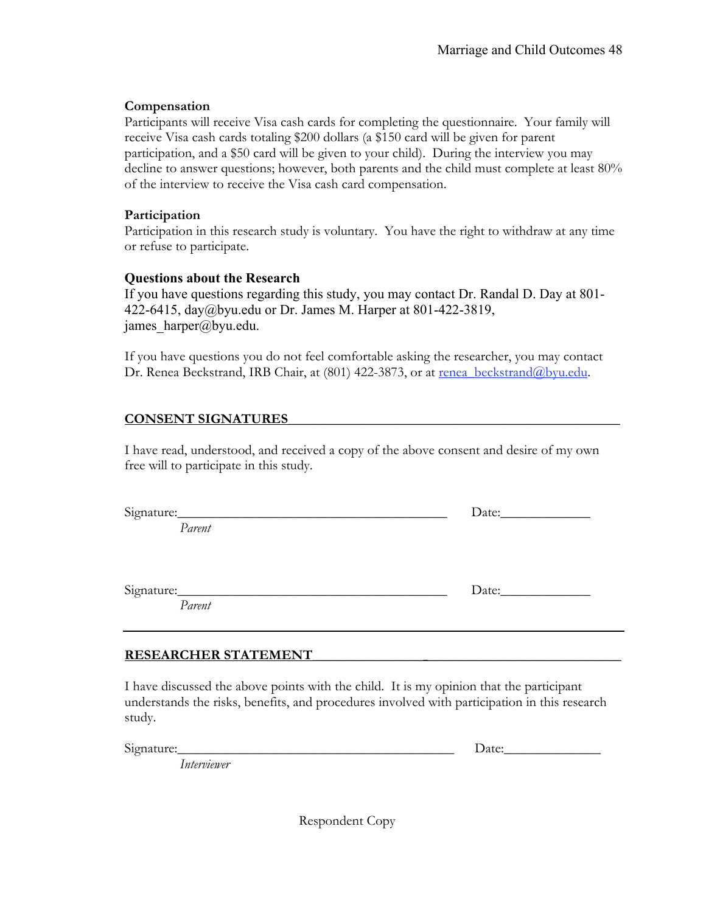## **Compensation**

Participants will receive Visa cash cards for completing the questionnaire. Your family will receive Visa cash cards totaling \$200 dollars (a \$150 card will be given for parent participation, and a \$50 card will be given to your child). During the interview you may decline to answer questions; however, both parents and the child must complete at least 80% of the interview to receive the Visa cash card compensation.

## **Participation**

Participation in this research study is voluntary. You have the right to withdraw at any time or refuse to participate.

# **Questions about the Research**

If you have questions regarding this study, you may contact Dr. Randal D. Day at 801- 422-6415, day@byu.edu or Dr. James M. Harper at 801-422-3819, james\_harper@byu.edu.

If you have questions you do not feel comfortable asking the researcher, you may contact Dr. Renea Beckstrand, IRB Chair, at (801) 422-3873, or at renea\_beckstrand@byu.edu.

# **CONSENT SIGNATURES\_\_\_\_\_\_\_\_\_\_\_\_\_\_\_\_\_\_\_\_\_\_\_\_\_\_\_\_\_\_\_\_\_\_\_\_\_\_\_\_\_\_\_\_\_\_\_\_**

I have read, understood, and received a copy of the above consent and desire of my own free will to participate in this study.

| Signature: | Date: |
|------------|-------|
| Parent     |       |
|            |       |
|            |       |
|            |       |
| Signature: | Date: |
| Parent     |       |

# **RESEARCHER STATEMENT\_\_\_\_\_\_\_\_\_\_\_\_\_\_\_\_\_\_\_\_\_\_\_\_\_\_\_\_\_\_\_\_\_\_\_\_\_\_\_\_\_\_\_\_\_**

I have discussed the above points with the child. It is my opinion that the participant understands the risks, benefits, and procedures involved with participation in this research study.

Signature:  $\Box$ 

*Interviewer*

Respondent Copy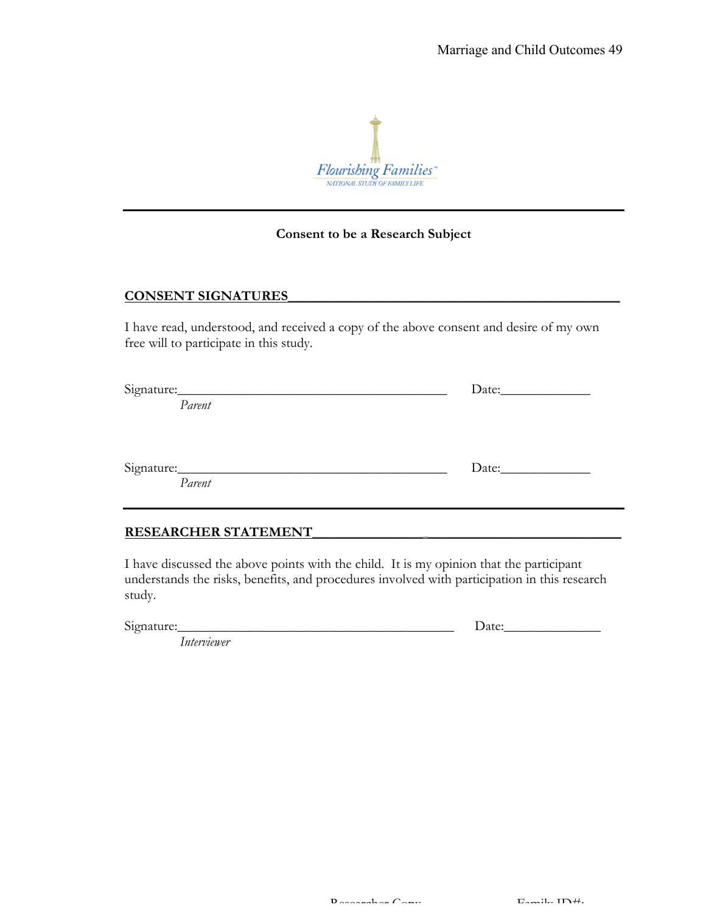

#### **Consent to be a Research Subject**

#### **CONSENT SIGNATURES\_\_\_\_\_\_\_\_\_\_\_\_\_\_\_\_\_\_\_\_\_\_\_\_\_\_\_\_\_\_\_\_\_\_\_\_\_\_\_\_\_\_\_\_\_\_\_\_**

I have read, understood, and received a copy of the above consent and desire of my own free will to participate in this study.

| Signature: |  |
|------------|--|
| Parent     |  |
|            |  |
|            |  |
| Signature: |  |
| Parent     |  |
|            |  |
|            |  |

### **RESEARCHER STATEMENT\_\_\_\_\_\_\_\_\_\_\_\_\_\_\_\_\_\_\_\_\_\_\_\_\_\_\_\_\_\_\_\_\_\_\_\_\_\_\_\_\_\_\_\_\_**

I have discussed the above points with the child. It is my opinion that the participant understands the risks, benefits, and procedures involved with participation in this research study.

Signature:\_\_\_\_\_\_\_\_\_\_\_\_\_\_\_\_\_\_\_\_\_\_\_\_\_\_\_\_\_\_\_\_\_\_\_\_\_\_\_\_ Date:\_\_\_\_\_\_\_\_\_\_\_\_\_\_

*Interviewer*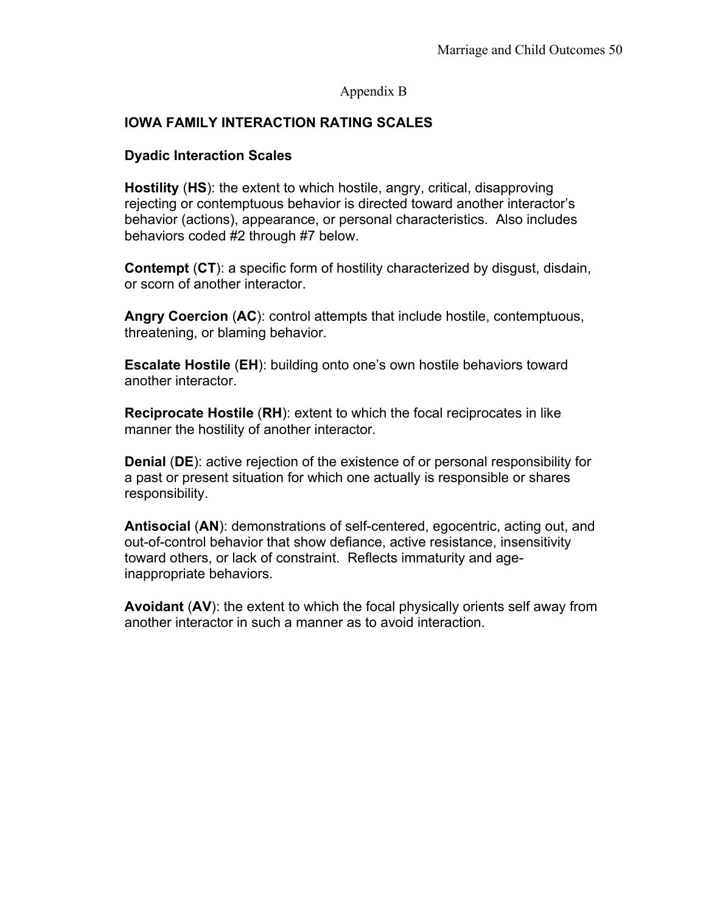## Appendix B

# **IOWA FAMILY INTERACTION RATING SCALES**

## **Dyadic Interaction Scales**

**Hostility** (**HS**): the extent to which hostile, angry, critical, disapproving rejecting or contemptuous behavior is directed toward another interactor's behavior (actions), appearance, or personal characteristics. Also includes behaviors coded #2 through #7 below.

**Contempt** (**CT**): a specific form of hostility characterized by disgust, disdain, or scorn of another interactor.

**Angry Coercion** (**AC**): control attempts that include hostile, contemptuous, threatening, or blaming behavior.

**Escalate Hostile** (**EH**): building onto one's own hostile behaviors toward another interactor.

**Reciprocate Hostile** (**RH**): extent to which the focal reciprocates in like manner the hostility of another interactor.

**Denial** (**DE**): active rejection of the existence of or personal responsibility for a past or present situation for which one actually is responsible or shares responsibility.

**Antisocial** (**AN**): demonstrations of self-centered, egocentric, acting out, and out-of-control behavior that show defiance, active resistance, insensitivity toward others, or lack of constraint. Reflects immaturity and ageinappropriate behaviors.

**Avoidant** (**AV**): the extent to which the focal physically orients self away from another interactor in such a manner as to avoid interaction.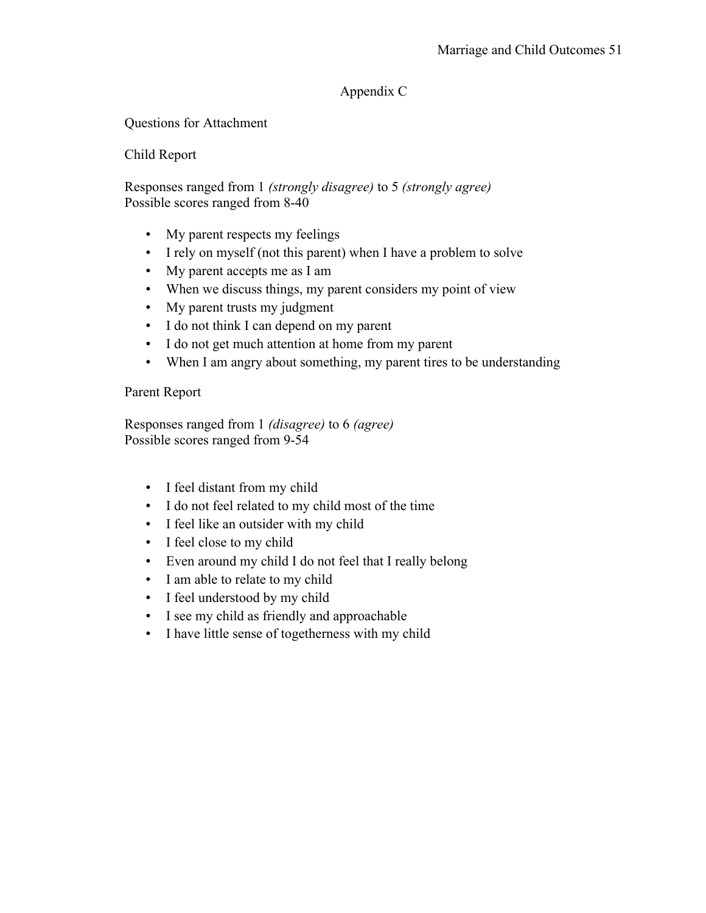# Appendix C

Questions for Attachment

## Child Report

Responses ranged from 1 *(strongly disagree)* to 5 *(strongly agree)* Possible scores ranged from 8-40

- My parent respects my feelings
- I rely on myself (not this parent) when I have a problem to solve
- My parent accepts me as I am
- When we discuss things, my parent considers my point of view
- My parent trusts my judgment
- I do not think I can depend on my parent
- I do not get much attention at home from my parent
- When I am angry about something, my parent tires to be understanding

## Parent Report

Responses ranged from 1 *(disagree)* to 6 *(agree)* Possible scores ranged from 9-54

- I feel distant from my child
- I do not feel related to my child most of the time
- I feel like an outsider with my child
- I feel close to my child
- Even around my child I do not feel that I really belong
- I am able to relate to my child
- I feel understood by my child
- I see my child as friendly and approachable
- I have little sense of togetherness with my child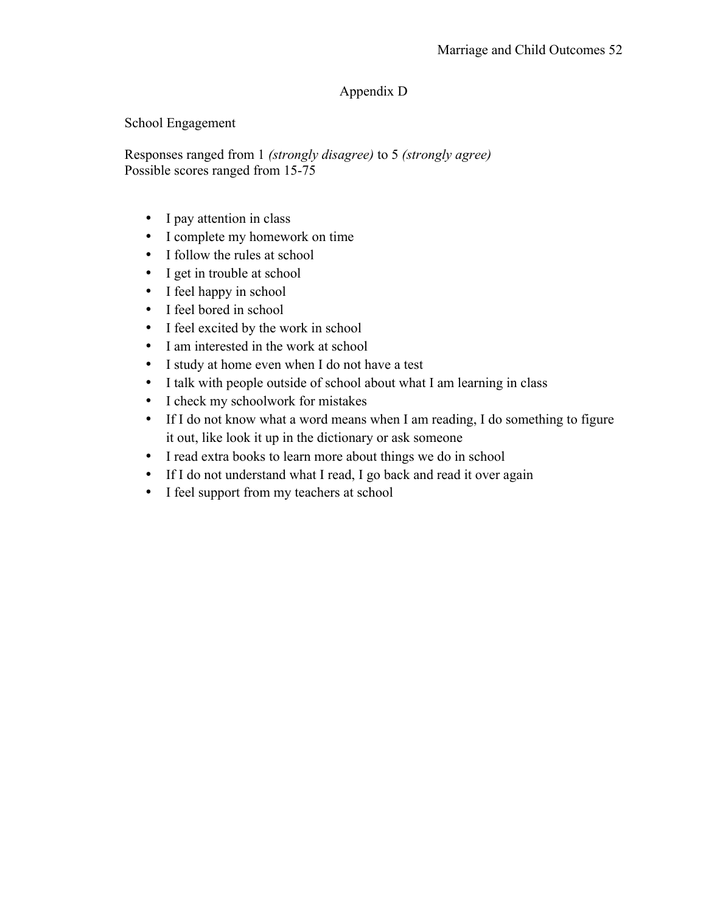# Appendix D

School Engagement

Responses ranged from 1 *(strongly disagree)* to 5 *(strongly agree)* Possible scores ranged from 15-75

- I pay attention in class
- I complete my homework on time
- I follow the rules at school
- I get in trouble at school
- I feel happy in school
- I feel bored in school
- I feel excited by the work in school
- I am interested in the work at school
- I study at home even when I do not have a test
- I talk with people outside of school about what I am learning in class
- I check my schoolwork for mistakes
- If I do not know what a word means when I am reading, I do something to figure it out, like look it up in the dictionary or ask someone
- I read extra books to learn more about things we do in school
- If I do not understand what I read, I go back and read it over again
- I feel support from my teachers at school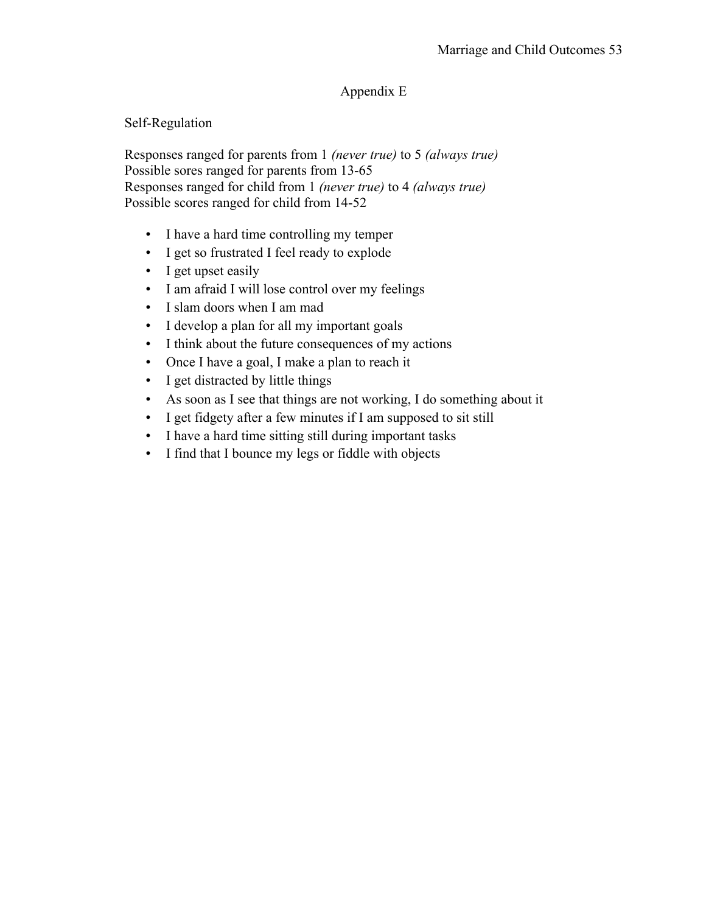# Appendix E

Self-Regulation

Responses ranged for parents from 1 *(never true)* to 5 *(always true)* Possible sores ranged for parents from 13-65 Responses ranged for child from 1 *(never true)* to 4 *(always true)* Possible scores ranged for child from 14-52

- I have a hard time controlling my temper
- I get so frustrated I feel ready to explode
- I get upset easily
- I am afraid I will lose control over my feelings
- I slam doors when I am mad
- I develop a plan for all my important goals
- I think about the future consequences of my actions
- Once I have a goal, I make a plan to reach it
- I get distracted by little things
- As soon as I see that things are not working, I do something about it
- I get fidgety after a few minutes if I am supposed to sit still
- I have a hard time sitting still during important tasks
- I find that I bounce my legs or fiddle with objects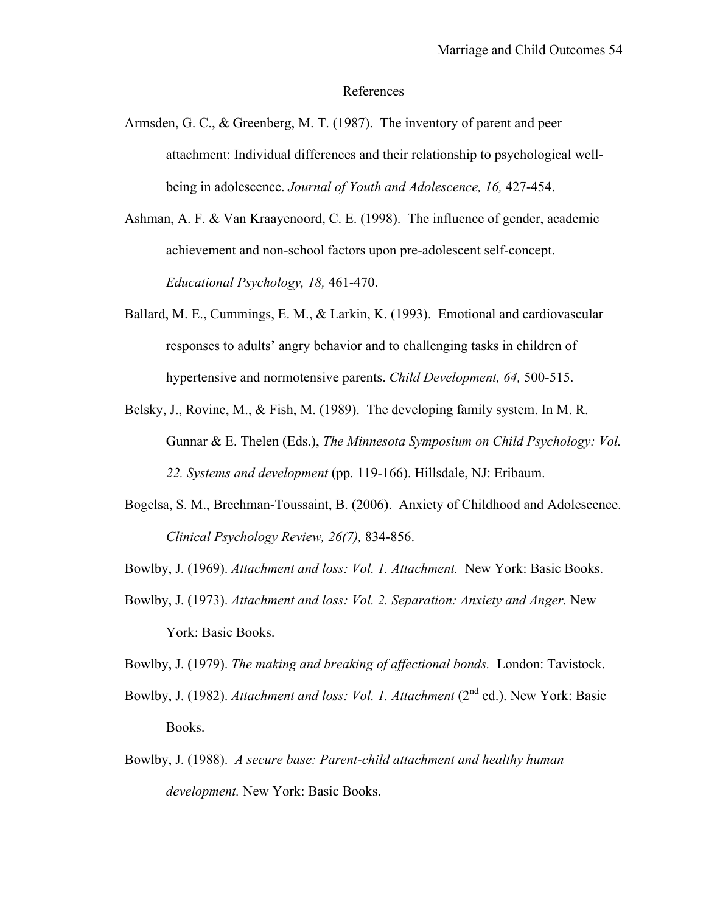#### References

- Armsden, G. C., & Greenberg, M. T. (1987). The inventory of parent and peer attachment: Individual differences and their relationship to psychological wellbeing in adolescence. *Journal of Youth and Adolescence, 16,* 427-454.
- Ashman, A. F. & Van Kraayenoord, C. E. (1998). The influence of gender, academic achievement and non-school factors upon pre-adolescent self-concept. *Educational Psychology, 18,* 461-470.
- Ballard, M. E., Cummings, E. M., & Larkin, K. (1993). Emotional and cardiovascular responses to adults' angry behavior and to challenging tasks in children of hypertensive and normotensive parents. *Child Development, 64,* 500-515.
- Belsky, J., Rovine, M., & Fish, M. (1989). The developing family system. In M. R. Gunnar & E. Thelen (Eds.), *The Minnesota Symposium on Child Psychology: Vol. 22. Systems and development* (pp. 119-166). Hillsdale, NJ: Eribaum.
- Bogelsa, S. M., Brechman-Toussaint, B. (2006). Anxiety of Childhood and Adolescence. *Clinical Psychology Review, 26(7),* 834-856.
- Bowlby, J. (1969). *Attachment and loss: Vol. 1. Attachment.* New York: Basic Books.
- Bowlby, J. (1973). *Attachment and loss: Vol. 2. Separation: Anxiety and Anger.* New York: Basic Books.

Bowlby, J. (1979). *The making and breaking of affectional bonds.* London: Tavistock.

- Bowlby, J. (1982). *Attachment and loss: Vol. 1. Attachment* (2<sup>nd</sup> ed.). New York: Basic Books.
- Bowlby, J. (1988). *A secure base: Parent-child attachment and healthy human development.* New York: Basic Books.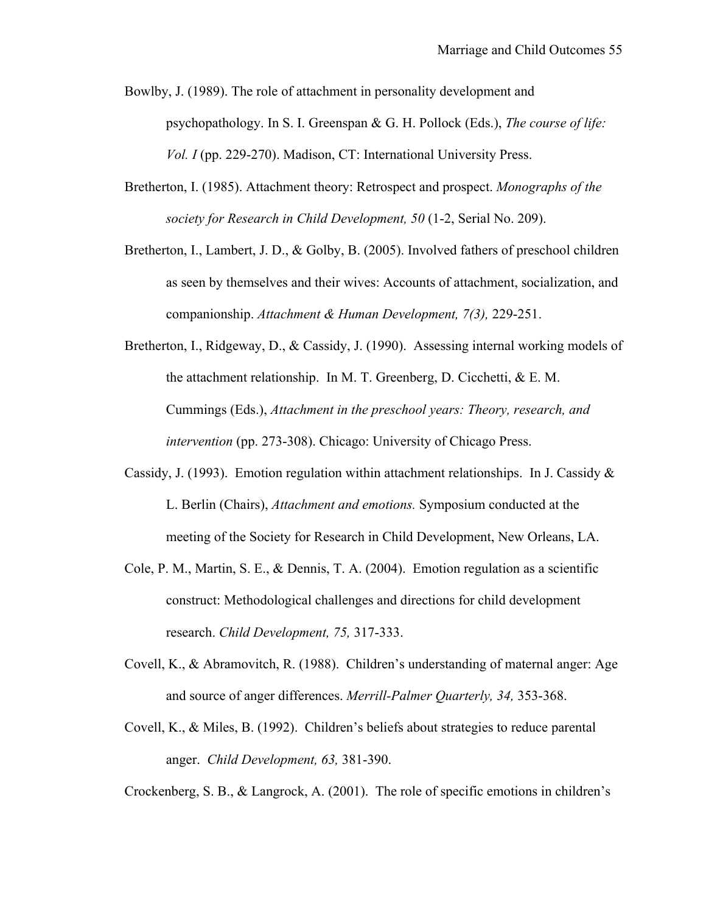- Bowlby, J. (1989). The role of attachment in personality development and psychopathology. In S. I. Greenspan & G. H. Pollock (Eds.), *The course of life: Vol. I* (pp. 229-270). Madison, CT: International University Press.
- Bretherton, I. (1985). Attachment theory: Retrospect and prospect. *Monographs of the society for Research in Child Development, 50* (1-2, Serial No. 209).
- Bretherton, I., Lambert, J. D., & Golby, B. (2005). Involved fathers of preschool children as seen by themselves and their wives: Accounts of attachment, socialization, and companionship. *Attachment & Human Development, 7(3),* 229-251.
- Bretherton, I., Ridgeway, D., & Cassidy, J. (1990). Assessing internal working models of the attachment relationship. In M. T. Greenberg, D. Cicchetti, & E. M. Cummings (Eds.), *Attachment in the preschool years: Theory, research, and intervention* (pp. 273-308). Chicago: University of Chicago Press.
- Cassidy, J. (1993). Emotion regulation within attachment relationships. In J. Cassidy & L. Berlin (Chairs), *Attachment and emotions.* Symposium conducted at the meeting of the Society for Research in Child Development, New Orleans, LA.
- Cole, P. M., Martin, S. E., & Dennis, T. A. (2004). Emotion regulation as a scientific construct: Methodological challenges and directions for child development research. *Child Development, 75,* 317-333.
- Covell, K., & Abramovitch, R. (1988). Children's understanding of maternal anger: Age and source of anger differences. *Merrill-Palmer Quarterly, 34,* 353-368.
- Covell, K., & Miles, B. (1992). Children's beliefs about strategies to reduce parental anger. *Child Development, 63,* 381-390.

Crockenberg, S. B., & Langrock, A. (2001). The role of specific emotions in children's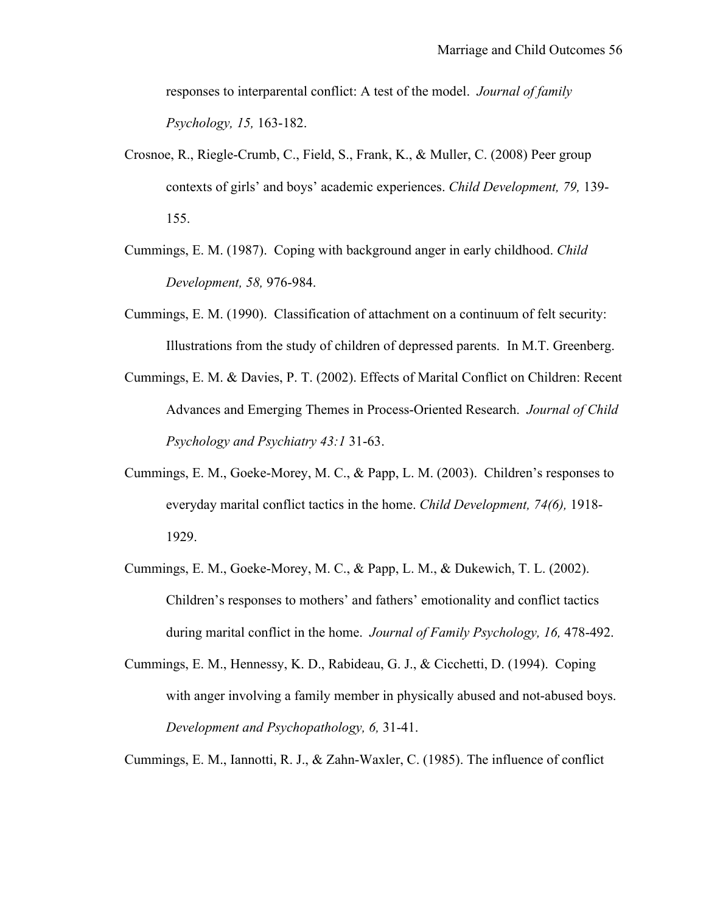responses to interparental conflict: A test of the model. *Journal of family Psychology, 15,* 163-182.

- Crosnoe, R., Riegle-Crumb, C., Field, S., Frank, K., & Muller, C. (2008) Peer group contexts of girls' and boys' academic experiences. *Child Development, 79,* 139- 155.
- Cummings, E. M. (1987). Coping with background anger in early childhood. *Child Development, 58,* 976-984.
- Cummings, E. M. (1990). Classification of attachment on a continuum of felt security: Illustrations from the study of children of depressed parents. In M.T. Greenberg.
- Cummings, E. M. & Davies, P. T. (2002). Effects of Marital Conflict on Children: Recent Advances and Emerging Themes in Process-Oriented Research. *Journal of Child Psychology and Psychiatry 43:1* 31-63.
- Cummings, E. M., Goeke-Morey, M. C., & Papp, L. M. (2003). Children's responses to everyday marital conflict tactics in the home. *Child Development, 74(6),* 1918- 1929.
- Cummings, E. M., Goeke-Morey, M. C., & Papp, L. M., & Dukewich, T. L. (2002). Children's responses to mothers' and fathers' emotionality and conflict tactics during marital conflict in the home. *Journal of Family Psychology, 16,* 478-492.
- Cummings, E. M., Hennessy, K. D., Rabideau, G. J., & Cicchetti, D. (1994). Coping with anger involving a family member in physically abused and not-abused boys. *Development and Psychopathology, 6,* 31-41.

Cummings, E. M., Iannotti, R. J., & Zahn-Waxler, C. (1985). The influence of conflict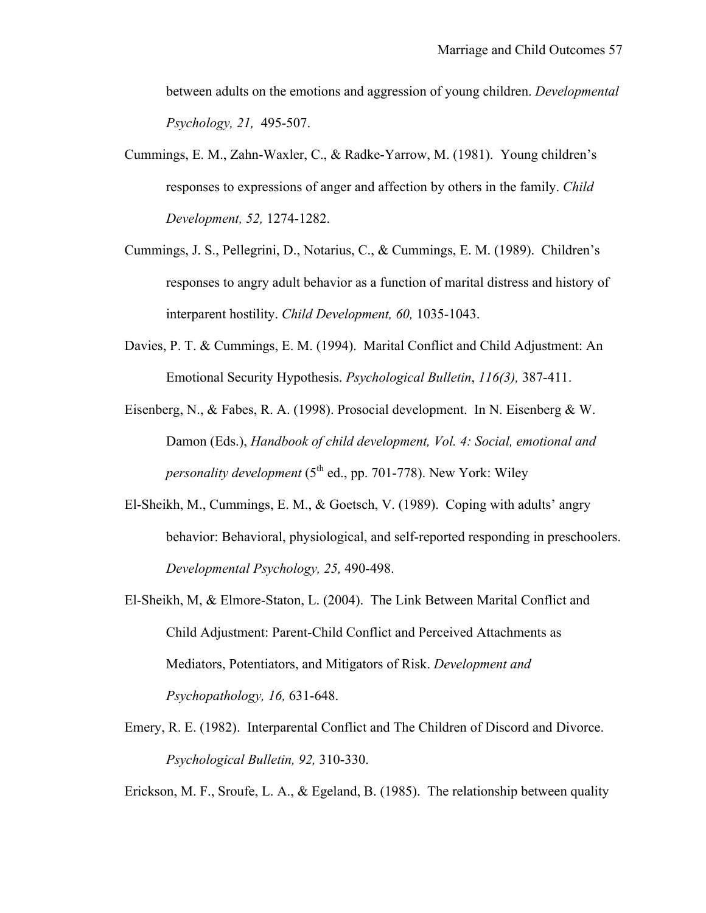between adults on the emotions and aggression of young children. *Developmental Psychology, 21,* 495-507.

- Cummings, E. M., Zahn-Waxler, C., & Radke-Yarrow, M. (1981). Young children's responses to expressions of anger and affection by others in the family. *Child Development, 52,* 1274-1282.
- Cummings, J. S., Pellegrini, D., Notarius, C., & Cummings, E. M. (1989). Children's responses to angry adult behavior as a function of marital distress and history of interparent hostility. *Child Development, 60,* 1035-1043.
- Davies, P. T. & Cummings, E. M. (1994). Marital Conflict and Child Adjustment: An Emotional Security Hypothesis. *Psychological Bulletin*, *116(3),* 387-411.
- Eisenberg, N., & Fabes, R. A. (1998). Prosocial development. In N. Eisenberg & W. Damon (Eds.), *Handbook of child development, Vol. 4: Social, emotional and personality development* (5<sup>th</sup> ed., pp. 701-778). New York: Wiley
- El-Sheikh, M., Cummings, E. M., & Goetsch, V. (1989). Coping with adults' angry behavior: Behavioral, physiological, and self-reported responding in preschoolers. *Developmental Psychology, 25,* 490-498.
- El-Sheikh, M, & Elmore-Staton, L. (2004). The Link Between Marital Conflict and Child Adjustment: Parent-Child Conflict and Perceived Attachments as Mediators, Potentiators, and Mitigators of Risk. *Development and Psychopathology, 16,* 631-648.
- Emery, R. E. (1982). Interparental Conflict and The Children of Discord and Divorce. *Psychological Bulletin, 92,* 310-330.

Erickson, M. F., Sroufe, L. A., & Egeland, B. (1985). The relationship between quality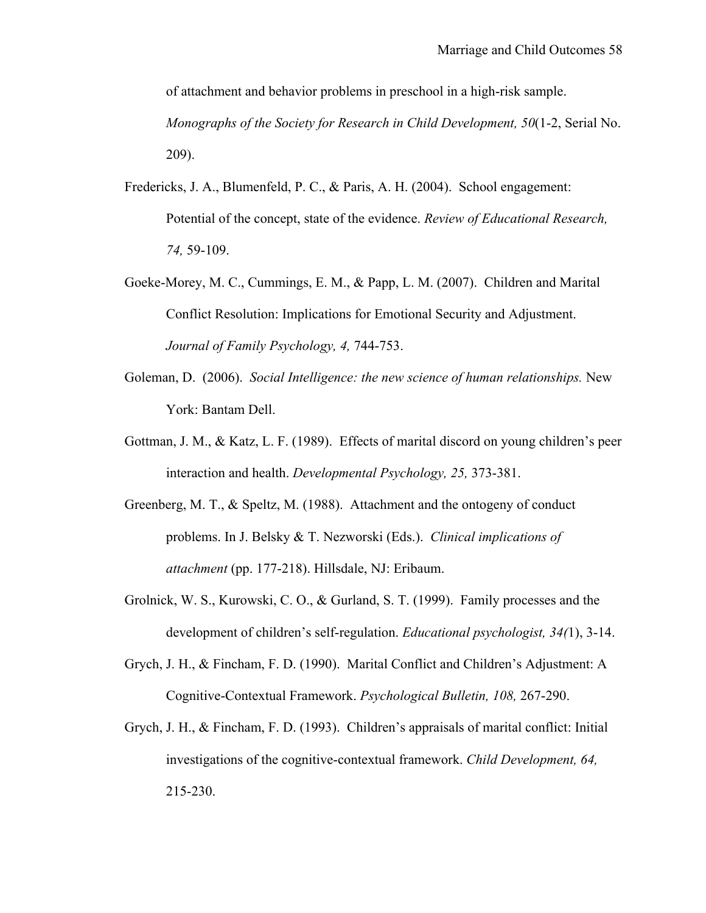of attachment and behavior problems in preschool in a high-risk sample. *Monographs of the Society for Research in Child Development, 50*(1-2, Serial No. 209).

- Fredericks, J. A., Blumenfeld, P. C., & Paris, A. H. (2004). School engagement: Potential of the concept, state of the evidence. *Review of Educational Research, 74,* 59-109.
- Goeke-Morey, M. C., Cummings, E. M., & Papp, L. M. (2007). Children and Marital Conflict Resolution: Implications for Emotional Security and Adjustment. *Journal of Family Psychology, 4,* 744-753.
- Goleman, D. (2006). *Social Intelligence: the new science of human relationships.* New York: Bantam Dell.
- Gottman, J. M., & Katz, L. F. (1989). Effects of marital discord on young children's peer interaction and health. *Developmental Psychology, 25,* 373-381.
- Greenberg, M. T., & Speltz, M. (1988). Attachment and the ontogeny of conduct problems. In J. Belsky & T. Nezworski (Eds.). *Clinical implications of attachment* (pp. 177-218). Hillsdale, NJ: Eribaum.
- Grolnick, W. S., Kurowski, C. O., & Gurland, S. T. (1999). Family processes and the development of children's self-regulation. *Educational psychologist, 34(*1), 3-14.
- Grych, J. H., & Fincham, F. D. (1990). Marital Conflict and Children's Adjustment: A Cognitive-Contextual Framework. *Psychological Bulletin, 108,* 267-290.
- Grych, J. H., & Fincham, F. D. (1993). Children's appraisals of marital conflict: Initial investigations of the cognitive-contextual framework. *Child Development, 64,*  215-230.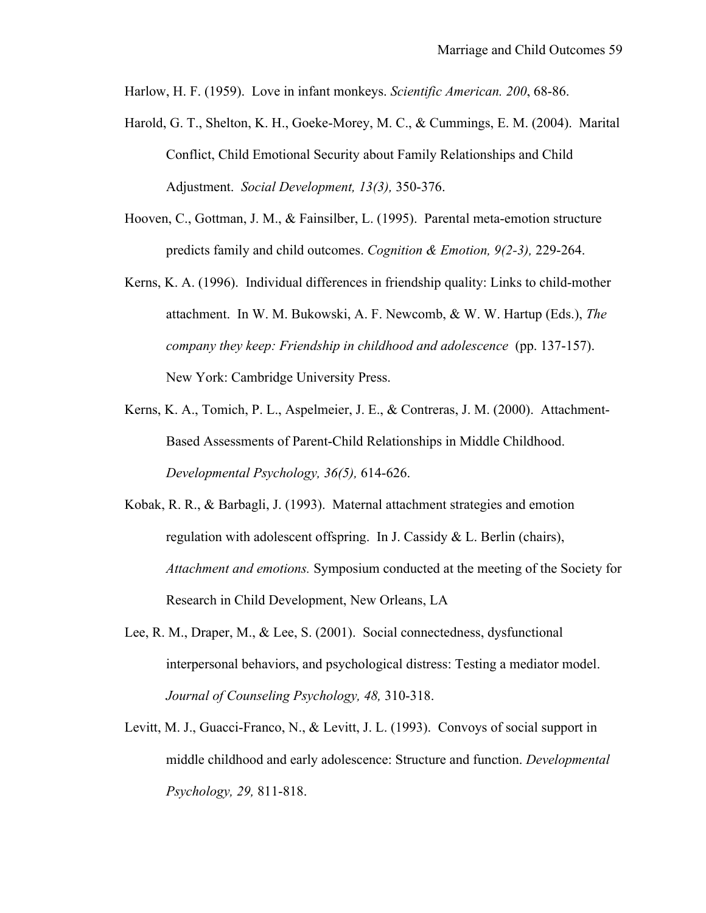Harlow, H. F. (1959). Love in infant monkeys. *Scientific American. 200*, 68-86.

- Harold, G. T., Shelton, K. H., Goeke-Morey, M. C., & Cummings, E. M. (2004). Marital Conflict, Child Emotional Security about Family Relationships and Child Adjustment. *Social Development, 13(3),* 350-376.
- Hooven, C., Gottman, J. M., & Fainsilber, L. (1995). Parental meta-emotion structure predicts family and child outcomes. *Cognition & Emotion, 9(2-3),* 229-264.
- Kerns, K. A. (1996). Individual differences in friendship quality: Links to child-mother attachment. In W. M. Bukowski, A. F. Newcomb, & W. W. Hartup (Eds.), *The company they keep: Friendship in childhood and adolescence* (pp. 137-157). New York: Cambridge University Press.
- Kerns, K. A., Tomich, P. L., Aspelmeier, J. E., & Contreras, J. M. (2000). Attachment-Based Assessments of Parent-Child Relationships in Middle Childhood. *Developmental Psychology, 36(5),* 614-626.
- Kobak, R. R., & Barbagli, J. (1993). Maternal attachment strategies and emotion regulation with adolescent offspring. In J. Cassidy & L. Berlin (chairs), *Attachment and emotions.* Symposium conducted at the meeting of the Society for Research in Child Development, New Orleans, LA
- Lee, R. M., Draper, M., & Lee, S. (2001). Social connectedness, dysfunctional interpersonal behaviors, and psychological distress: Testing a mediator model. *Journal of Counseling Psychology, 48,* 310-318.
- Levitt, M. J., Guacci-Franco, N., & Levitt, J. L. (1993). Convoys of social support in middle childhood and early adolescence: Structure and function. *Developmental Psychology, 29,* 811-818.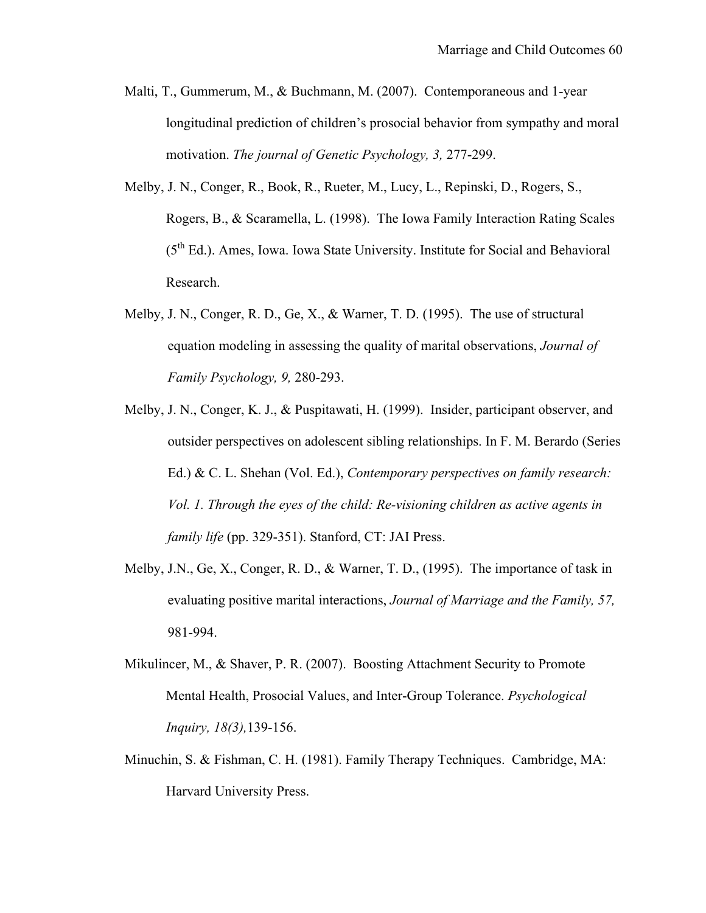- Malti, T., Gummerum, M., & Buchmann, M. (2007). Contemporaneous and 1-year longitudinal prediction of children's prosocial behavior from sympathy and moral motivation. *The journal of Genetic Psychology, 3,* 277-299.
- Melby, J. N., Conger, R., Book, R., Rueter, M., Lucy, L., Repinski, D., Rogers, S., Rogers, B., & Scaramella, L. (1998). The Iowa Family Interaction Rating Scales (5th Ed.). Ames, Iowa. Iowa State University. Institute for Social and Behavioral Research.
- Melby, J. N., Conger, R. D., Ge, X., & Warner, T. D.  $(1995)$ . The use of structural equation modeling in assessing the quality of marital observations, *Journal of Family Psychology, 9,* 280-293.
- Melby, J. N., Conger, K. J., & Puspitawati, H. (1999). Insider, participant observer, and outsider perspectives on adolescent sibling relationships. In F. M. Berardo (Series Ed.) & C. L. Shehan (Vol. Ed.), *Contemporary perspectives on family research: Vol. 1. Through the eyes of the child: Re-visioning children as active agents in family life* (pp. 329-351). Stanford, CT: JAI Press.
- Melby, J.N., Ge, X., Conger, R. D., & Warner, T. D., (1995). The importance of task in evaluating positive marital interactions, *Journal of Marriage and the Family, 57,*  981-994.
- Mikulincer, M., & Shaver, P. R. (2007). Boosting Attachment Security to Promote Mental Health, Prosocial Values, and Inter-Group Tolerance. *Psychological Inquiry, 18(3),*139-156.
- Minuchin, S. & Fishman, C. H. (1981). Family Therapy Techniques. Cambridge, MA: Harvard University Press.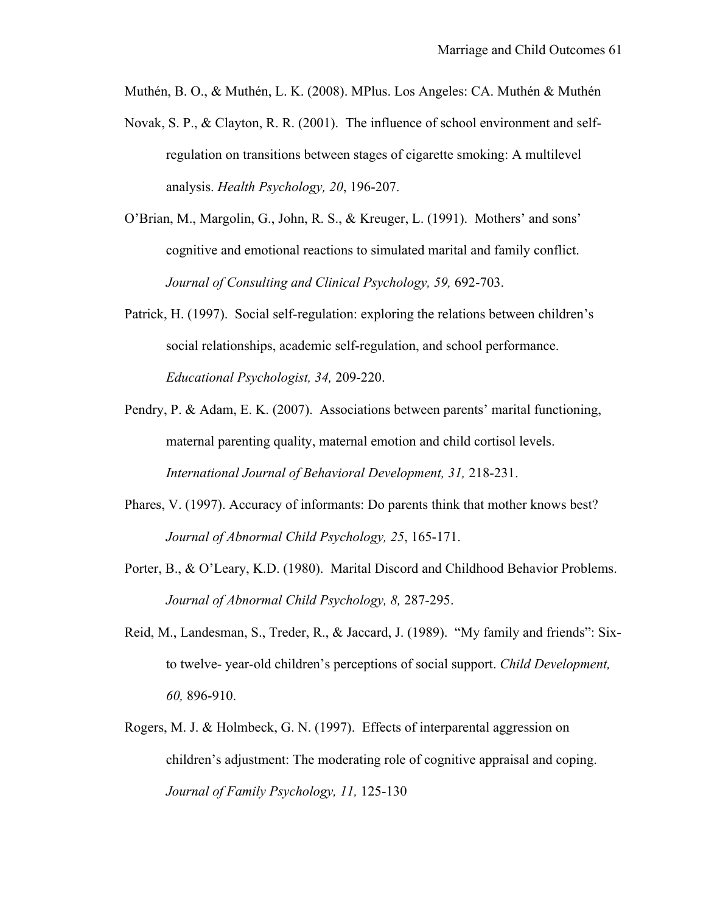Muthén, B. O., & Muthén, L. K. (2008). MPlus. Los Angeles: CA. Muthén & Muthén

- Novak, S. P., & Clayton, R. R. (2001). The influence of school environment and selfregulation on transitions between stages of cigarette smoking: A multilevel analysis. *Health Psychology, 20*, 196-207.
- O'Brian, M., Margolin, G., John, R. S., & Kreuger, L. (1991). Mothers' and sons' cognitive and emotional reactions to simulated marital and family conflict. *Journal of Consulting and Clinical Psychology, 59,* 692-703.
- Patrick, H. (1997). Social self-regulation: exploring the relations between children's social relationships, academic self-regulation, and school performance. *Educational Psychologist, 34,* 209-220.
- Pendry, P. & Adam, E. K. (2007). Associations between parents' marital functioning, maternal parenting quality, maternal emotion and child cortisol levels. *International Journal of Behavioral Development, 31,* 218-231.
- Phares, V. (1997). Accuracy of informants: Do parents think that mother knows best? *Journal of Abnormal Child Psychology, 25*, 165-171.
- Porter, B., & O'Leary, K.D. (1980). Marital Discord and Childhood Behavior Problems. *Journal of Abnormal Child Psychology, 8,* 287-295.
- Reid, M., Landesman, S., Treder, R., & Jaccard, J. (1989). "My family and friends": Sixto twelve- year-old children's perceptions of social support. *Child Development, 60,* 896-910.
- Rogers, M. J. & Holmbeck, G. N. (1997). Effects of interparental aggression on children's adjustment: The moderating role of cognitive appraisal and coping. *Journal of Family Psychology, 11,* 125-130